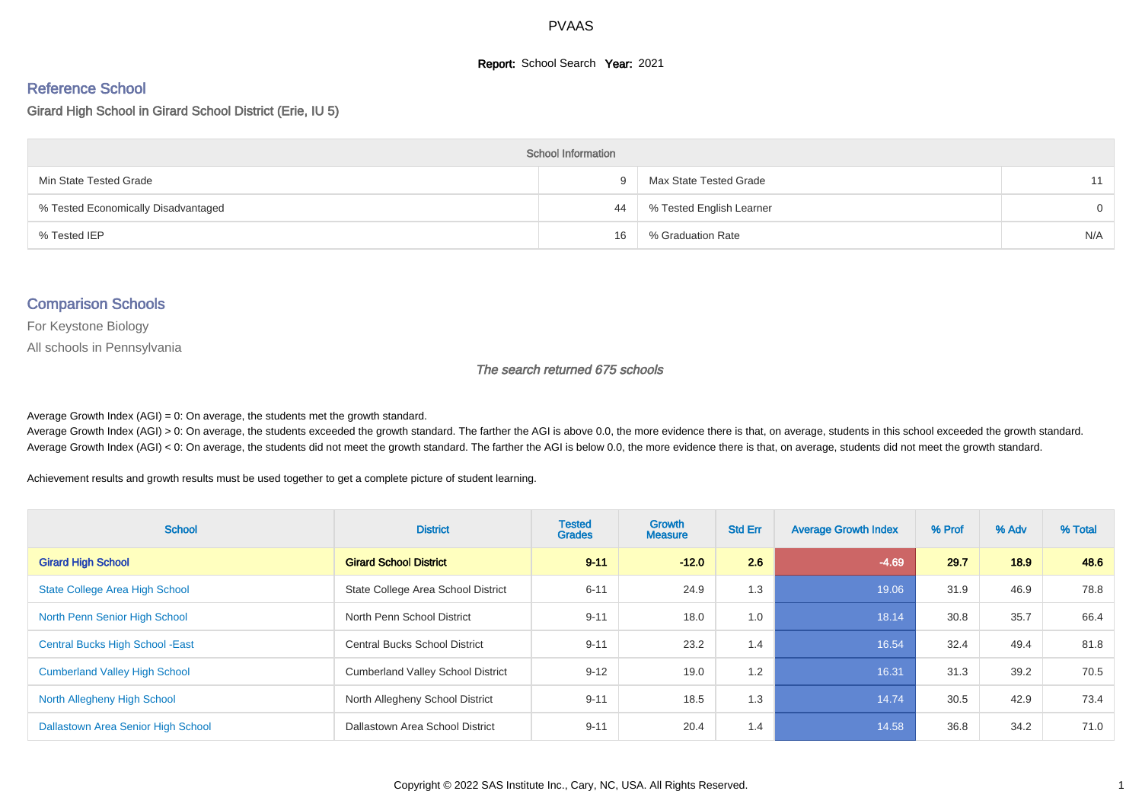#### **Report:** School Search **Year:** 2021

# Reference School

Girard High School in Girard School District (Erie, IU 5)

| <b>School Information</b>           |    |                          |          |  |  |  |  |  |
|-------------------------------------|----|--------------------------|----------|--|--|--|--|--|
| Min State Tested Grade              | 9  | Max State Tested Grade   | 11       |  |  |  |  |  |
| % Tested Economically Disadvantaged | 44 | % Tested English Learner | $\Omega$ |  |  |  |  |  |
| % Tested IEP                        | 16 | % Graduation Rate        | N/A      |  |  |  |  |  |

## Comparison Schools

For Keystone Biology

All schools in Pennsylvania

#### The search returned 675 schools

Average Growth Index  $(AGI) = 0$ : On average, the students met the growth standard.

Average Growth Index (AGI) > 0: On average, the students exceeded the growth standard. The farther the AGI is above 0.0, the more evidence there is that, on average, students in this school exceeded the growth standard. Average Growth Index (AGI) < 0: On average, the students did not meet the growth standard. The farther the AGI is below 0.0, the more evidence there is that, on average, students did not meet the growth standard.

Achievement results and growth results must be used together to get a complete picture of student learning.

| <b>School</b>                           | <b>District</b>                          | <b>Tested</b><br><b>Grades</b> | <b>Growth</b><br><b>Measure</b> | <b>Std Err</b> | <b>Average Growth Index</b> | % Prof | % Adv | % Total |
|-----------------------------------------|------------------------------------------|--------------------------------|---------------------------------|----------------|-----------------------------|--------|-------|---------|
| <b>Girard High School</b>               | <b>Girard School District</b>            | $9 - 11$                       | $-12.0$                         | 2.6            | $-4.69$                     | 29.7   | 18.9  | 48.6    |
| <b>State College Area High School</b>   | State College Area School District       | $6 - 11$                       | 24.9                            | 1.3            | 19.06                       | 31.9   | 46.9  | 78.8    |
| North Penn Senior High School           | North Penn School District               | $9 - 11$                       | 18.0                            | 1.0            | 18.14                       | 30.8   | 35.7  | 66.4    |
| <b>Central Bucks High School - East</b> | <b>Central Bucks School District</b>     | $9 - 11$                       | 23.2                            | 1.4            | 16.54                       | 32.4   | 49.4  | 81.8    |
| <b>Cumberland Valley High School</b>    | <b>Cumberland Valley School District</b> | $9 - 12$                       | 19.0                            | 1.2            | 16.31                       | 31.3   | 39.2  | 70.5    |
| North Allegheny High School             | North Allegheny School District          | $9 - 11$                       | 18.5                            | 1.3            | 14.74                       | 30.5   | 42.9  | 73.4    |
| Dallastown Area Senior High School      | Dallastown Area School District          | $9 - 11$                       | 20.4                            | 1.4            | 14.58                       | 36.8   | 34.2  | 71.0    |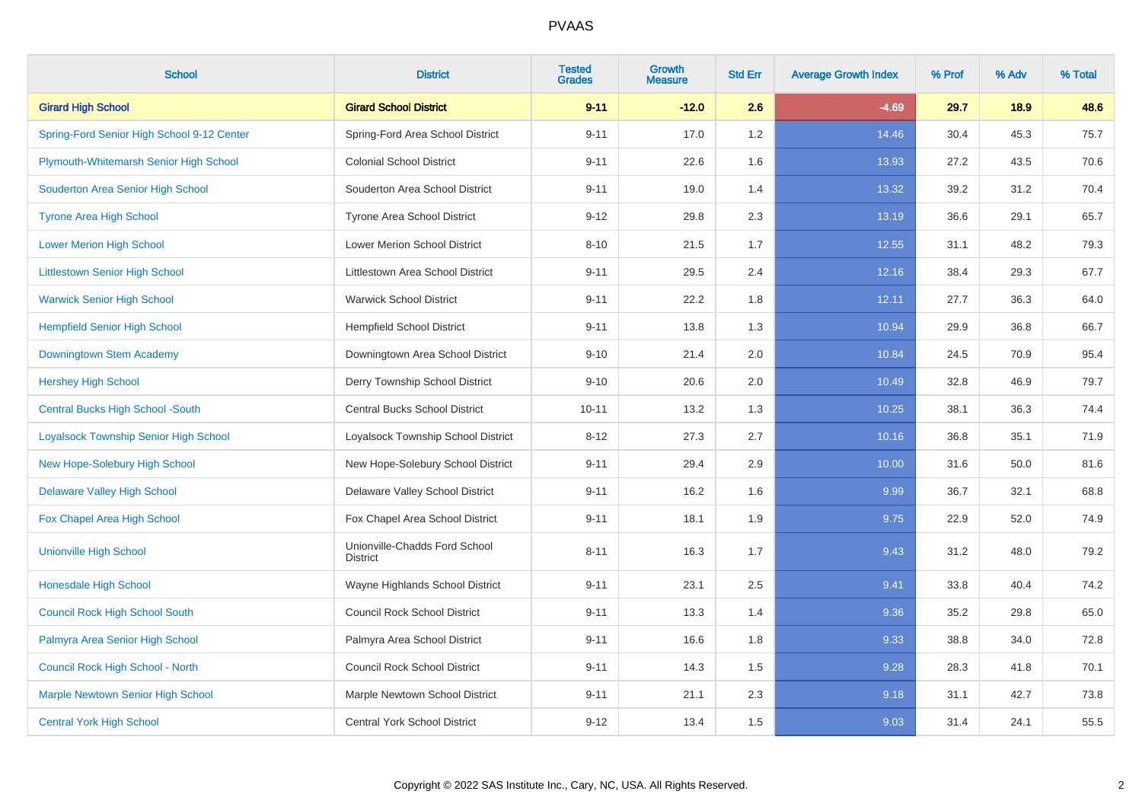| <b>School</b>                              | <b>District</b>                                  | <b>Tested</b><br><b>Grades</b> | <b>Growth</b><br><b>Measure</b> | <b>Std Err</b> | <b>Average Growth Index</b> | % Prof | % Adv | % Total |
|--------------------------------------------|--------------------------------------------------|--------------------------------|---------------------------------|----------------|-----------------------------|--------|-------|---------|
| <b>Girard High School</b>                  | <b>Girard School District</b>                    | $9 - 11$                       | $-12.0$                         | 2.6            | $-4.69$                     | 29.7   | 18.9  | 48.6    |
| Spring-Ford Senior High School 9-12 Center | Spring-Ford Area School District                 | $9 - 11$                       | 17.0                            | 1.2            | 14.46                       | 30.4   | 45.3  | 75.7    |
| Plymouth-Whitemarsh Senior High School     | <b>Colonial School District</b>                  | $9 - 11$                       | 22.6                            | 1.6            | 13.93                       | 27.2   | 43.5  | 70.6    |
| Souderton Area Senior High School          | Souderton Area School District                   | $9 - 11$                       | 19.0                            | 1.4            | 13.32                       | 39.2   | 31.2  | 70.4    |
| <b>Tyrone Area High School</b>             | Tyrone Area School District                      | $9 - 12$                       | 29.8                            | 2.3            | 13.19                       | 36.6   | 29.1  | 65.7    |
| <b>Lower Merion High School</b>            | <b>Lower Merion School District</b>              | $8 - 10$                       | 21.5                            | 1.7            | 12.55                       | 31.1   | 48.2  | 79.3    |
| <b>Littlestown Senior High School</b>      | Littlestown Area School District                 | $9 - 11$                       | 29.5                            | 2.4            | 12.16                       | 38.4   | 29.3  | 67.7    |
| <b>Warwick Senior High School</b>          | <b>Warwick School District</b>                   | $9 - 11$                       | 22.2                            | 1.8            | 12.11                       | 27.7   | 36.3  | 64.0    |
| <b>Hempfield Senior High School</b>        | <b>Hempfield School District</b>                 | $9 - 11$                       | 13.8                            | 1.3            | 10.94                       | 29.9   | 36.8  | 66.7    |
| Downingtown Stem Academy                   | Downingtown Area School District                 | $9 - 10$                       | 21.4                            | 2.0            | 10.84                       | 24.5   | 70.9  | 95.4    |
| <b>Hershey High School</b>                 | Derry Township School District                   | $9 - 10$                       | 20.6                            | 2.0            | 10.49                       | 32.8   | 46.9  | 79.7    |
| <b>Central Bucks High School -South</b>    | <b>Central Bucks School District</b>             | $10 - 11$                      | 13.2                            | 1.3            | 10.25                       | 38.1   | 36.3  | 74.4    |
| Loyalsock Township Senior High School      | Loyalsock Township School District               | $8 - 12$                       | 27.3                            | 2.7            | 10.16                       | 36.8   | 35.1  | 71.9    |
| New Hope-Solebury High School              | New Hope-Solebury School District                | $9 - 11$                       | 29.4                            | 2.9            | 10.00                       | 31.6   | 50.0  | 81.6    |
| <b>Delaware Valley High School</b>         | Delaware Valley School District                  | $9 - 11$                       | 16.2                            | 1.6            | 9.99                        | 36.7   | 32.1  | 68.8    |
| Fox Chapel Area High School                | Fox Chapel Area School District                  | $9 - 11$                       | 18.1                            | 1.9            | 9.75                        | 22.9   | 52.0  | 74.9    |
| <b>Unionville High School</b>              | Unionville-Chadds Ford School<br><b>District</b> | $8 - 11$                       | 16.3                            | 1.7            | 9.43                        | 31.2   | 48.0  | 79.2    |
| <b>Honesdale High School</b>               | Wayne Highlands School District                  | $9 - 11$                       | 23.1                            | 2.5            | 9.41                        | 33.8   | 40.4  | 74.2    |
| <b>Council Rock High School South</b>      | <b>Council Rock School District</b>              | $9 - 11$                       | 13.3                            | 1.4            | 9.36                        | 35.2   | 29.8  | 65.0    |
| Palmyra Area Senior High School            | Palmyra Area School District                     | $9 - 11$                       | 16.6                            | 1.8            | 9.33                        | 38.8   | 34.0  | 72.8    |
| Council Rock High School - North           | <b>Council Rock School District</b>              | $9 - 11$                       | 14.3                            | 1.5            | 9.28                        | 28.3   | 41.8  | 70.1    |
| <b>Marple Newtown Senior High School</b>   | Marple Newtown School District                   | $9 - 11$                       | 21.1                            | 2.3            | 9.18                        | 31.1   | 42.7  | 73.8    |
| <b>Central York High School</b>            | Central York School District                     | $9 - 12$                       | 13.4                            | 1.5            | 9.03                        | 31.4   | 24.1  | 55.5    |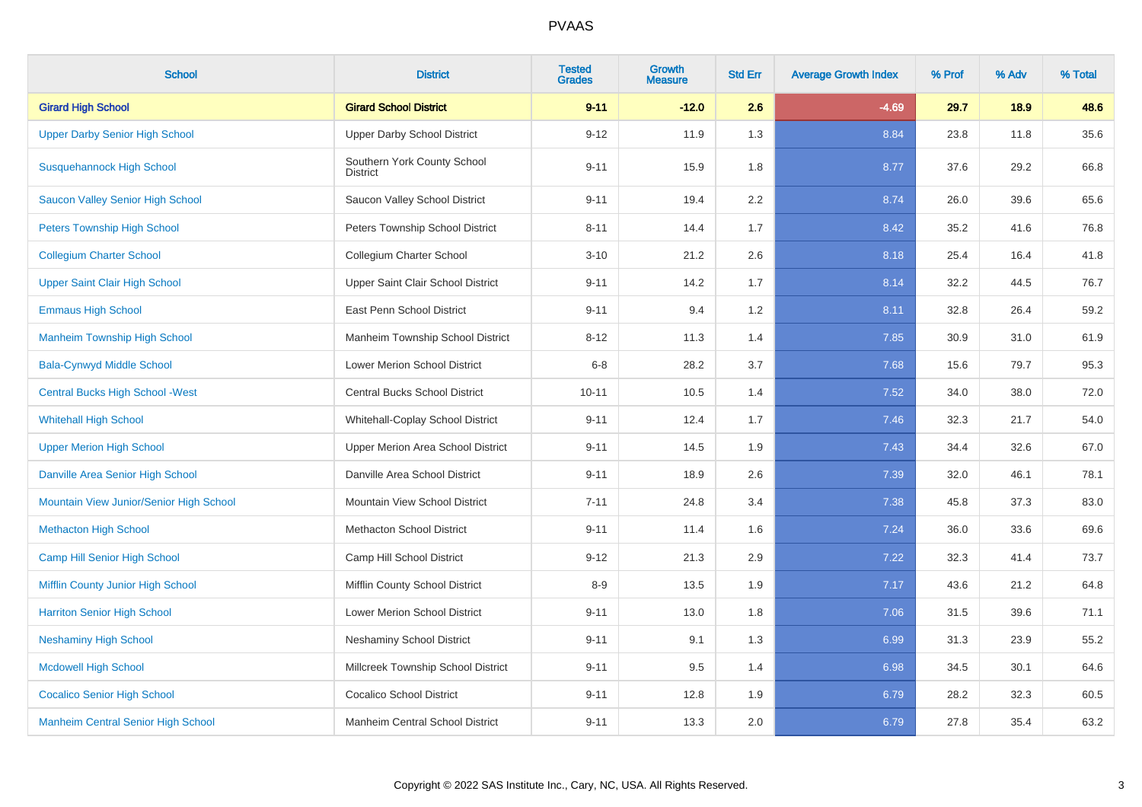| <b>School</b>                             | <b>District</b>                                | <b>Tested</b><br><b>Grades</b> | Growth<br><b>Measure</b> | <b>Std Err</b> | <b>Average Growth Index</b> | % Prof | % Adv | % Total |
|-------------------------------------------|------------------------------------------------|--------------------------------|--------------------------|----------------|-----------------------------|--------|-------|---------|
| <b>Girard High School</b>                 | <b>Girard School District</b>                  | $9 - 11$                       | $-12.0$                  | 2.6            | $-4.69$                     | 29.7   | 18.9  | 48.6    |
| <b>Upper Darby Senior High School</b>     | <b>Upper Darby School District</b>             | $9 - 12$                       | 11.9                     | 1.3            | 8.84                        | 23.8   | 11.8  | 35.6    |
| <b>Susquehannock High School</b>          | Southern York County School<br><b>District</b> | $9 - 11$                       | 15.9                     | 1.8            | 8.77                        | 37.6   | 29.2  | 66.8    |
| Saucon Valley Senior High School          | Saucon Valley School District                  | $9 - 11$                       | 19.4                     | 2.2            | 8.74                        | 26.0   | 39.6  | 65.6    |
| <b>Peters Township High School</b>        | Peters Township School District                | $8 - 11$                       | 14.4                     | 1.7            | 8.42                        | 35.2   | 41.6  | 76.8    |
| <b>Collegium Charter School</b>           | Collegium Charter School                       | $3 - 10$                       | 21.2                     | 2.6            | 8.18                        | 25.4   | 16.4  | 41.8    |
| <b>Upper Saint Clair High School</b>      | Upper Saint Clair School District              | $9 - 11$                       | 14.2                     | 1.7            | 8.14                        | 32.2   | 44.5  | 76.7    |
| <b>Emmaus High School</b>                 | East Penn School District                      | $9 - 11$                       | 9.4                      | 1.2            | 8.11                        | 32.8   | 26.4  | 59.2    |
| <b>Manheim Township High School</b>       | Manheim Township School District               | $8 - 12$                       | 11.3                     | 1.4            | 7.85                        | 30.9   | 31.0  | 61.9    |
| <b>Bala-Cynwyd Middle School</b>          | <b>Lower Merion School District</b>            | $6 - 8$                        | 28.2                     | 3.7            | 7.68                        | 15.6   | 79.7  | 95.3    |
| <b>Central Bucks High School - West</b>   | <b>Central Bucks School District</b>           | $10 - 11$                      | 10.5                     | 1.4            | 7.52                        | 34.0   | 38.0  | 72.0    |
| <b>Whitehall High School</b>              | Whitehall-Coplay School District               | $9 - 11$                       | 12.4                     | 1.7            | 7.46                        | 32.3   | 21.7  | 54.0    |
| <b>Upper Merion High School</b>           | Upper Merion Area School District              | $9 - 11$                       | 14.5                     | 1.9            | 7.43                        | 34.4   | 32.6  | 67.0    |
| Danville Area Senior High School          | Danville Area School District                  | $9 - 11$                       | 18.9                     | 2.6            | 7.39                        | 32.0   | 46.1  | 78.1    |
| Mountain View Junior/Senior High School   | Mountain View School District                  | $7 - 11$                       | 24.8                     | 3.4            | 7.38                        | 45.8   | 37.3  | 83.0    |
| <b>Methacton High School</b>              | <b>Methacton School District</b>               | $9 - 11$                       | 11.4                     | 1.6            | 7.24                        | 36.0   | 33.6  | 69.6    |
| Camp Hill Senior High School              | Camp Hill School District                      | $9 - 12$                       | 21.3                     | 2.9            | 7.22                        | 32.3   | 41.4  | 73.7    |
| Mifflin County Junior High School         | Mifflin County School District                 | $8 - 9$                        | 13.5                     | 1.9            | 7.17                        | 43.6   | 21.2  | 64.8    |
| <b>Harriton Senior High School</b>        | Lower Merion School District                   | $9 - 11$                       | 13.0                     | 1.8            | 7.06                        | 31.5   | 39.6  | 71.1    |
| <b>Neshaminy High School</b>              | <b>Neshaminy School District</b>               | $9 - 11$                       | 9.1                      | 1.3            | 6.99                        | 31.3   | 23.9  | 55.2    |
| <b>Mcdowell High School</b>               | Millcreek Township School District             | $9 - 11$                       | 9.5                      | 1.4            | 6.98                        | 34.5   | 30.1  | 64.6    |
| <b>Cocalico Senior High School</b>        | <b>Cocalico School District</b>                | $9 - 11$                       | 12.8                     | 1.9            | 6.79                        | 28.2   | 32.3  | 60.5    |
| <b>Manheim Central Senior High School</b> | Manheim Central School District                | $9 - 11$                       | 13.3                     | 2.0            | 6.79                        | 27.8   | 35.4  | 63.2    |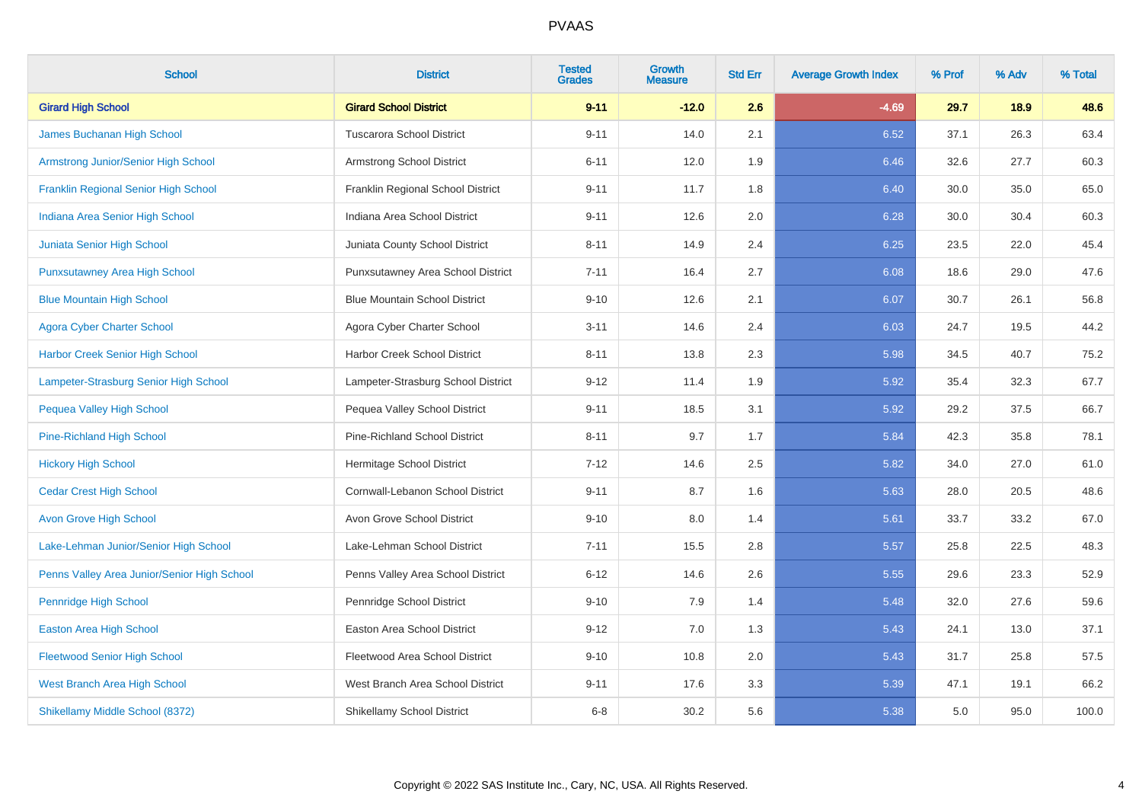| <b>School</b>                               | <b>District</b>                      | <b>Tested</b><br><b>Grades</b> | <b>Growth</b><br><b>Measure</b> | <b>Std Err</b> | <b>Average Growth Index</b> | % Prof | % Adv | % Total |
|---------------------------------------------|--------------------------------------|--------------------------------|---------------------------------|----------------|-----------------------------|--------|-------|---------|
| <b>Girard High School</b>                   | <b>Girard School District</b>        | $9 - 11$                       | $-12.0$                         | 2.6            | $-4.69$                     | 29.7   | 18.9  | 48.6    |
| James Buchanan High School                  | <b>Tuscarora School District</b>     | $9 - 11$                       | 14.0                            | 2.1            | 6.52                        | 37.1   | 26.3  | 63.4    |
| Armstrong Junior/Senior High School         | Armstrong School District            | $6 - 11$                       | 12.0                            | 1.9            | 6.46                        | 32.6   | 27.7  | 60.3    |
| <b>Franklin Regional Senior High School</b> | Franklin Regional School District    | $9 - 11$                       | 11.7                            | 1.8            | 6.40                        | 30.0   | 35.0  | 65.0    |
| Indiana Area Senior High School             | Indiana Area School District         | $9 - 11$                       | 12.6                            | 2.0            | 6.28                        | 30.0   | 30.4  | 60.3    |
| Juniata Senior High School                  | Juniata County School District       | $8 - 11$                       | 14.9                            | 2.4            | 6.25                        | 23.5   | 22.0  | 45.4    |
| <b>Punxsutawney Area High School</b>        | Punxsutawney Area School District    | $7 - 11$                       | 16.4                            | 2.7            | 6.08                        | 18.6   | 29.0  | 47.6    |
| <b>Blue Mountain High School</b>            | <b>Blue Mountain School District</b> | $9 - 10$                       | 12.6                            | 2.1            | 6.07                        | 30.7   | 26.1  | 56.8    |
| <b>Agora Cyber Charter School</b>           | Agora Cyber Charter School           | $3 - 11$                       | 14.6                            | 2.4            | 6.03                        | 24.7   | 19.5  | 44.2    |
| <b>Harbor Creek Senior High School</b>      | Harbor Creek School District         | $8 - 11$                       | 13.8                            | 2.3            | 5.98                        | 34.5   | 40.7  | 75.2    |
| Lampeter-Strasburg Senior High School       | Lampeter-Strasburg School District   | $9 - 12$                       | 11.4                            | 1.9            | 5.92                        | 35.4   | 32.3  | 67.7    |
| Pequea Valley High School                   | Pequea Valley School District        | $9 - 11$                       | 18.5                            | 3.1            | 5.92                        | 29.2   | 37.5  | 66.7    |
| Pine-Richland High School                   | <b>Pine-Richland School District</b> | $8 - 11$                       | 9.7                             | 1.7            | 5.84                        | 42.3   | 35.8  | 78.1    |
| <b>Hickory High School</b>                  | Hermitage School District            | $7 - 12$                       | 14.6                            | 2.5            | 5.82                        | 34.0   | 27.0  | 61.0    |
| <b>Cedar Crest High School</b>              | Cornwall-Lebanon School District     | $9 - 11$                       | 8.7                             | 1.6            | 5.63                        | 28.0   | 20.5  | 48.6    |
| <b>Avon Grove High School</b>               | Avon Grove School District           | $9 - 10$                       | 8.0                             | 1.4            | 5.61                        | 33.7   | 33.2  | 67.0    |
| Lake-Lehman Junior/Senior High School       | Lake-Lehman School District          | $7 - 11$                       | 15.5                            | 2.8            | 5.57                        | 25.8   | 22.5  | 48.3    |
| Penns Valley Area Junior/Senior High School | Penns Valley Area School District    | $6 - 12$                       | 14.6                            | 2.6            | 5.55                        | 29.6   | 23.3  | 52.9    |
| Pennridge High School                       | Pennridge School District            | $9 - 10$                       | 7.9                             | 1.4            | 5.48                        | 32.0   | 27.6  | 59.6    |
| <b>Easton Area High School</b>              | <b>Easton Area School District</b>   | $9 - 12$                       | 7.0                             | 1.3            | 5.43                        | 24.1   | 13.0  | 37.1    |
| <b>Fleetwood Senior High School</b>         | Fleetwood Area School District       | $9 - 10$                       | 10.8                            | 2.0            | 5.43                        | 31.7   | 25.8  | 57.5    |
| West Branch Area High School                | West Branch Area School District     | $9 - 11$                       | 17.6                            | 3.3            | 5.39                        | 47.1   | 19.1  | 66.2    |
| Shikellamy Middle School (8372)             | Shikellamy School District           | $6 - 8$                        | 30.2                            | 5.6            | 5.38                        | 5.0    | 95.0  | 100.0   |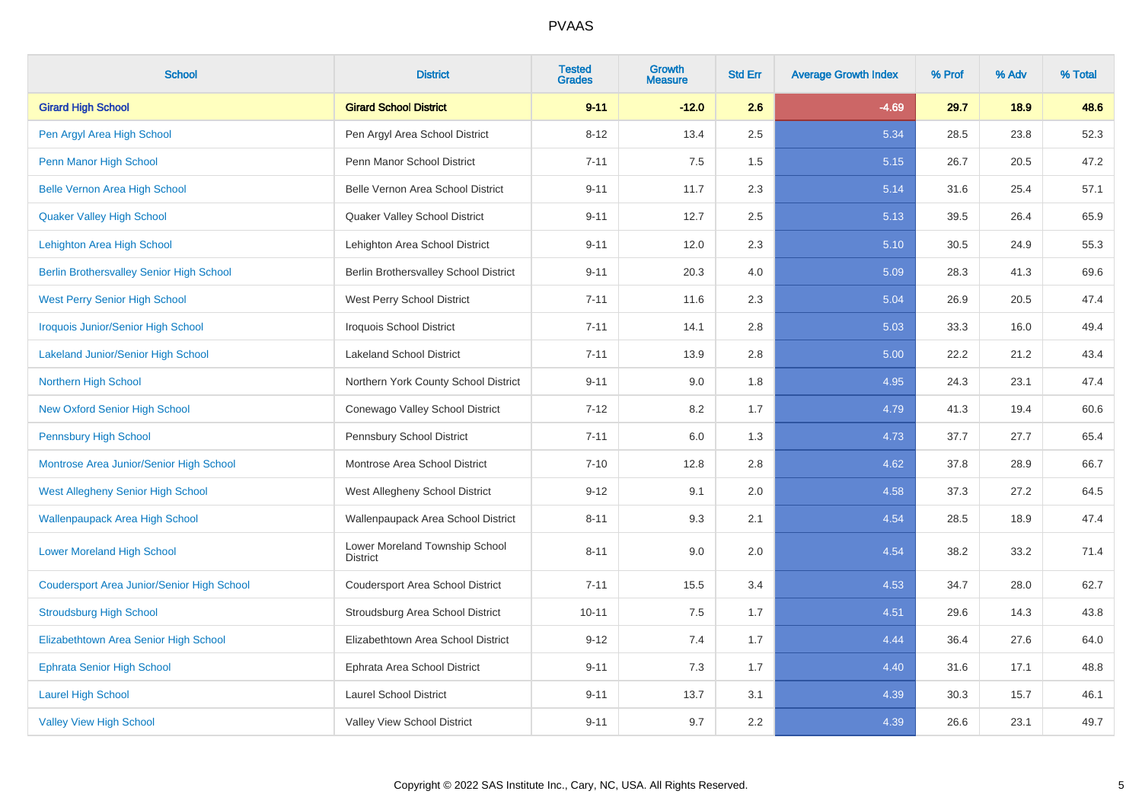| <b>School</b>                                     | <b>District</b>                                   | <b>Tested</b><br><b>Grades</b> | Growth<br><b>Measure</b> | <b>Std Err</b> | <b>Average Growth Index</b> | % Prof | % Adv | % Total |
|---------------------------------------------------|---------------------------------------------------|--------------------------------|--------------------------|----------------|-----------------------------|--------|-------|---------|
| <b>Girard High School</b>                         | <b>Girard School District</b>                     | $9 - 11$                       | $-12.0$                  | 2.6            | $-4.69$                     | 29.7   | 18.9  | 48.6    |
| Pen Argyl Area High School                        | Pen Argyl Area School District                    | $8 - 12$                       | 13.4                     | 2.5            | 5.34                        | 28.5   | 23.8  | 52.3    |
| Penn Manor High School                            | Penn Manor School District                        | $7 - 11$                       | 7.5                      | 1.5            | 5.15                        | 26.7   | 20.5  | 47.2    |
| <b>Belle Vernon Area High School</b>              | Belle Vernon Area School District                 | $9 - 11$                       | 11.7                     | 2.3            | 5.14                        | 31.6   | 25.4  | 57.1    |
| <b>Quaker Valley High School</b>                  | Quaker Valley School District                     | $9 - 11$                       | 12.7                     | 2.5            | 5.13                        | 39.5   | 26.4  | 65.9    |
| Lehighton Area High School                        | Lehighton Area School District                    | $9 - 11$                       | 12.0                     | 2.3            | 5.10                        | 30.5   | 24.9  | 55.3    |
| <b>Berlin Brothersvalley Senior High School</b>   | Berlin Brothersvalley School District             | $9 - 11$                       | 20.3                     | 4.0            | 5.09                        | 28.3   | 41.3  | 69.6    |
| <b>West Perry Senior High School</b>              | West Perry School District                        | $7 - 11$                       | 11.6                     | 2.3            | 5.04                        | 26.9   | 20.5  | 47.4    |
| <b>Iroquois Junior/Senior High School</b>         | Iroquois School District                          | $7 - 11$                       | 14.1                     | 2.8            | 5.03                        | 33.3   | 16.0  | 49.4    |
| <b>Lakeland Junior/Senior High School</b>         | <b>Lakeland School District</b>                   | $7 - 11$                       | 13.9                     | 2.8            | 5.00                        | 22.2   | 21.2  | 43.4    |
| Northern High School                              | Northern York County School District              | $9 - 11$                       | 9.0                      | 1.8            | 4.95                        | 24.3   | 23.1  | 47.4    |
| <b>New Oxford Senior High School</b>              | Conewago Valley School District                   | $7 - 12$                       | 8.2                      | 1.7            | 4.79                        | 41.3   | 19.4  | 60.6    |
| <b>Pennsbury High School</b>                      | Pennsbury School District                         | $7 - 11$                       | 6.0                      | 1.3            | 4.73                        | 37.7   | 27.7  | 65.4    |
| Montrose Area Junior/Senior High School           | Montrose Area School District                     | $7 - 10$                       | 12.8                     | 2.8            | 4.62                        | 37.8   | 28.9  | 66.7    |
| West Allegheny Senior High School                 | West Allegheny School District                    | $9 - 12$                       | 9.1                      | 2.0            | 4.58                        | 37.3   | 27.2  | 64.5    |
| <b>Wallenpaupack Area High School</b>             | Wallenpaupack Area School District                | $8 - 11$                       | 9.3                      | 2.1            | 4.54                        | 28.5   | 18.9  | 47.4    |
| <b>Lower Moreland High School</b>                 | Lower Moreland Township School<br><b>District</b> | $8 - 11$                       | 9.0                      | 2.0            | 4.54                        | 38.2   | 33.2  | 71.4    |
| <b>Coudersport Area Junior/Senior High School</b> | Coudersport Area School District                  | $7 - 11$                       | 15.5                     | 3.4            | 4.53                        | 34.7   | 28.0  | 62.7    |
| <b>Stroudsburg High School</b>                    | Stroudsburg Area School District                  | $10 - 11$                      | 7.5                      | 1.7            | 4.51                        | 29.6   | 14.3  | 43.8    |
| Elizabethtown Area Senior High School             | Elizabethtown Area School District                | $9 - 12$                       | 7.4                      | 1.7            | 4.44                        | 36.4   | 27.6  | 64.0    |
| <b>Ephrata Senior High School</b>                 | Ephrata Area School District                      | $9 - 11$                       | 7.3                      | 1.7            | 4.40                        | 31.6   | 17.1  | 48.8    |
| <b>Laurel High School</b>                         | <b>Laurel School District</b>                     | $9 - 11$                       | 13.7                     | 3.1            | 4.39                        | 30.3   | 15.7  | 46.1    |
| <b>Valley View High School</b>                    | Valley View School District                       | $9 - 11$                       | 9.7                      | 2.2            | 4.39                        | 26.6   | 23.1  | 49.7    |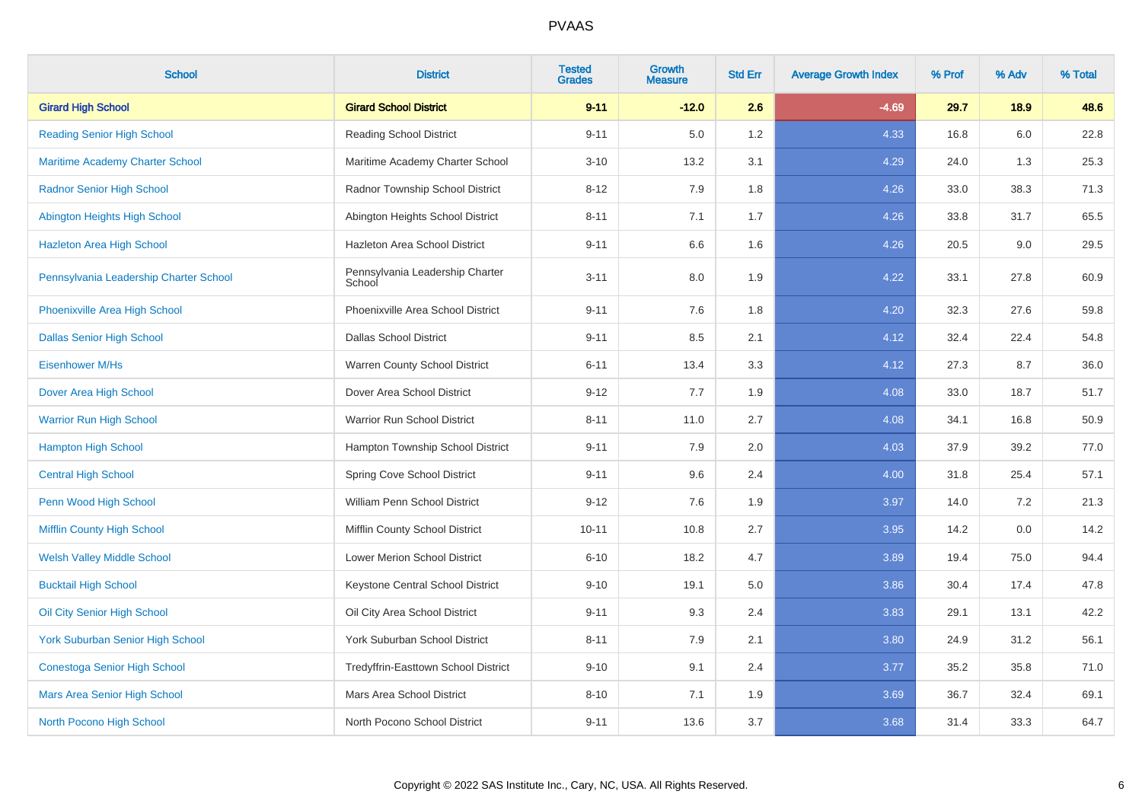| <b>School</b>                           | <b>District</b>                           | <b>Tested</b><br><b>Grades</b> | <b>Growth</b><br><b>Measure</b> | <b>Std Err</b> | <b>Average Growth Index</b> | % Prof | % Adv | % Total |
|-----------------------------------------|-------------------------------------------|--------------------------------|---------------------------------|----------------|-----------------------------|--------|-------|---------|
| <b>Girard High School</b>               | <b>Girard School District</b>             | $9 - 11$                       | $-12.0$                         | 2.6            | $-4.69$                     | 29.7   | 18.9  | 48.6    |
| <b>Reading Senior High School</b>       | <b>Reading School District</b>            | $9 - 11$                       | 5.0                             | 1.2            | 4.33                        | 16.8   | 6.0   | 22.8    |
| <b>Maritime Academy Charter School</b>  | Maritime Academy Charter School           | $3 - 10$                       | 13.2                            | 3.1            | 4.29                        | 24.0   | 1.3   | 25.3    |
| <b>Radnor Senior High School</b>        | Radnor Township School District           | $8 - 12$                       | 7.9                             | 1.8            | 4.26                        | 33.0   | 38.3  | 71.3    |
| Abington Heights High School            | Abington Heights School District          | $8 - 11$                       | 7.1                             | 1.7            | 4.26                        | 33.8   | 31.7  | 65.5    |
| <b>Hazleton Area High School</b>        | Hazleton Area School District             | $9 - 11$                       | 6.6                             | 1.6            | 4.26                        | 20.5   | 9.0   | 29.5    |
| Pennsylvania Leadership Charter School  | Pennsylvania Leadership Charter<br>School | $3 - 11$                       | 8.0                             | 1.9            | 4.22                        | 33.1   | 27.8  | 60.9    |
| Phoenixville Area High School           | Phoenixville Area School District         | $9 - 11$                       | 7.6                             | 1.8            | 4.20                        | 32.3   | 27.6  | 59.8    |
| <b>Dallas Senior High School</b>        | <b>Dallas School District</b>             | $9 - 11$                       | 8.5                             | 2.1            | 4.12                        | 32.4   | 22.4  | 54.8    |
| Eisenhower M/Hs                         | Warren County School District             | $6 - 11$                       | 13.4                            | 3.3            | 4.12                        | 27.3   | 8.7   | 36.0    |
| Dover Area High School                  | Dover Area School District                | $9 - 12$                       | 7.7                             | 1.9            | 4.08                        | 33.0   | 18.7  | 51.7    |
| <b>Warrior Run High School</b>          | Warrior Run School District               | $8 - 11$                       | 11.0                            | 2.7            | 4.08                        | 34.1   | 16.8  | 50.9    |
| <b>Hampton High School</b>              | Hampton Township School District          | $9 - 11$                       | 7.9                             | $2.0\,$        | 4.03                        | 37.9   | 39.2  | 77.0    |
| <b>Central High School</b>              | Spring Cove School District               | $9 - 11$                       | 9.6                             | 2.4            | 4.00                        | 31.8   | 25.4  | 57.1    |
| Penn Wood High School                   | William Penn School District              | $9 - 12$                       | 7.6                             | 1.9            | 3.97                        | 14.0   | 7.2   | 21.3    |
| Mifflin County High School              | Mifflin County School District            | $10 - 11$                      | 10.8                            | 2.7            | 3.95                        | 14.2   | 0.0   | 14.2    |
| <b>Welsh Valley Middle School</b>       | Lower Merion School District              | $6 - 10$                       | 18.2                            | 4.7            | 3.89                        | 19.4   | 75.0  | 94.4    |
| <b>Bucktail High School</b>             | Keystone Central School District          | $9 - 10$                       | 19.1                            | 5.0            | 3.86                        | 30.4   | 17.4  | 47.8    |
| Oil City Senior High School             | Oil City Area School District             | $9 - 11$                       | 9.3                             | 2.4            | 3.83                        | 29.1   | 13.1  | 42.2    |
| <b>York Suburban Senior High School</b> | York Suburban School District             | $8 - 11$                       | 7.9                             | 2.1            | 3.80                        | 24.9   | 31.2  | 56.1    |
| <b>Conestoga Senior High School</b>     | Tredyffrin-Easttown School District       | $9 - 10$                       | 9.1                             | 2.4            | 3.77                        | 35.2   | 35.8  | 71.0    |
| Mars Area Senior High School            | Mars Area School District                 | $8 - 10$                       | 7.1                             | 1.9            | 3.69                        | 36.7   | 32.4  | 69.1    |
| North Pocono High School                | North Pocono School District              | $9 - 11$                       | 13.6                            | 3.7            | 3.68                        | 31.4   | 33.3  | 64.7    |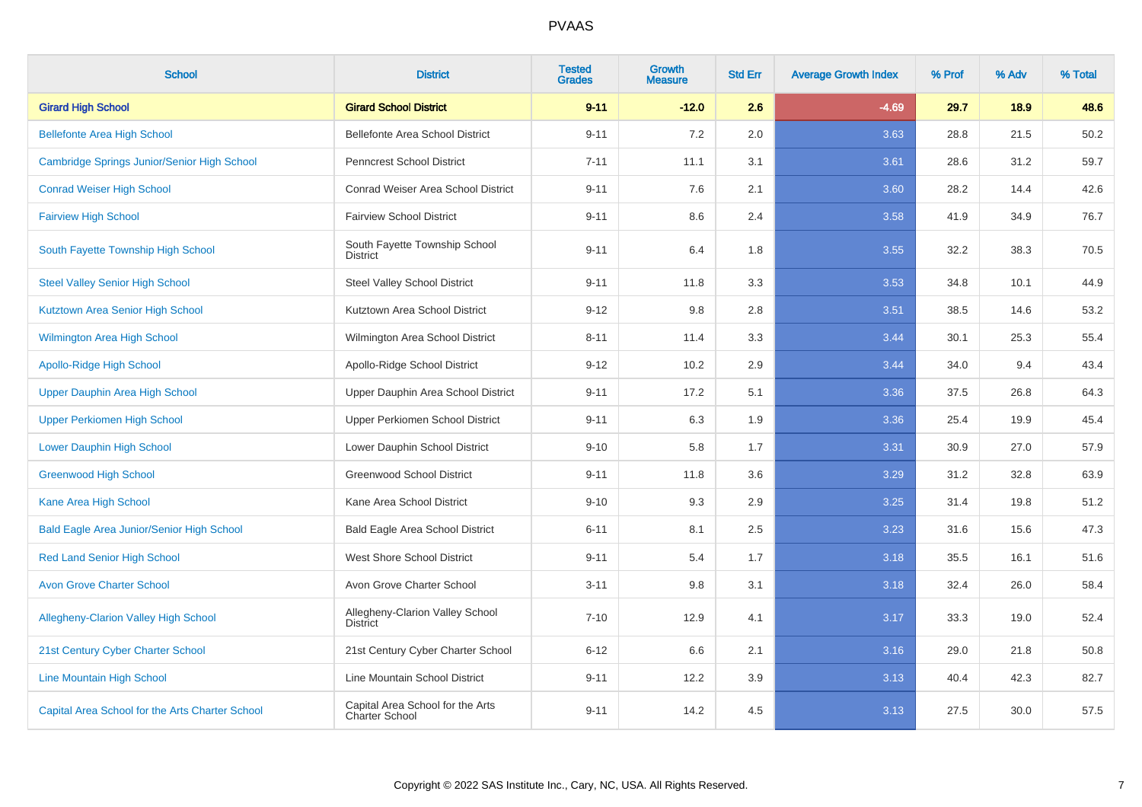| <b>School</b>                                    | <b>District</b>                                    | <b>Tested</b><br><b>Grades</b> | <b>Growth</b><br><b>Measure</b> | <b>Std Err</b> | <b>Average Growth Index</b> | % Prof | % Adv | % Total |
|--------------------------------------------------|----------------------------------------------------|--------------------------------|---------------------------------|----------------|-----------------------------|--------|-------|---------|
| <b>Girard High School</b>                        | <b>Girard School District</b>                      | $9 - 11$                       | $-12.0$                         | 2.6            | $-4.69$                     | 29.7   | 18.9  | 48.6    |
| <b>Bellefonte Area High School</b>               | Bellefonte Area School District                    | $9 - 11$                       | 7.2                             | 2.0            | 3.63                        | 28.8   | 21.5  | 50.2    |
| Cambridge Springs Junior/Senior High School      | <b>Penncrest School District</b>                   | $7 - 11$                       | 11.1                            | 3.1            | 3.61                        | 28.6   | 31.2  | 59.7    |
| <b>Conrad Weiser High School</b>                 | Conrad Weiser Area School District                 | $9 - 11$                       | 7.6                             | 2.1            | 3.60                        | 28.2   | 14.4  | 42.6    |
| <b>Fairview High School</b>                      | <b>Fairview School District</b>                    | $9 - 11$                       | 8.6                             | 2.4            | 3.58                        | 41.9   | 34.9  | 76.7    |
| South Fayette Township High School               | South Fayette Township School<br><b>District</b>   | $9 - 11$                       | 6.4                             | 1.8            | 3.55                        | 32.2   | 38.3  | 70.5    |
| <b>Steel Valley Senior High School</b>           | <b>Steel Valley School District</b>                | $9 - 11$                       | 11.8                            | 3.3            | 3.53                        | 34.8   | 10.1  | 44.9    |
| Kutztown Area Senior High School                 | Kutztown Area School District                      | $9 - 12$                       | 9.8                             | 2.8            | 3.51                        | 38.5   | 14.6  | 53.2    |
| <b>Wilmington Area High School</b>               | Wilmington Area School District                    | $8 - 11$                       | 11.4                            | 3.3            | 3.44                        | 30.1   | 25.3  | 55.4    |
| <b>Apollo-Ridge High School</b>                  | Apollo-Ridge School District                       | $9 - 12$                       | 10.2                            | 2.9            | 3.44                        | 34.0   | 9.4   | 43.4    |
| Upper Dauphin Area High School                   | Upper Dauphin Area School District                 | $9 - 11$                       | 17.2                            | 5.1            | 3.36                        | 37.5   | 26.8  | 64.3    |
| <b>Upper Perkiomen High School</b>               | Upper Perkiomen School District                    | $9 - 11$                       | 6.3                             | 1.9            | 3.36                        | 25.4   | 19.9  | 45.4    |
| <b>Lower Dauphin High School</b>                 | Lower Dauphin School District                      | $9 - 10$                       | 5.8                             | 1.7            | 3.31                        | 30.9   | 27.0  | 57.9    |
| <b>Greenwood High School</b>                     | <b>Greenwood School District</b>                   | $9 - 11$                       | 11.8                            | 3.6            | 3.29                        | 31.2   | 32.8  | 63.9    |
| Kane Area High School                            | Kane Area School District                          | $9 - 10$                       | 9.3                             | 2.9            | 3.25                        | 31.4   | 19.8  | 51.2    |
| <b>Bald Eagle Area Junior/Senior High School</b> | <b>Bald Eagle Area School District</b>             | $6 - 11$                       | 8.1                             | 2.5            | 3.23                        | 31.6   | 15.6  | 47.3    |
| <b>Red Land Senior High School</b>               | West Shore School District                         | $9 - 11$                       | 5.4                             | 1.7            | 3.18                        | 35.5   | 16.1  | 51.6    |
| <b>Avon Grove Charter School</b>                 | Avon Grove Charter School                          | $3 - 11$                       | 9.8                             | 3.1            | 3.18                        | 32.4   | 26.0  | 58.4    |
| Allegheny-Clarion Valley High School             | Allegheny-Clarion Valley School<br><b>District</b> | $7 - 10$                       | 12.9                            | 4.1            | 3.17                        | 33.3   | 19.0  | 52.4    |
| 21st Century Cyber Charter School                | 21st Century Cyber Charter School                  | $6 - 12$                       | 6.6                             | 2.1            | 3.16                        | 29.0   | 21.8  | 50.8    |
| <b>Line Mountain High School</b>                 | Line Mountain School District                      | $9 - 11$                       | 12.2                            | 3.9            | 3.13                        | 40.4   | 42.3  | 82.7    |
| Capital Area School for the Arts Charter School  | Capital Area School for the Arts<br>Charter School | $9 - 11$                       | 14.2                            | 4.5            | 3.13                        | 27.5   | 30.0  | 57.5    |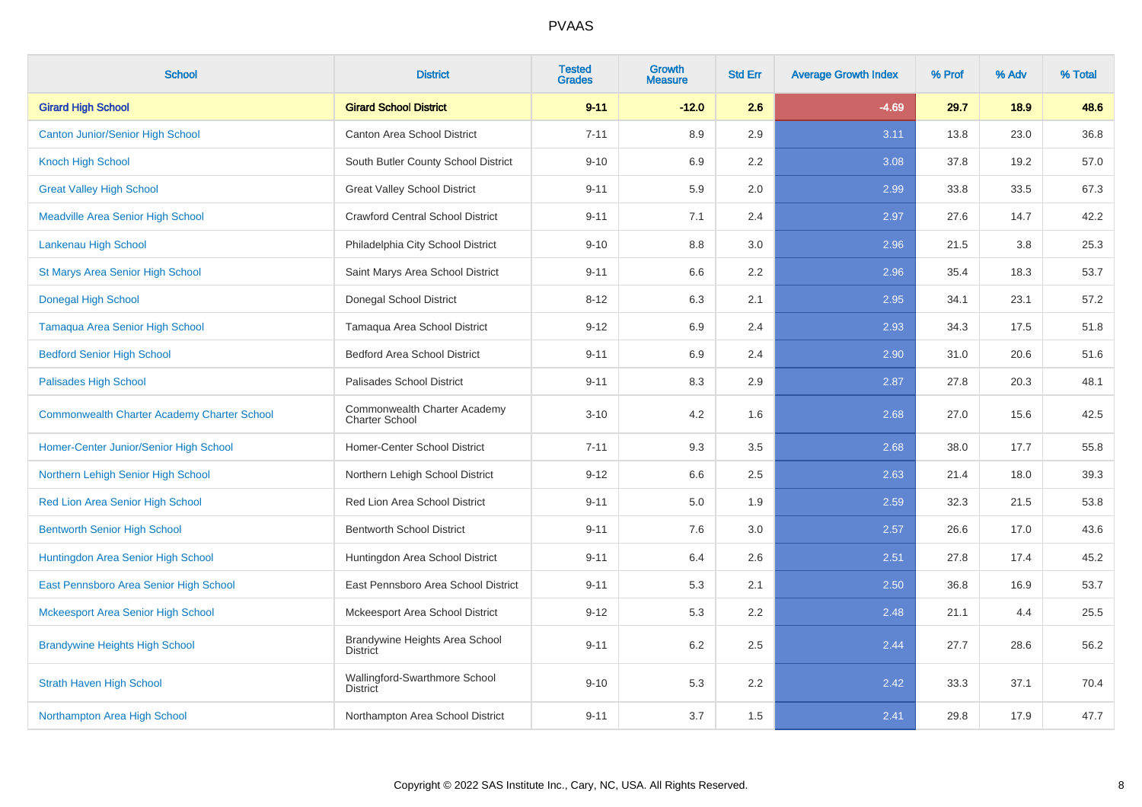| <b>School</b>                                      | <b>District</b>                                       | <b>Tested</b><br><b>Grades</b> | <b>Growth</b><br><b>Measure</b> | <b>Std Err</b> | <b>Average Growth Index</b> | % Prof | % Adv | % Total |
|----------------------------------------------------|-------------------------------------------------------|--------------------------------|---------------------------------|----------------|-----------------------------|--------|-------|---------|
| <b>Girard High School</b>                          | <b>Girard School District</b>                         | $9 - 11$                       | $-12.0$                         | 2.6            | $-4.69$                     | 29.7   | 18.9  | 48.6    |
| <b>Canton Junior/Senior High School</b>            | Canton Area School District                           | $7 - 11$                       | 8.9                             | 2.9            | 3.11                        | 13.8   | 23.0  | 36.8    |
| <b>Knoch High School</b>                           | South Butler County School District                   | $9 - 10$                       | 6.9                             | 2.2            | 3.08                        | 37.8   | 19.2  | 57.0    |
| <b>Great Valley High School</b>                    | <b>Great Valley School District</b>                   | $9 - 11$                       | 5.9                             | 2.0            | 2.99                        | 33.8   | 33.5  | 67.3    |
| <b>Meadville Area Senior High School</b>           | <b>Crawford Central School District</b>               | $9 - 11$                       | 7.1                             | 2.4            | 2.97                        | 27.6   | 14.7  | 42.2    |
| Lankenau High School                               | Philadelphia City School District                     | $9 - 10$                       | 8.8                             | 3.0            | 2.96                        | 21.5   | 3.8   | 25.3    |
| St Marys Area Senior High School                   | Saint Marys Area School District                      | $9 - 11$                       | 6.6                             | 2.2            | 2.96                        | 35.4   | 18.3  | 53.7    |
| <b>Donegal High School</b>                         | Donegal School District                               | $8 - 12$                       | 6.3                             | 2.1            | 2.95                        | 34.1   | 23.1  | 57.2    |
| <b>Tamaqua Area Senior High School</b>             | Tamaqua Area School District                          | $9 - 12$                       | 6.9                             | 2.4            | 2.93                        | 34.3   | 17.5  | 51.8    |
| <b>Bedford Senior High School</b>                  | <b>Bedford Area School District</b>                   | $9 - 11$                       | 6.9                             | 2.4            | 2.90                        | 31.0   | 20.6  | 51.6    |
| Palisades High School                              | Palisades School District                             | $9 - 11$                       | 8.3                             | 2.9            | 2.87                        | 27.8   | 20.3  | 48.1    |
| <b>Commonwealth Charter Academy Charter School</b> | Commonwealth Charter Academy<br><b>Charter School</b> | $3 - 10$                       | 4.2                             | 1.6            | 2.68                        | 27.0   | 15.6  | 42.5    |
| Homer-Center Junior/Senior High School             | Homer-Center School District                          | $7 - 11$                       | 9.3                             | 3.5            | 2.68                        | 38.0   | 17.7  | 55.8    |
| Northern Lehigh Senior High School                 | Northern Lehigh School District                       | $9 - 12$                       | 6.6                             | 2.5            | 2.63                        | 21.4   | 18.0  | 39.3    |
| Red Lion Area Senior High School                   | Red Lion Area School District                         | $9 - 11$                       | 5.0                             | 1.9            | 2.59                        | 32.3   | 21.5  | 53.8    |
| <b>Bentworth Senior High School</b>                | <b>Bentworth School District</b>                      | $9 - 11$                       | 7.6                             | 3.0            | 2.57                        | 26.6   | 17.0  | 43.6    |
| Huntingdon Area Senior High School                 | Huntingdon Area School District                       | $9 - 11$                       | 6.4                             | 2.6            | 2.51                        | 27.8   | 17.4  | 45.2    |
| East Pennsboro Area Senior High School             | East Pennsboro Area School District                   | $9 - 11$                       | 5.3                             | 2.1            | 2.50                        | 36.8   | 16.9  | 53.7    |
| <b>Mckeesport Area Senior High School</b>          | Mckeesport Area School District                       | $9 - 12$                       | 5.3                             | 2.2            | 2.48                        | 21.1   | 4.4   | 25.5    |
| <b>Brandywine Heights High School</b>              | Brandywine Heights Area School<br><b>District</b>     | $9 - 11$                       | 6.2                             | 2.5            | 2.44                        | 27.7   | 28.6  | 56.2    |
| <b>Strath Haven High School</b>                    | Wallingford-Swarthmore School<br><b>District</b>      | $9 - 10$                       | 5.3                             | 2.2            | 2.42                        | 33.3   | 37.1  | 70.4    |
| Northampton Area High School                       | Northampton Area School District                      | $9 - 11$                       | 3.7                             | 1.5            | 2.41                        | 29.8   | 17.9  | 47.7    |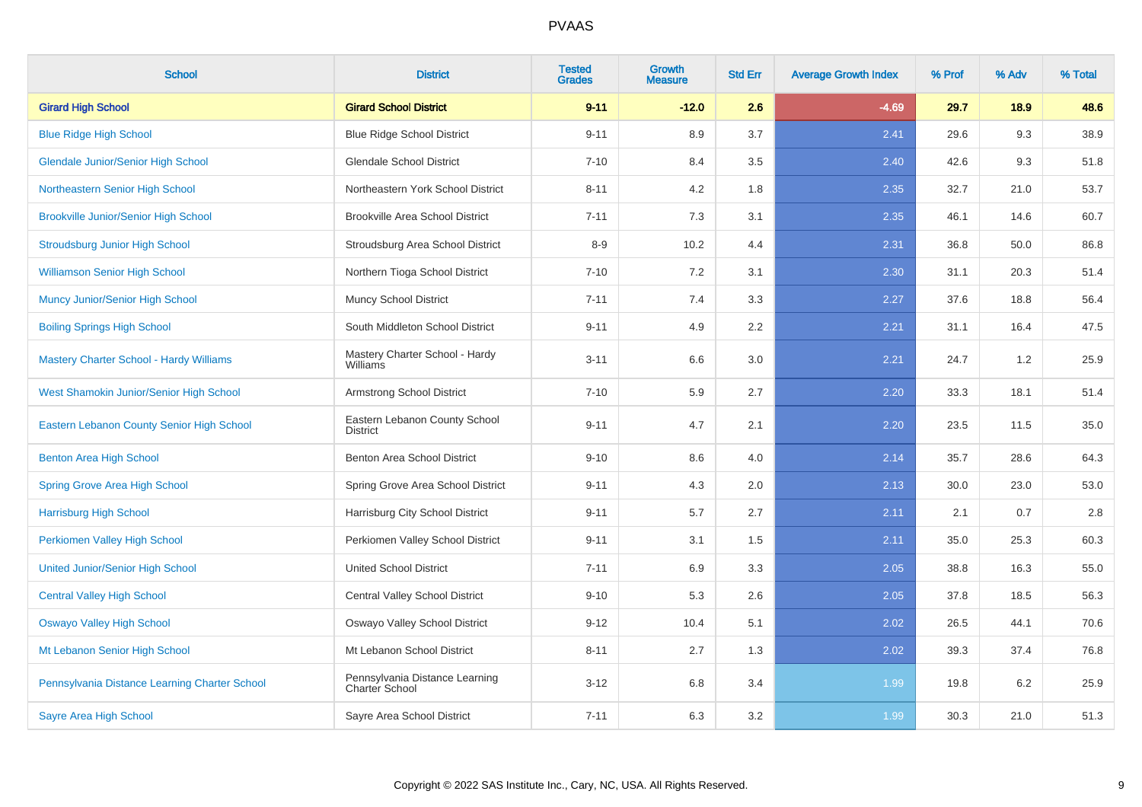| <b>School</b>                                  | <b>District</b>                                  | <b>Tested</b><br><b>Grades</b> | <b>Growth</b><br><b>Measure</b> | <b>Std Err</b> | <b>Average Growth Index</b> | % Prof | % Adv | % Total |
|------------------------------------------------|--------------------------------------------------|--------------------------------|---------------------------------|----------------|-----------------------------|--------|-------|---------|
| <b>Girard High School</b>                      | <b>Girard School District</b>                    | $9 - 11$                       | $-12.0$                         | 2.6            | $-4.69$                     | 29.7   | 18.9  | 48.6    |
| <b>Blue Ridge High School</b>                  | <b>Blue Ridge School District</b>                | $9 - 11$                       | 8.9                             | 3.7            | 2.41                        | 29.6   | 9.3   | 38.9    |
| <b>Glendale Junior/Senior High School</b>      | <b>Glendale School District</b>                  | $7 - 10$                       | 8.4                             | 3.5            | 2.40                        | 42.6   | 9.3   | 51.8    |
| Northeastern Senior High School                | Northeastern York School District                | $8 - 11$                       | 4.2                             | 1.8            | 2.35                        | 32.7   | 21.0  | 53.7    |
| <b>Brookville Junior/Senior High School</b>    | <b>Brookville Area School District</b>           | $7 - 11$                       | 7.3                             | 3.1            | 2.35                        | 46.1   | 14.6  | 60.7    |
| <b>Stroudsburg Junior High School</b>          | Stroudsburg Area School District                 | $8 - 9$                        | 10.2                            | 4.4            | 2.31                        | 36.8   | 50.0  | 86.8    |
| <b>Williamson Senior High School</b>           | Northern Tioga School District                   | $7 - 10$                       | 7.2                             | 3.1            | 2.30                        | 31.1   | 20.3  | 51.4    |
| Muncy Junior/Senior High School                | <b>Muncy School District</b>                     | $7 - 11$                       | 7.4                             | 3.3            | 2.27                        | 37.6   | 18.8  | 56.4    |
| <b>Boiling Springs High School</b>             | South Middleton School District                  | $9 - 11$                       | 4.9                             | 2.2            | 2.21                        | 31.1   | 16.4  | 47.5    |
| <b>Mastery Charter School - Hardy Williams</b> | Mastery Charter School - Hardy<br>Williams       | $3 - 11$                       | 6.6                             | 3.0            | 2.21                        | 24.7   | 1.2   | 25.9    |
| West Shamokin Junior/Senior High School        | Armstrong School District                        | $7 - 10$                       | 5.9                             | 2.7            | 2.20                        | 33.3   | 18.1  | 51.4    |
| Eastern Lebanon County Senior High School      | Eastern Lebanon County School<br><b>District</b> | $9 - 11$                       | 4.7                             | 2.1            | 2.20                        | 23.5   | 11.5  | 35.0    |
| <b>Benton Area High School</b>                 | Benton Area School District                      | $9 - 10$                       | 8.6                             | 4.0            | 2.14                        | 35.7   | 28.6  | 64.3    |
| <b>Spring Grove Area High School</b>           | Spring Grove Area School District                | $9 - 11$                       | 4.3                             | 2.0            | 2.13                        | 30.0   | 23.0  | 53.0    |
| <b>Harrisburg High School</b>                  | Harrisburg City School District                  | $9 - 11$                       | 5.7                             | 2.7            | 2.11                        | 2.1    | 0.7   | $2.8\,$ |
| Perkiomen Valley High School                   | Perkiomen Valley School District                 | $9 - 11$                       | 3.1                             | 1.5            | 2.11                        | 35.0   | 25.3  | 60.3    |
| <b>United Junior/Senior High School</b>        | United School District                           | $7 - 11$                       | 6.9                             | 3.3            | 2.05                        | 38.8   | 16.3  | 55.0    |
| <b>Central Valley High School</b>              | Central Valley School District                   | $9 - 10$                       | 5.3                             | 2.6            | 2.05                        | 37.8   | 18.5  | 56.3    |
| <b>Oswayo Valley High School</b>               | Oswayo Valley School District                    | $9 - 12$                       | 10.4                            | 5.1            | 2.02                        | 26.5   | 44.1  | 70.6    |
| Mt Lebanon Senior High School                  | Mt Lebanon School District                       | $8 - 11$                       | 2.7                             | 1.3            | 2.02                        | 39.3   | 37.4  | 76.8    |
| Pennsylvania Distance Learning Charter School  | Pennsylvania Distance Learning<br>Charter School | $3 - 12$                       | 6.8                             | 3.4            | 1.99                        | 19.8   | 6.2   | 25.9    |
| <b>Sayre Area High School</b>                  | Sayre Area School District                       | $7 - 11$                       | 6.3                             | 3.2            | 1.99                        | 30.3   | 21.0  | 51.3    |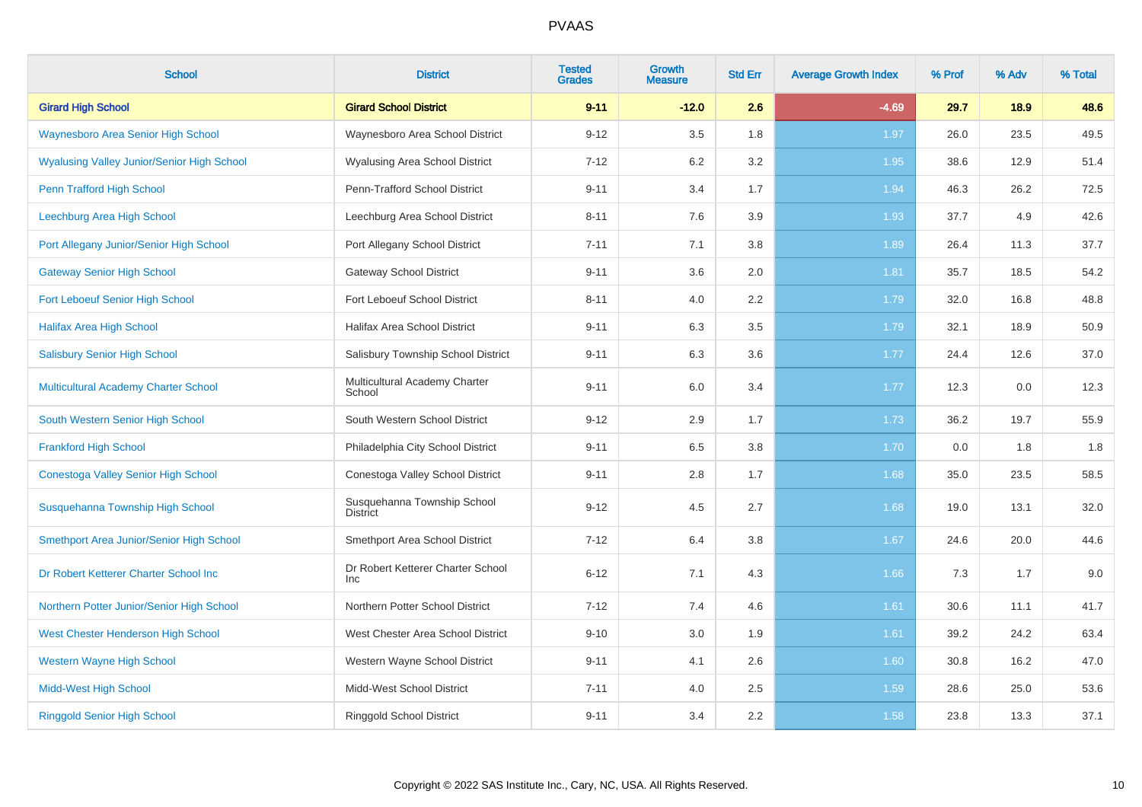| <b>School</b>                                     | <b>District</b>                                 | <b>Tested</b><br><b>Grades</b> | <b>Growth</b><br><b>Measure</b> | <b>Std Err</b> | <b>Average Growth Index</b> | % Prof | % Adv | % Total |
|---------------------------------------------------|-------------------------------------------------|--------------------------------|---------------------------------|----------------|-----------------------------|--------|-------|---------|
| <b>Girard High School</b>                         | <b>Girard School District</b>                   | $9 - 11$                       | $-12.0$                         | 2.6            | $-4.69$                     | 29.7   | 18.9  | 48.6    |
| Waynesboro Area Senior High School                | Waynesboro Area School District                 | $9 - 12$                       | 3.5                             | 1.8            | 1.97                        | 26.0   | 23.5  | 49.5    |
| <b>Wyalusing Valley Junior/Senior High School</b> | Wyalusing Area School District                  | $7 - 12$                       | 6.2                             | 3.2            | 1.95                        | 38.6   | 12.9  | 51.4    |
| Penn Trafford High School                         | Penn-Trafford School District                   | $9 - 11$                       | 3.4                             | 1.7            | 1.94                        | 46.3   | 26.2  | 72.5    |
| Leechburg Area High School                        | Leechburg Area School District                  | $8 - 11$                       | 7.6                             | 3.9            | 1.93                        | 37.7   | 4.9   | 42.6    |
| Port Allegany Junior/Senior High School           | Port Allegany School District                   | $7 - 11$                       | 7.1                             | 3.8            | 1.89                        | 26.4   | 11.3  | 37.7    |
| <b>Gateway Senior High School</b>                 | <b>Gateway School District</b>                  | $9 - 11$                       | 3.6                             | 2.0            | 1.81                        | 35.7   | 18.5  | 54.2    |
| Fort Leboeuf Senior High School                   | Fort Leboeuf School District                    | $8 - 11$                       | 4.0                             | 2.2            | 1.79                        | 32.0   | 16.8  | 48.8    |
| <b>Halifax Area High School</b>                   | Halifax Area School District                    | $9 - 11$                       | 6.3                             | 3.5            | 1.79                        | 32.1   | 18.9  | 50.9    |
| <b>Salisbury Senior High School</b>               | Salisbury Township School District              | $9 - 11$                       | 6.3                             | 3.6            | 1.77                        | 24.4   | 12.6  | 37.0    |
| Multicultural Academy Charter School              | Multicultural Academy Charter<br>School         | $9 - 11$                       | 6.0                             | 3.4            | 1.77                        | 12.3   | 0.0   | 12.3    |
| South Western Senior High School                  | South Western School District                   | $9 - 12$                       | 2.9                             | 1.7            | 1.73                        | 36.2   | 19.7  | 55.9    |
| <b>Frankford High School</b>                      | Philadelphia City School District               | $9 - 11$                       | 6.5                             | 3.8            | 1.70                        | 0.0    | 1.8   | 1.8     |
| Conestoga Valley Senior High School               | Conestoga Valley School District                | $9 - 11$                       | 2.8                             | 1.7            | 1.68                        | 35.0   | 23.5  | 58.5    |
| Susquehanna Township High School                  | Susquehanna Township School<br><b>District</b>  | $9 - 12$                       | 4.5                             | 2.7            | 1.68                        | 19.0   | 13.1  | 32.0    |
| Smethport Area Junior/Senior High School          | Smethport Area School District                  | $7 - 12$                       | 6.4                             | 3.8            | 1.67                        | 24.6   | 20.0  | 44.6    |
| Dr Robert Ketterer Charter School Inc             | Dr Robert Ketterer Charter School<br><b>Inc</b> | $6 - 12$                       | 7.1                             | 4.3            | 1.66                        | 7.3    | 1.7   | 9.0     |
| Northern Potter Junior/Senior High School         | Northern Potter School District                 | $7 - 12$                       | 7.4                             | 4.6            | 1.61                        | 30.6   | 11.1  | 41.7    |
| West Chester Henderson High School                | West Chester Area School District               | $9 - 10$                       | 3.0                             | 1.9            | 1.61                        | 39.2   | 24.2  | 63.4    |
| <b>Western Wayne High School</b>                  | Western Wayne School District                   | $9 - 11$                       | 4.1                             | 2.6            | 1.60                        | 30.8   | 16.2  | 47.0    |
| <b>Midd-West High School</b>                      | Midd-West School District                       | $7 - 11$                       | 4.0                             | 2.5            | 1.59                        | 28.6   | 25.0  | 53.6    |
| <b>Ringgold Senior High School</b>                | <b>Ringgold School District</b>                 | $9 - 11$                       | 3.4                             | 2.2            | 1.58                        | 23.8   | 13.3  | 37.1    |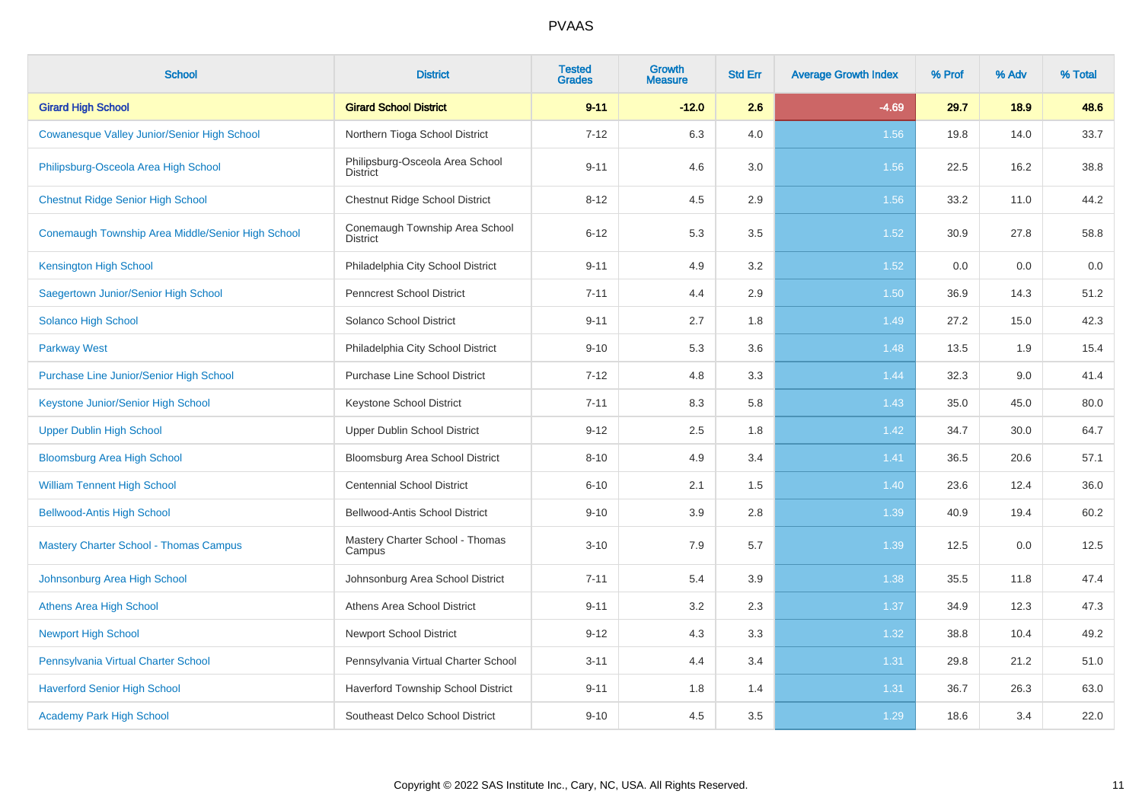| <b>School</b>                                     | <b>District</b>                                    | <b>Tested</b><br><b>Grades</b> | <b>Growth</b><br><b>Measure</b> | <b>Std Err</b> | <b>Average Growth Index</b> | % Prof | % Adv | % Total |
|---------------------------------------------------|----------------------------------------------------|--------------------------------|---------------------------------|----------------|-----------------------------|--------|-------|---------|
| <b>Girard High School</b>                         | <b>Girard School District</b>                      | $9 - 11$                       | $-12.0$                         | 2.6            | $-4.69$                     | 29.7   | 18.9  | 48.6    |
| Cowanesque Valley Junior/Senior High School       | Northern Tioga School District                     | $7 - 12$                       | 6.3                             | 4.0            | 1.56                        | 19.8   | 14.0  | 33.7    |
| Philipsburg-Osceola Area High School              | Philipsburg-Osceola Area School<br><b>District</b> | $9 - 11$                       | 4.6                             | 3.0            | 1.56                        | 22.5   | 16.2  | 38.8    |
| <b>Chestnut Ridge Senior High School</b>          | Chestnut Ridge School District                     | $8 - 12$                       | 4.5                             | 2.9            | 1.56                        | 33.2   | 11.0  | 44.2    |
| Conemaugh Township Area Middle/Senior High School | Conemaugh Township Area School<br><b>District</b>  | $6 - 12$                       | 5.3                             | 3.5            | 1.52                        | 30.9   | 27.8  | 58.8    |
| <b>Kensington High School</b>                     | Philadelphia City School District                  | $9 - 11$                       | 4.9                             | 3.2            | 1.52                        | 0.0    | 0.0   | 0.0     |
| Saegertown Junior/Senior High School              | <b>Penncrest School District</b>                   | $7 - 11$                       | 4.4                             | 2.9            | 1.50                        | 36.9   | 14.3  | 51.2    |
| <b>Solanco High School</b>                        | Solanco School District                            | $9 - 11$                       | 2.7                             | 1.8            | 1.49                        | 27.2   | 15.0  | 42.3    |
| <b>Parkway West</b>                               | Philadelphia City School District                  | $9 - 10$                       | 5.3                             | 3.6            | 1.48                        | 13.5   | 1.9   | 15.4    |
| <b>Purchase Line Junior/Senior High School</b>    | <b>Purchase Line School District</b>               | $7 - 12$                       | 4.8                             | 3.3            | 1.44                        | 32.3   | 9.0   | 41.4    |
| Keystone Junior/Senior High School                | <b>Keystone School District</b>                    | $7 - 11$                       | 8.3                             | 5.8            | 1.43                        | 35.0   | 45.0  | 80.0    |
| <b>Upper Dublin High School</b>                   | Upper Dublin School District                       | $9 - 12$                       | 2.5                             | 1.8            | 1.42                        | 34.7   | 30.0  | 64.7    |
| <b>Bloomsburg Area High School</b>                | Bloomsburg Area School District                    | $8 - 10$                       | 4.9                             | 3.4            | 1.41                        | 36.5   | 20.6  | 57.1    |
| <b>William Tennent High School</b>                | <b>Centennial School District</b>                  | $6 - 10$                       | 2.1                             | 1.5            | 1.40                        | 23.6   | 12.4  | 36.0    |
| <b>Bellwood-Antis High School</b>                 | Bellwood-Antis School District                     | $9 - 10$                       | 3.9                             | 2.8            | 1.39                        | 40.9   | 19.4  | 60.2    |
| <b>Mastery Charter School - Thomas Campus</b>     | Mastery Charter School - Thomas<br>Campus          | $3 - 10$                       | 7.9                             | 5.7            | 1.39                        | 12.5   | 0.0   | 12.5    |
| Johnsonburg Area High School                      | Johnsonburg Area School District                   | $7 - 11$                       | 5.4                             | 3.9            | 1.38                        | 35.5   | 11.8  | 47.4    |
| <b>Athens Area High School</b>                    | Athens Area School District                        | $9 - 11$                       | 3.2                             | 2.3            | 1.37                        | 34.9   | 12.3  | 47.3    |
| <b>Newport High School</b>                        | <b>Newport School District</b>                     | $9 - 12$                       | 4.3                             | 3.3            | 1.32                        | 38.8   | 10.4  | 49.2    |
| Pennsylvania Virtual Charter School               | Pennsylvania Virtual Charter School                | $3 - 11$                       | 4.4                             | 3.4            | 1.31                        | 29.8   | 21.2  | 51.0    |
| <b>Haverford Senior High School</b>               | Haverford Township School District                 | $9 - 11$                       | 1.8                             | 1.4            | 1.31                        | 36.7   | 26.3  | 63.0    |
| <b>Academy Park High School</b>                   | Southeast Delco School District                    | $9 - 10$                       | 4.5                             | 3.5            | 1.29                        | 18.6   | 3.4   | 22.0    |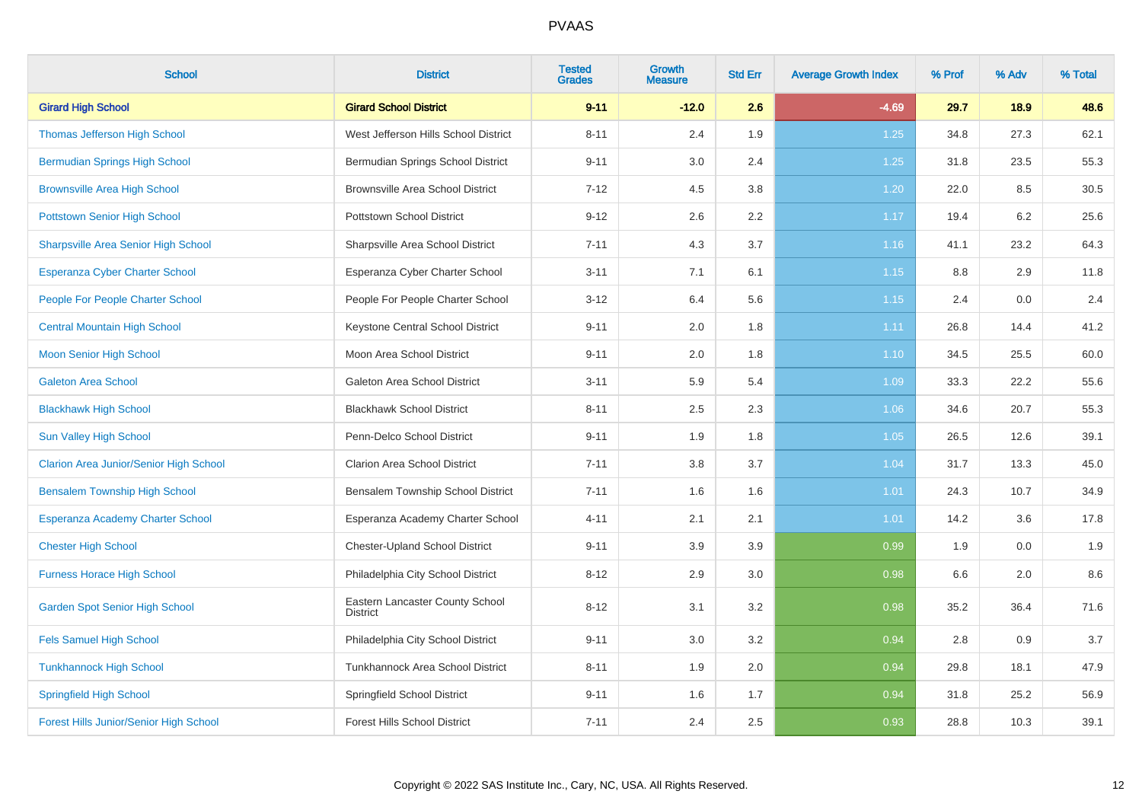| <b>School</b>                                 | <b>District</b>                                    | <b>Tested</b><br><b>Grades</b> | Growth<br><b>Measure</b> | <b>Std Err</b> | <b>Average Growth Index</b> | % Prof | % Adv | % Total |
|-----------------------------------------------|----------------------------------------------------|--------------------------------|--------------------------|----------------|-----------------------------|--------|-------|---------|
| <b>Girard High School</b>                     | <b>Girard School District</b>                      | $9 - 11$                       | $-12.0$                  | 2.6            | $-4.69$                     | 29.7   | 18.9  | 48.6    |
| Thomas Jefferson High School                  | West Jefferson Hills School District               | $8 - 11$                       | 2.4                      | 1.9            | 1.25                        | 34.8   | 27.3  | 62.1    |
| <b>Bermudian Springs High School</b>          | Bermudian Springs School District                  | $9 - 11$                       | 3.0                      | 2.4            | 1.25                        | 31.8   | 23.5  | 55.3    |
| <b>Brownsville Area High School</b>           | <b>Brownsville Area School District</b>            | $7 - 12$                       | 4.5                      | 3.8            | 1.20                        | 22.0   | 8.5   | 30.5    |
| <b>Pottstown Senior High School</b>           | Pottstown School District                          | $9 - 12$                       | 2.6                      | 2.2            | 1.17                        | 19.4   | 6.2   | 25.6    |
| <b>Sharpsville Area Senior High School</b>    | Sharpsville Area School District                   | $7 - 11$                       | 4.3                      | 3.7            | 1.16                        | 41.1   | 23.2  | 64.3    |
| Esperanza Cyber Charter School                | Esperanza Cyber Charter School                     | $3 - 11$                       | 7.1                      | 6.1            | 1.15                        | 8.8    | 2.9   | 11.8    |
| People For People Charter School              | People For People Charter School                   | $3 - 12$                       | 6.4                      | 5.6            | 1.15                        | 2.4    | 0.0   | 2.4     |
| <b>Central Mountain High School</b>           | Keystone Central School District                   | $9 - 11$                       | 2.0                      | 1.8            | 1.11                        | 26.8   | 14.4  | 41.2    |
| <b>Moon Senior High School</b>                | Moon Area School District                          | $9 - 11$                       | 2.0                      | 1.8            | 1.10                        | 34.5   | 25.5  | 60.0    |
| <b>Galeton Area School</b>                    | Galeton Area School District                       | $3 - 11$                       | 5.9                      | 5.4            | 1.09                        | 33.3   | 22.2  | 55.6    |
| <b>Blackhawk High School</b>                  | <b>Blackhawk School District</b>                   | $8 - 11$                       | 2.5                      | 2.3            | 1.06                        | 34.6   | 20.7  | 55.3    |
| Sun Valley High School                        | Penn-Delco School District                         | $9 - 11$                       | 1.9                      | 1.8            | 1.05                        | 26.5   | 12.6  | 39.1    |
| <b>Clarion Area Junior/Senior High School</b> | <b>Clarion Area School District</b>                | $7 - 11$                       | 3.8                      | 3.7            | 1.04                        | 31.7   | 13.3  | 45.0    |
| <b>Bensalem Township High School</b>          | Bensalem Township School District                  | $7 - 11$                       | 1.6                      | 1.6            | 1.01                        | 24.3   | 10.7  | 34.9    |
| Esperanza Academy Charter School              | Esperanza Academy Charter School                   | $4 - 11$                       | 2.1                      | 2.1            | 1.01                        | 14.2   | 3.6   | 17.8    |
| <b>Chester High School</b>                    | Chester-Upland School District                     | $9 - 11$                       | 3.9                      | 3.9            | 0.99                        | 1.9    | 0.0   | 1.9     |
| <b>Furness Horace High School</b>             | Philadelphia City School District                  | $8 - 12$                       | 2.9                      | 3.0            | 0.98                        | 6.6    | 2.0   | 8.6     |
| <b>Garden Spot Senior High School</b>         | Eastern Lancaster County School<br><b>District</b> | $8 - 12$                       | 3.1                      | 3.2            | 0.98                        | 35.2   | 36.4  | 71.6    |
| <b>Fels Samuel High School</b>                | Philadelphia City School District                  | $9 - 11$                       | 3.0                      | 3.2            | 0.94                        | 2.8    | 0.9   | $3.7\,$ |
| <b>Tunkhannock High School</b>                | <b>Tunkhannock Area School District</b>            | $8 - 11$                       | 1.9                      | 2.0            | 0.94                        | 29.8   | 18.1  | 47.9    |
| <b>Springfield High School</b>                | Springfield School District                        | $9 - 11$                       | 1.6                      | 1.7            | 0.94                        | 31.8   | 25.2  | 56.9    |
| <b>Forest Hills Junior/Senior High School</b> | <b>Forest Hills School District</b>                | $7 - 11$                       | 2.4                      | 2.5            | 0.93                        | 28.8   | 10.3  | 39.1    |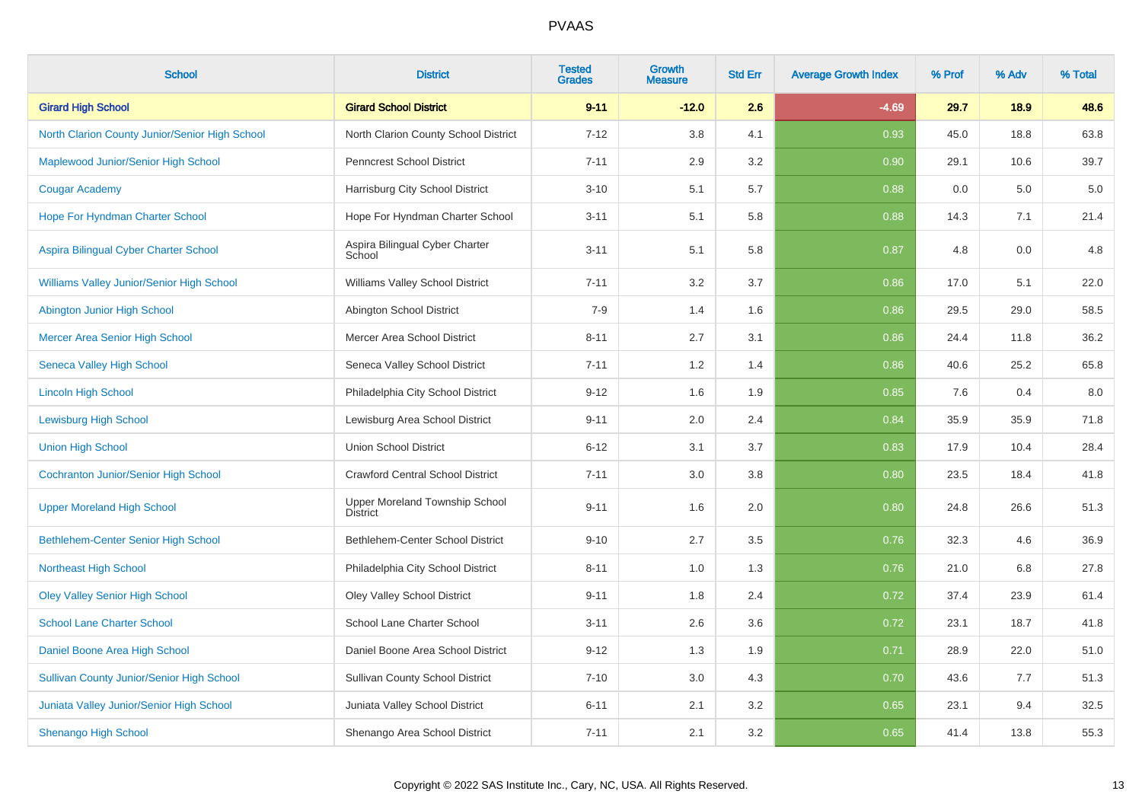| <b>School</b>                                    | <b>District</b>                                   | <b>Tested</b><br><b>Grades</b> | <b>Growth</b><br><b>Measure</b> | <b>Std Err</b> | <b>Average Growth Index</b> | % Prof | % Adv | % Total |
|--------------------------------------------------|---------------------------------------------------|--------------------------------|---------------------------------|----------------|-----------------------------|--------|-------|---------|
| <b>Girard High School</b>                        | <b>Girard School District</b>                     | $9 - 11$                       | $-12.0$                         | 2.6            | $-4.69$                     | 29.7   | 18.9  | 48.6    |
| North Clarion County Junior/Senior High School   | North Clarion County School District              | $7 - 12$                       | 3.8                             | 4.1            | 0.93                        | 45.0   | 18.8  | 63.8    |
| Maplewood Junior/Senior High School              | <b>Penncrest School District</b>                  | $7 - 11$                       | 2.9                             | 3.2            | 0.90                        | 29.1   | 10.6  | 39.7    |
| <b>Cougar Academy</b>                            | Harrisburg City School District                   | $3 - 10$                       | 5.1                             | 5.7            | 0.88                        | 0.0    | 5.0   | $5.0\,$ |
| Hope For Hyndman Charter School                  | Hope For Hyndman Charter School                   | $3 - 11$                       | 5.1                             | 5.8            | 0.88                        | 14.3   | 7.1   | 21.4    |
| Aspira Bilingual Cyber Charter School            | Aspira Bilingual Cyber Charter<br>School          | $3 - 11$                       | 5.1                             | 5.8            | 0.87                        | 4.8    | 0.0   | 4.8     |
| Williams Valley Junior/Senior High School        | Williams Valley School District                   | $7 - 11$                       | 3.2                             | 3.7            | 0.86                        | 17.0   | 5.1   | 22.0    |
| Abington Junior High School                      | Abington School District                          | $7-9$                          | 1.4                             | 1.6            | 0.86                        | 29.5   | 29.0  | 58.5    |
| Mercer Area Senior High School                   | Mercer Area School District                       | $8 - 11$                       | 2.7                             | 3.1            | 0.86                        | 24.4   | 11.8  | 36.2    |
| <b>Seneca Valley High School</b>                 | Seneca Valley School District                     | $7 - 11$                       | 1.2                             | 1.4            | 0.86                        | 40.6   | 25.2  | 65.8    |
| <b>Lincoln High School</b>                       | Philadelphia City School District                 | $9 - 12$                       | 1.6                             | 1.9            | 0.85                        | 7.6    | 0.4   | $8.0\,$ |
| <b>Lewisburg High School</b>                     | Lewisburg Area School District                    | $9 - 11$                       | 2.0                             | 2.4            | 0.84                        | 35.9   | 35.9  | 71.8    |
| <b>Union High School</b>                         | <b>Union School District</b>                      | $6 - 12$                       | 3.1                             | 3.7            | 0.83                        | 17.9   | 10.4  | 28.4    |
| <b>Cochranton Junior/Senior High School</b>      | <b>Crawford Central School District</b>           | $7 - 11$                       | 3.0                             | 3.8            | 0.80                        | 23.5   | 18.4  | 41.8    |
| <b>Upper Moreland High School</b>                | Upper Moreland Township School<br><b>District</b> | $9 - 11$                       | 1.6                             | 2.0            | 0.80                        | 24.8   | 26.6  | 51.3    |
| Bethlehem-Center Senior High School              | Bethlehem-Center School District                  | $9 - 10$                       | 2.7                             | 3.5            | 0.76                        | 32.3   | 4.6   | 36.9    |
| <b>Northeast High School</b>                     | Philadelphia City School District                 | $8 - 11$                       | 1.0                             | 1.3            | 0.76                        | 21.0   | 6.8   | 27.8    |
| <b>Oley Valley Senior High School</b>            | <b>Oley Valley School District</b>                | $9 - 11$                       | 1.8                             | 2.4            | 0.72                        | 37.4   | 23.9  | 61.4    |
| <b>School Lane Charter School</b>                | School Lane Charter School                        | $3 - 11$                       | 2.6                             | $3.6\,$        | 0.72                        | 23.1   | 18.7  | 41.8    |
| Daniel Boone Area High School                    | Daniel Boone Area School District                 | $9 - 12$                       | 1.3                             | 1.9            | 0.71                        | 28.9   | 22.0  | 51.0    |
| <b>Sullivan County Junior/Senior High School</b> | <b>Sullivan County School District</b>            | $7 - 10$                       | 3.0                             | 4.3            | 0.70                        | 43.6   | 7.7   | 51.3    |
| <b>Juniata Valley Junior/Senior High School</b>  | Juniata Valley School District                    | $6 - 11$                       | 2.1                             | 3.2            | 0.65                        | 23.1   | 9.4   | 32.5    |
| <b>Shenango High School</b>                      | Shenango Area School District                     | $7 - 11$                       | 2.1                             | 3.2            | 0.65                        | 41.4   | 13.8  | 55.3    |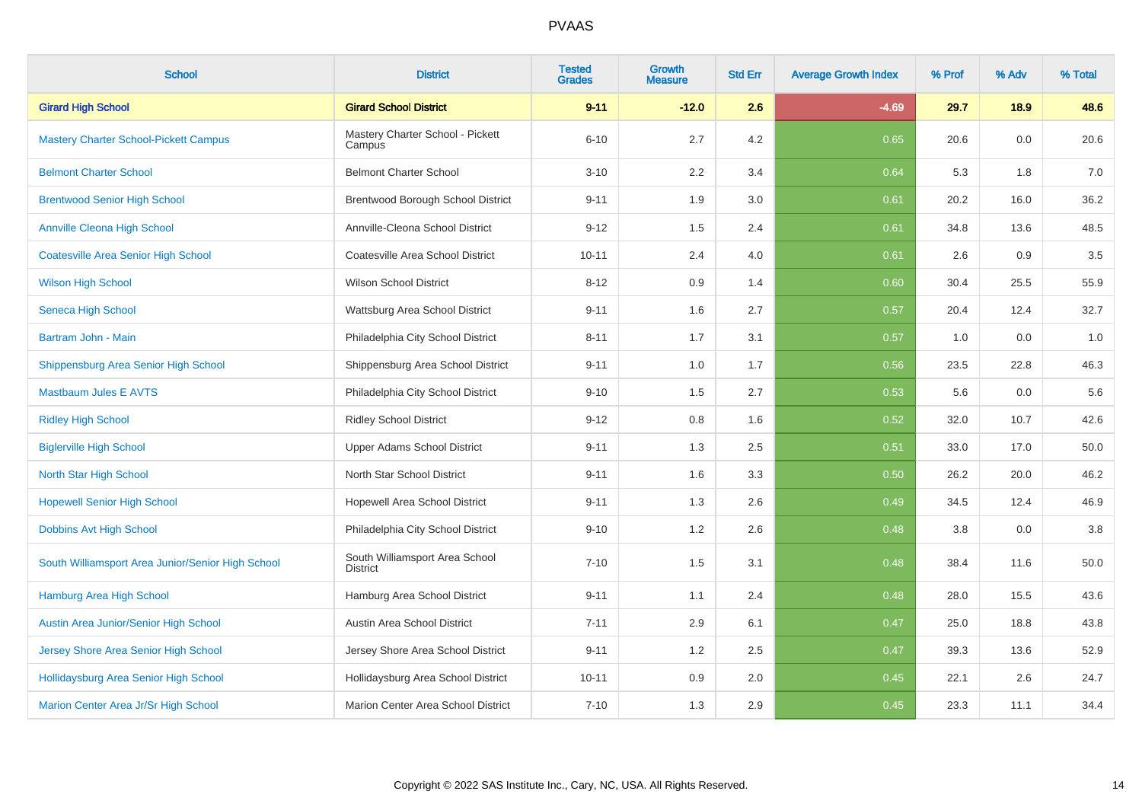| <b>School</b>                                     | <b>District</b>                                   | <b>Tested</b><br><b>Grades</b> | Growth<br>Measure | <b>Std Err</b> | <b>Average Growth Index</b> | % Prof | % Adv | % Total |
|---------------------------------------------------|---------------------------------------------------|--------------------------------|-------------------|----------------|-----------------------------|--------|-------|---------|
| <b>Girard High School</b>                         | <b>Girard School District</b>                     | $9 - 11$                       | $-12.0$           | 2.6            | $-4.69$                     | 29.7   | 18.9  | 48.6    |
| <b>Mastery Charter School-Pickett Campus</b>      | Mastery Charter School - Pickett<br>Campus        | $6 - 10$                       | 2.7               | 4.2            | 0.65                        | 20.6   | 0.0   | 20.6    |
| <b>Belmont Charter School</b>                     | <b>Belmont Charter School</b>                     | $3 - 10$                       | 2.2               | 3.4            | 0.64                        | 5.3    | 1.8   | 7.0     |
| <b>Brentwood Senior High School</b>               | Brentwood Borough School District                 | $9 - 11$                       | 1.9               | 3.0            | 0.61                        | 20.2   | 16.0  | 36.2    |
| <b>Annville Cleona High School</b>                | Annville-Cleona School District                   | $9 - 12$                       | 1.5               | 2.4            | 0.61                        | 34.8   | 13.6  | 48.5    |
| <b>Coatesville Area Senior High School</b>        | Coatesville Area School District                  | $10 - 11$                      | 2.4               | 4.0            | 0.61                        | 2.6    | 0.9   | $3.5\,$ |
| <b>Wilson High School</b>                         | <b>Wilson School District</b>                     | $8 - 12$                       | 0.9               | 1.4            | 0.60                        | 30.4   | 25.5  | 55.9    |
| Seneca High School                                | Wattsburg Area School District                    | $9 - 11$                       | 1.6               | 2.7            | 0.57                        | 20.4   | 12.4  | 32.7    |
| Bartram John - Main                               | Philadelphia City School District                 | $8 - 11$                       | 1.7               | 3.1            | 0.57                        | 1.0    | 0.0   | 1.0     |
| Shippensburg Area Senior High School              | Shippensburg Area School District                 | $9 - 11$                       | 1.0               | 1.7            | 0.56                        | 23.5   | 22.8  | 46.3    |
| <b>Mastbaum Jules E AVTS</b>                      | Philadelphia City School District                 | $9 - 10$                       | 1.5               | 2.7            | 0.53                        | 5.6    | 0.0   | 5.6     |
| <b>Ridley High School</b>                         | <b>Ridley School District</b>                     | $9 - 12$                       | 0.8               | 1.6            | 0.52                        | 32.0   | 10.7  | 42.6    |
| <b>Biglerville High School</b>                    | Upper Adams School District                       | $9 - 11$                       | 1.3               | 2.5            | 0.51                        | 33.0   | 17.0  | 50.0    |
| North Star High School                            | North Star School District                        | $9 - 11$                       | 1.6               | 3.3            | 0.50                        | 26.2   | 20.0  | 46.2    |
| <b>Hopewell Senior High School</b>                | Hopewell Area School District                     | $9 - 11$                       | 1.3               | 2.6            | 0.49                        | 34.5   | 12.4  | 46.9    |
| Dobbins Avt High School                           | Philadelphia City School District                 | $9 - 10$                       | 1.2               | 2.6            | 0.48                        | 3.8    | 0.0   | $3.8\,$ |
| South Williamsport Area Junior/Senior High School | South Williamsport Area School<br><b>District</b> | $7 - 10$                       | 1.5               | 3.1            | 0.48                        | 38.4   | 11.6  | 50.0    |
| Hamburg Area High School                          | Hamburg Area School District                      | $9 - 11$                       | 1.1               | 2.4            | 0.48                        | 28.0   | 15.5  | 43.6    |
| Austin Area Junior/Senior High School             | Austin Area School District                       | $7 - 11$                       | 2.9               | 6.1            | 0.47                        | 25.0   | 18.8  | 43.8    |
| Jersey Shore Area Senior High School              | Jersey Shore Area School District                 | $9 - 11$                       | 1.2               | 2.5            | 0.47                        | 39.3   | 13.6  | 52.9    |
| Hollidaysburg Area Senior High School             | Hollidaysburg Area School District                | $10 - 11$                      | 0.9               | 2.0            | 0.45                        | 22.1   | 2.6   | 24.7    |
| Marion Center Area Jr/Sr High School              | Marion Center Area School District                | $7 - 10$                       | 1.3               | 2.9            | 0.45                        | 23.3   | 11.1  | 34.4    |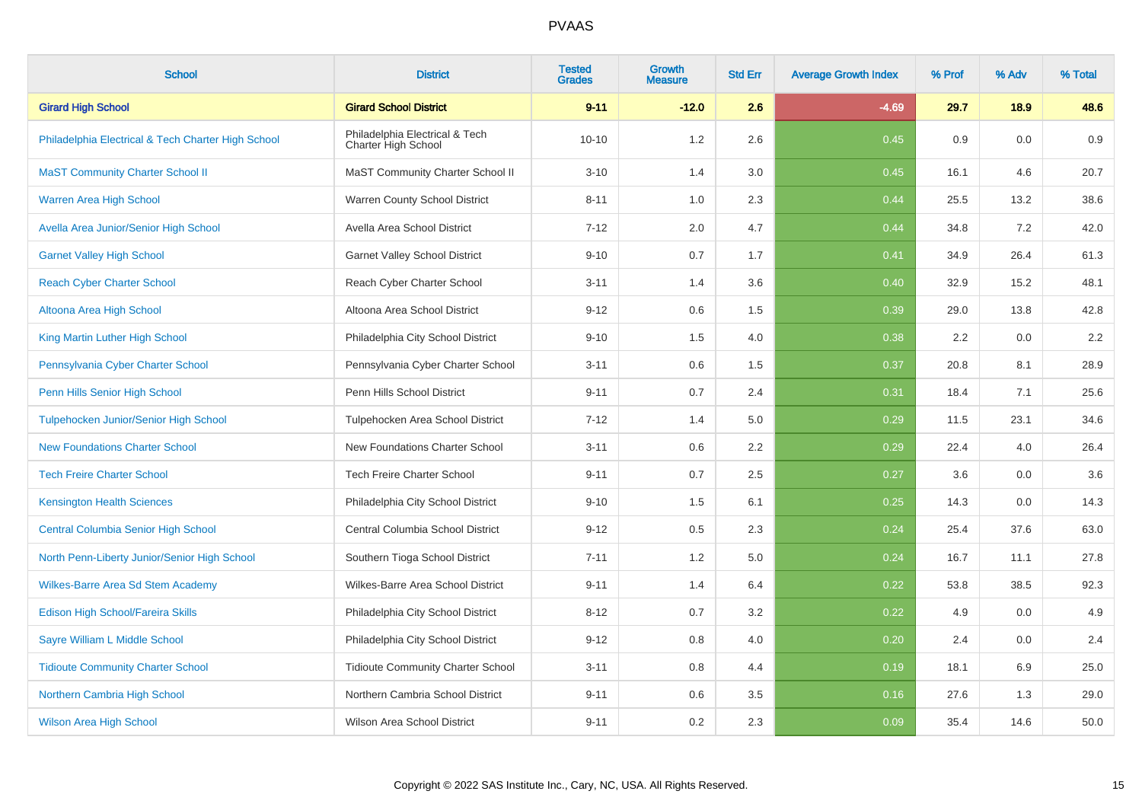| <b>School</b>                                      | <b>District</b>                                       | <b>Tested</b><br><b>Grades</b> | Growth<br><b>Measure</b> | <b>Std Err</b> | <b>Average Growth Index</b> | % Prof | % Adv | % Total |
|----------------------------------------------------|-------------------------------------------------------|--------------------------------|--------------------------|----------------|-----------------------------|--------|-------|---------|
| <b>Girard High School</b>                          | <b>Girard School District</b>                         | $9 - 11$                       | $-12.0$                  | 2.6            | $-4.69$                     | 29.7   | 18.9  | 48.6    |
| Philadelphia Electrical & Tech Charter High School | Philadelphia Electrical & Tech<br>Charter High School | $10 - 10$                      | 1.2                      | 2.6            | 0.45                        | 0.9    | 0.0   | 0.9     |
| <b>MaST Community Charter School II</b>            | MaST Community Charter School II                      | $3 - 10$                       | 1.4                      | 3.0            | 0.45                        | 16.1   | 4.6   | 20.7    |
| Warren Area High School                            | Warren County School District                         | $8 - 11$                       | 1.0                      | 2.3            | 0.44                        | 25.5   | 13.2  | 38.6    |
| Avella Area Junior/Senior High School              | Avella Area School District                           | $7 - 12$                       | 2.0                      | 4.7            | 0.44                        | 34.8   | 7.2   | 42.0    |
| <b>Garnet Valley High School</b>                   | <b>Garnet Valley School District</b>                  | $9 - 10$                       | 0.7                      | 1.7            | 0.41                        | 34.9   | 26.4  | 61.3    |
| <b>Reach Cyber Charter School</b>                  | Reach Cyber Charter School                            | $3 - 11$                       | 1.4                      | 3.6            | 0.40                        | 32.9   | 15.2  | 48.1    |
| Altoona Area High School                           | Altoona Area School District                          | $9 - 12$                       | 0.6                      | 1.5            | 0.39                        | 29.0   | 13.8  | 42.8    |
| King Martin Luther High School                     | Philadelphia City School District                     | $9 - 10$                       | 1.5                      | 4.0            | 0.38                        | 2.2    | 0.0   | 2.2     |
| Pennsylvania Cyber Charter School                  | Pennsylvania Cyber Charter School                     | $3 - 11$                       | 0.6                      | 1.5            | 0.37                        | 20.8   | 8.1   | 28.9    |
| Penn Hills Senior High School                      | Penn Hills School District                            | $9 - 11$                       | $0.7\,$                  | 2.4            | 0.31                        | 18.4   | 7.1   | 25.6    |
| Tulpehocken Junior/Senior High School              | Tulpehocken Area School District                      | $7 - 12$                       | 1.4                      | 5.0            | 0.29                        | 11.5   | 23.1  | 34.6    |
| <b>New Foundations Charter School</b>              | New Foundations Charter School                        | $3 - 11$                       | 0.6                      | 2.2            | 0.29                        | 22.4   | 4.0   | 26.4    |
| <b>Tech Freire Charter School</b>                  | <b>Tech Freire Charter School</b>                     | $9 - 11$                       | 0.7                      | 2.5            | 0.27                        | 3.6    | 0.0   | 3.6     |
| <b>Kensington Health Sciences</b>                  | Philadelphia City School District                     | $9 - 10$                       | 1.5                      | 6.1            | 0.25                        | 14.3   | 0.0   | 14.3    |
| <b>Central Columbia Senior High School</b>         | Central Columbia School District                      | $9 - 12$                       | 0.5                      | 2.3            | 0.24                        | 25.4   | 37.6  | 63.0    |
| North Penn-Liberty Junior/Senior High School       | Southern Tioga School District                        | $7 - 11$                       | 1.2                      | 5.0            | 0.24                        | 16.7   | 11.1  | 27.8    |
| <b>Wilkes-Barre Area Sd Stem Academy</b>           | Wilkes-Barre Area School District                     | $9 - 11$                       | 1.4                      | 6.4            | 0.22                        | 53.8   | 38.5  | 92.3    |
| Edison High School/Fareira Skills                  | Philadelphia City School District                     | $8 - 12$                       | 0.7                      | 3.2            | 0.22                        | 4.9    | 0.0   | 4.9     |
| Sayre William L Middle School                      | Philadelphia City School District                     | $9 - 12$                       | 0.8                      | 4.0            | 0.20                        | 2.4    | 0.0   | 2.4     |
| <b>Tidioute Community Charter School</b>           | <b>Tidioute Community Charter School</b>              | $3 - 11$                       | 0.8                      | 4.4            | 0.19                        | 18.1   | 6.9   | 25.0    |
| Northern Cambria High School                       | Northern Cambria School District                      | $9 - 11$                       | 0.6                      | 3.5            | 0.16                        | 27.6   | 1.3   | 29.0    |
| <b>Wilson Area High School</b>                     | <b>Wilson Area School District</b>                    | $9 - 11$                       | 0.2                      | 2.3            | 0.09                        | 35.4   | 14.6  | 50.0    |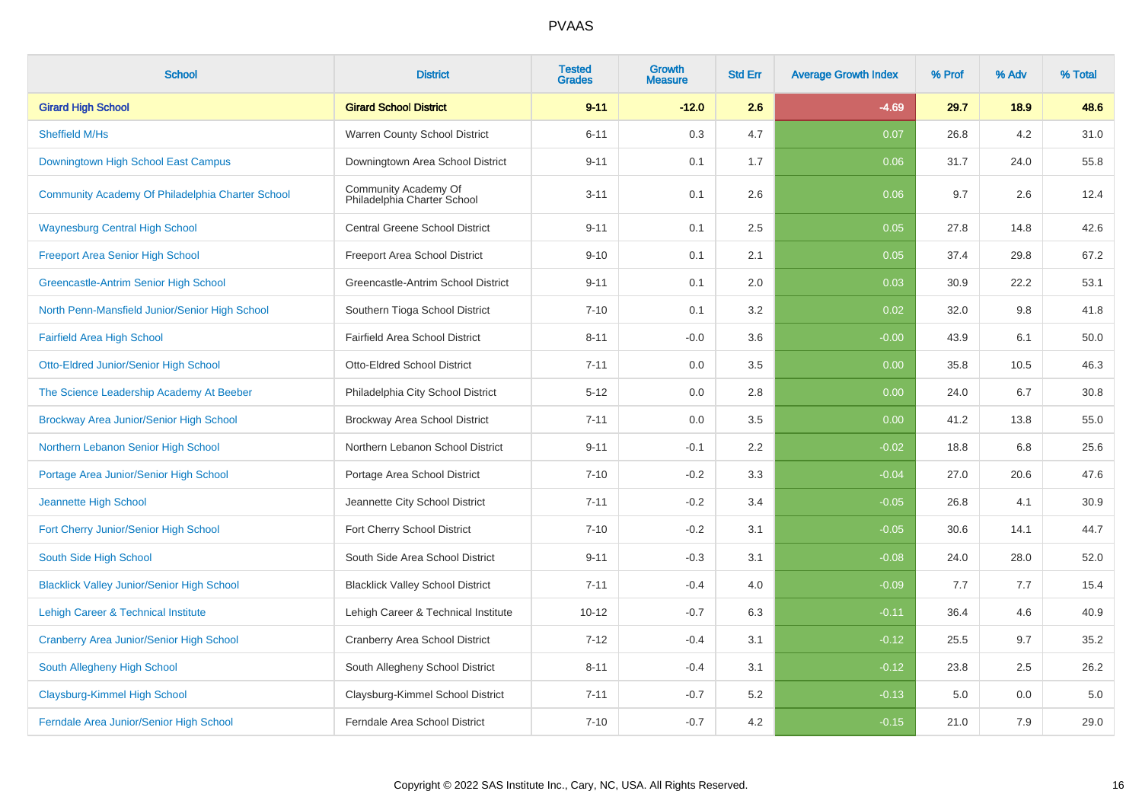| <b>School</b>                                     | <b>District</b>                                     | <b>Tested</b><br><b>Grades</b> | Growth<br><b>Measure</b> | <b>Std Err</b> | <b>Average Growth Index</b> | % Prof | % Adv | % Total |
|---------------------------------------------------|-----------------------------------------------------|--------------------------------|--------------------------|----------------|-----------------------------|--------|-------|---------|
| <b>Girard High School</b>                         | <b>Girard School District</b>                       | $9 - 11$                       | $-12.0$                  | 2.6            | $-4.69$                     | 29.7   | 18.9  | 48.6    |
| Sheffield M/Hs                                    | Warren County School District                       | $6 - 11$                       | 0.3                      | 4.7            | 0.07                        | 26.8   | 4.2   | 31.0    |
| Downingtown High School East Campus               | Downingtown Area School District                    | $9 - 11$                       | 0.1                      | 1.7            | 0.06                        | 31.7   | 24.0  | 55.8    |
| Community Academy Of Philadelphia Charter School  | Community Academy Of<br>Philadelphia Charter School | $3 - 11$                       | 0.1                      | 2.6            | 0.06                        | 9.7    | 2.6   | 12.4    |
| <b>Waynesburg Central High School</b>             | <b>Central Greene School District</b>               | $9 - 11$                       | 0.1                      | 2.5            | 0.05                        | 27.8   | 14.8  | 42.6    |
| <b>Freeport Area Senior High School</b>           | Freeport Area School District                       | $9 - 10$                       | 0.1                      | 2.1            | 0.05                        | 37.4   | 29.8  | 67.2    |
| Greencastle-Antrim Senior High School             | Greencastle-Antrim School District                  | $9 - 11$                       | 0.1                      | 2.0            | 0.03                        | 30.9   | 22.2  | 53.1    |
| North Penn-Mansfield Junior/Senior High School    | Southern Tioga School District                      | $7 - 10$                       | 0.1                      | 3.2            | 0.02                        | 32.0   | 9.8   | 41.8    |
| <b>Fairfield Area High School</b>                 | <b>Fairfield Area School District</b>               | $8 - 11$                       | $-0.0$                   | 3.6            | $-0.00$                     | 43.9   | 6.1   | 50.0    |
| Otto-Eldred Junior/Senior High School             | Otto-Eldred School District                         | $7 - 11$                       | 0.0                      | 3.5            | 0.00                        | 35.8   | 10.5  | 46.3    |
| The Science Leadership Academy At Beeber          | Philadelphia City School District                   | $5 - 12$                       | 0.0                      | 2.8            | 0.00                        | 24.0   | 6.7   | 30.8    |
| Brockway Area Junior/Senior High School           | Brockway Area School District                       | $7 - 11$                       | 0.0                      | 3.5            | 0.00                        | 41.2   | 13.8  | 55.0    |
| Northern Lebanon Senior High School               | Northern Lebanon School District                    | $9 - 11$                       | $-0.1$                   | 2.2            | $-0.02$                     | 18.8   | 6.8   | 25.6    |
| Portage Area Junior/Senior High School            | Portage Area School District                        | $7 - 10$                       | $-0.2$                   | 3.3            | $-0.04$                     | 27.0   | 20.6  | 47.6    |
| Jeannette High School                             | Jeannette City School District                      | $7 - 11$                       | $-0.2$                   | 3.4            | $-0.05$                     | 26.8   | 4.1   | 30.9    |
| Fort Cherry Junior/Senior High School             | Fort Cherry School District                         | $7 - 10$                       | $-0.2$                   | 3.1            | $-0.05$                     | 30.6   | 14.1  | 44.7    |
| South Side High School                            | South Side Area School District                     | $9 - 11$                       | $-0.3$                   | 3.1            | $-0.08$                     | 24.0   | 28.0  | 52.0    |
| <b>Blacklick Valley Junior/Senior High School</b> | <b>Blacklick Valley School District</b>             | $7 - 11$                       | $-0.4$                   | 4.0            | $-0.09$                     | 7.7    | 7.7   | 15.4    |
| Lehigh Career & Technical Institute               | Lehigh Career & Technical Institute                 | $10 - 12$                      | $-0.7$                   | 6.3            | $-0.11$                     | 36.4   | 4.6   | 40.9    |
| Cranberry Area Junior/Senior High School          | <b>Cranberry Area School District</b>               | $7 - 12$                       | $-0.4$                   | 3.1            | $-0.12$                     | 25.5   | 9.7   | 35.2    |
| South Allegheny High School                       | South Allegheny School District                     | $8 - 11$                       | $-0.4$                   | 3.1            | $-0.12$                     | 23.8   | 2.5   | 26.2    |
| Claysburg-Kimmel High School                      | Claysburg-Kimmel School District                    | $7 - 11$                       | $-0.7$                   | 5.2            | $-0.13$                     | 5.0    | 0.0   | 5.0     |
| Ferndale Area Junior/Senior High School           | Ferndale Area School District                       | $7 - 10$                       | $-0.7$                   | 4.2            | $-0.15$                     | 21.0   | 7.9   | 29.0    |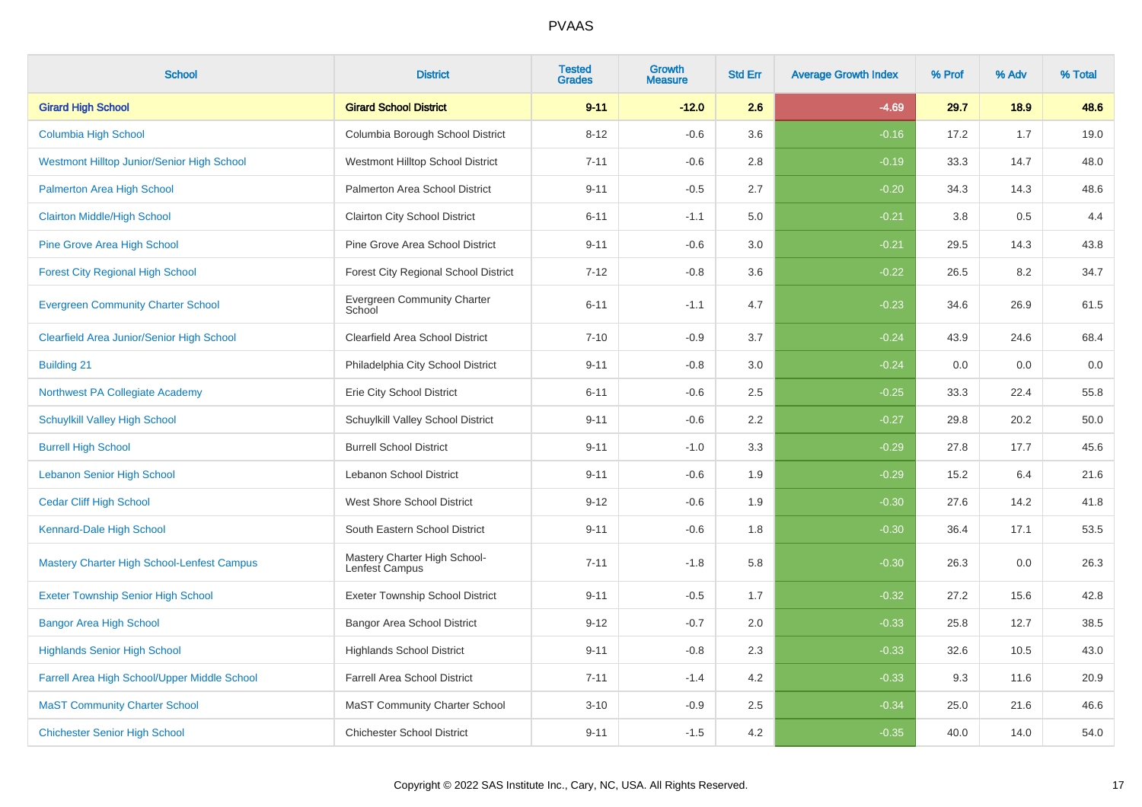| <b>School</b>                                     | <b>District</b>                                | <b>Tested</b><br><b>Grades</b> | <b>Growth</b><br><b>Measure</b> | <b>Std Err</b> | <b>Average Growth Index</b> | % Prof | % Adv | % Total |
|---------------------------------------------------|------------------------------------------------|--------------------------------|---------------------------------|----------------|-----------------------------|--------|-------|---------|
| <b>Girard High School</b>                         | <b>Girard School District</b>                  | $9 - 11$                       | $-12.0$                         | 2.6            | $-4.69$                     | 29.7   | 18.9  | 48.6    |
| Columbia High School                              | Columbia Borough School District               | $8 - 12$                       | $-0.6$                          | 3.6            | $-0.16$                     | 17.2   | 1.7   | 19.0    |
| Westmont Hilltop Junior/Senior High School        | Westmont Hilltop School District               | $7 - 11$                       | $-0.6$                          | 2.8            | $-0.19$                     | 33.3   | 14.7  | 48.0    |
| Palmerton Area High School                        | Palmerton Area School District                 | $9 - 11$                       | $-0.5$                          | 2.7            | $-0.20$                     | 34.3   | 14.3  | 48.6    |
| <b>Clairton Middle/High School</b>                | <b>Clairton City School District</b>           | $6 - 11$                       | $-1.1$                          | 5.0            | $-0.21$                     | 3.8    | 0.5   | 4.4     |
| Pine Grove Area High School                       | Pine Grove Area School District                | $9 - 11$                       | $-0.6$                          | 3.0            | $-0.21$                     | 29.5   | 14.3  | 43.8    |
| <b>Forest City Regional High School</b>           | <b>Forest City Regional School District</b>    | $7 - 12$                       | $-0.8$                          | 3.6            | $-0.22$                     | 26.5   | 8.2   | 34.7    |
| <b>Evergreen Community Charter School</b>         | <b>Evergreen Community Charter</b><br>School   | $6 - 11$                       | $-1.1$                          | 4.7            | $-0.23$                     | 34.6   | 26.9  | 61.5    |
| Clearfield Area Junior/Senior High School         | <b>Clearfield Area School District</b>         | $7 - 10$                       | $-0.9$                          | 3.7            | $-0.24$                     | 43.9   | 24.6  | 68.4    |
| <b>Building 21</b>                                | Philadelphia City School District              | $9 - 11$                       | $-0.8$                          | 3.0            | $-0.24$                     | 0.0    | 0.0   | 0.0     |
| Northwest PA Collegiate Academy                   | Erie City School District                      | $6 - 11$                       | $-0.6$                          | 2.5            | $-0.25$                     | 33.3   | 22.4  | 55.8    |
| <b>Schuylkill Valley High School</b>              | Schuylkill Valley School District              | $9 - 11$                       | $-0.6$                          | 2.2            | $-0.27$                     | 29.8   | 20.2  | 50.0    |
| <b>Burrell High School</b>                        | <b>Burrell School District</b>                 | $9 - 11$                       | $-1.0$                          | $3.3\,$        | $-0.29$                     | 27.8   | 17.7  | 45.6    |
| <b>Lebanon Senior High School</b>                 | Lebanon School District                        | $9 - 11$                       | $-0.6$                          | 1.9            | $-0.29$                     | 15.2   | 6.4   | 21.6    |
| <b>Cedar Cliff High School</b>                    | West Shore School District                     | $9 - 12$                       | $-0.6$                          | 1.9            | $-0.30$                     | 27.6   | 14.2  | 41.8    |
| Kennard-Dale High School                          | South Eastern School District                  | $9 - 11$                       | $-0.6$                          | 1.8            | $-0.30$                     | 36.4   | 17.1  | 53.5    |
| <b>Mastery Charter High School-Lenfest Campus</b> | Mastery Charter High School-<br>Lenfest Campus | $7 - 11$                       | $-1.8$                          | 5.8            | $-0.30$                     | 26.3   | 0.0   | 26.3    |
| <b>Exeter Township Senior High School</b>         | <b>Exeter Township School District</b>         | $9 - 11$                       | $-0.5$                          | 1.7            | $-0.32$                     | 27.2   | 15.6  | 42.8    |
| <b>Bangor Area High School</b>                    | <b>Bangor Area School District</b>             | $9 - 12$                       | $-0.7$                          | 2.0            | $-0.33$                     | 25.8   | 12.7  | 38.5    |
| <b>Highlands Senior High School</b>               | <b>Highlands School District</b>               | $9 - 11$                       | $-0.8$                          | 2.3            | $-0.33$                     | 32.6   | 10.5  | 43.0    |
| Farrell Area High School/Upper Middle School      | <b>Farrell Area School District</b>            | $7 - 11$                       | $-1.4$                          | 4.2            | $-0.33$                     | 9.3    | 11.6  | 20.9    |
| <b>MaST Community Charter School</b>              | <b>MaST Community Charter School</b>           | $3 - 10$                       | $-0.9$                          | 2.5            | $-0.34$                     | 25.0   | 21.6  | 46.6    |
| <b>Chichester Senior High School</b>              | <b>Chichester School District</b>              | $9 - 11$                       | $-1.5$                          | 4.2            | $-0.35$                     | 40.0   | 14.0  | 54.0    |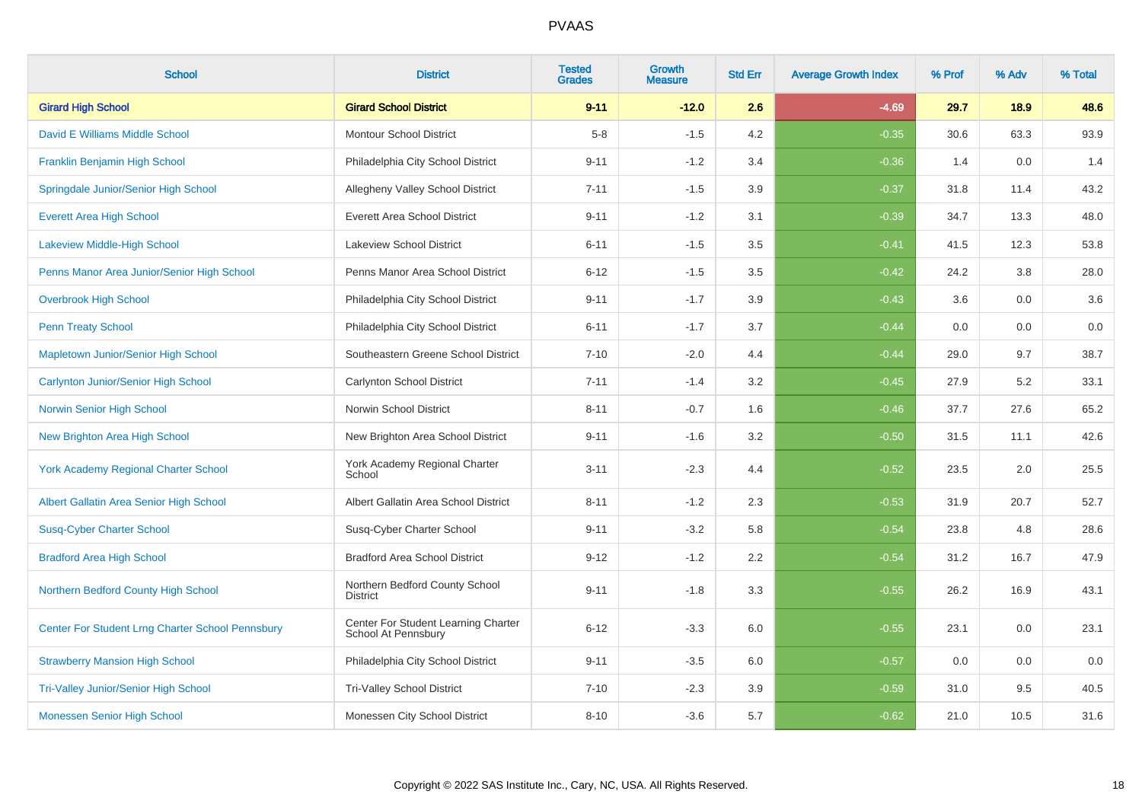| <b>School</b>                                    | <b>District</b>                                            | <b>Tested</b><br><b>Grades</b> | Growth<br><b>Measure</b> | <b>Std Err</b> | <b>Average Growth Index</b> | % Prof | % Adv | % Total |
|--------------------------------------------------|------------------------------------------------------------|--------------------------------|--------------------------|----------------|-----------------------------|--------|-------|---------|
| <b>Girard High School</b>                        | <b>Girard School District</b>                              | $9 - 11$                       | $-12.0$                  | 2.6            | $-4.69$                     | 29.7   | 18.9  | 48.6    |
| David E Williams Middle School                   | <b>Montour School District</b>                             | $5-8$                          | $-1.5$                   | 4.2            | $-0.35$                     | 30.6   | 63.3  | 93.9    |
| Franklin Benjamin High School                    | Philadelphia City School District                          | $9 - 11$                       | $-1.2$                   | 3.4            | $-0.36$                     | 1.4    | 0.0   | 1.4     |
| Springdale Junior/Senior High School             | Allegheny Valley School District                           | $7 - 11$                       | $-1.5$                   | 3.9            | $-0.37$                     | 31.8   | 11.4  | 43.2    |
| <b>Everett Area High School</b>                  | <b>Everett Area School District</b>                        | $9 - 11$                       | $-1.2$                   | 3.1            | $-0.39$                     | 34.7   | 13.3  | 48.0    |
| <b>Lakeview Middle-High School</b>               | Lakeview School District                                   | $6 - 11$                       | $-1.5$                   | 3.5            | $-0.41$                     | 41.5   | 12.3  | 53.8    |
| Penns Manor Area Junior/Senior High School       | Penns Manor Area School District                           | $6 - 12$                       | $-1.5$                   | 3.5            | $-0.42$                     | 24.2   | 3.8   | 28.0    |
| <b>Overbrook High School</b>                     | Philadelphia City School District                          | $9 - 11$                       | $-1.7$                   | 3.9            | $-0.43$                     | 3.6    | 0.0   | 3.6     |
| <b>Penn Treaty School</b>                        | Philadelphia City School District                          | $6 - 11$                       | $-1.7$                   | 3.7            | $-0.44$                     | 0.0    | 0.0   | 0.0     |
| <b>Mapletown Junior/Senior High School</b>       | Southeastern Greene School District                        | $7 - 10$                       | $-2.0$                   | 4.4            | $-0.44$                     | 29.0   | 9.7   | 38.7    |
| Carlynton Junior/Senior High School              | <b>Carlynton School District</b>                           | $7 - 11$                       | $-1.4$                   | 3.2            | $-0.45$                     | 27.9   | 5.2   | 33.1    |
| Norwin Senior High School                        | Norwin School District                                     | $8 - 11$                       | $-0.7$                   | 1.6            | $-0.46$                     | 37.7   | 27.6  | 65.2    |
| <b>New Brighton Area High School</b>             | New Brighton Area School District                          | $9 - 11$                       | $-1.6$                   | 3.2            | $-0.50$                     | 31.5   | 11.1  | 42.6    |
| <b>York Academy Regional Charter School</b>      | York Academy Regional Charter<br>School                    | $3 - 11$                       | $-2.3$                   | 4.4            | $-0.52$                     | 23.5   | 2.0   | 25.5    |
| Albert Gallatin Area Senior High School          | Albert Gallatin Area School District                       | $8 - 11$                       | $-1.2$                   | 2.3            | $-0.53$                     | 31.9   | 20.7  | 52.7    |
| <b>Susq-Cyber Charter School</b>                 | Susq-Cyber Charter School                                  | $9 - 11$                       | $-3.2$                   | 5.8            | $-0.54$                     | 23.8   | 4.8   | 28.6    |
| <b>Bradford Area High School</b>                 | <b>Bradford Area School District</b>                       | $9 - 12$                       | $-1.2$                   | 2.2            | $-0.54$                     | 31.2   | 16.7  | 47.9    |
| Northern Bedford County High School              | Northern Bedford County School<br><b>District</b>          | $9 - 11$                       | $-1.8$                   | 3.3            | $-0.55$                     | 26.2   | 16.9  | 43.1    |
| Center For Student Lrng Charter School Pennsbury | Center For Student Learning Charter<br>School At Pennsbury | $6 - 12$                       | $-3.3$                   | 6.0            | $-0.55$                     | 23.1   | 0.0   | 23.1    |
| <b>Strawberry Mansion High School</b>            | Philadelphia City School District                          | $9 - 11$                       | $-3.5$                   | 6.0            | $-0.57$                     | 0.0    | 0.0   | 0.0     |
| <b>Tri-Valley Junior/Senior High School</b>      | <b>Tri-Valley School District</b>                          | $7 - 10$                       | $-2.3$                   | 3.9            | $-0.59$                     | 31.0   | 9.5   | 40.5    |
| Monessen Senior High School                      | Monessen City School District                              | $8 - 10$                       | $-3.6$                   | 5.7            | $-0.62$                     | 21.0   | 10.5  | 31.6    |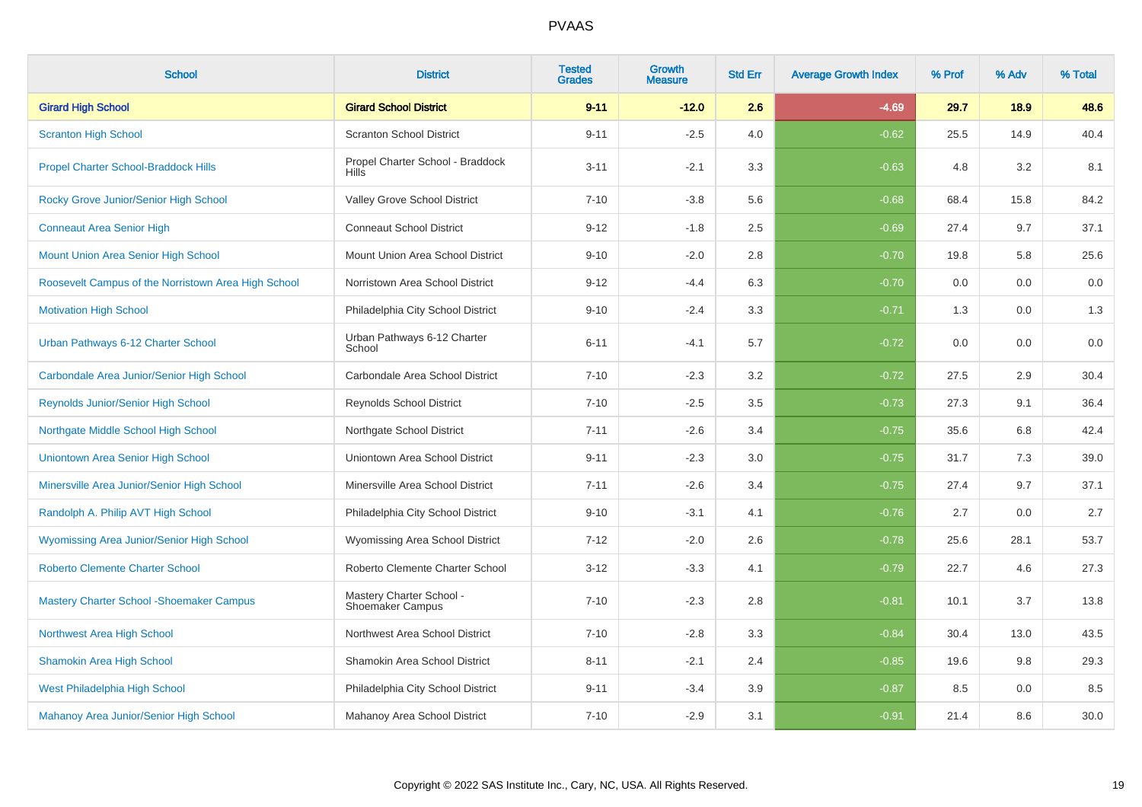| <b>School</b>                                       | <b>District</b>                                  | <b>Tested</b><br><b>Grades</b> | <b>Growth</b><br><b>Measure</b> | <b>Std Err</b> | <b>Average Growth Index</b> | % Prof | % Adv | % Total |
|-----------------------------------------------------|--------------------------------------------------|--------------------------------|---------------------------------|----------------|-----------------------------|--------|-------|---------|
| <b>Girard High School</b>                           | <b>Girard School District</b>                    | $9 - 11$                       | $-12.0$                         | 2.6            | $-4.69$                     | 29.7   | 18.9  | 48.6    |
| <b>Scranton High School</b>                         | <b>Scranton School District</b>                  | $9 - 11$                       | $-2.5$                          | 4.0            | $-0.62$                     | 25.5   | 14.9  | 40.4    |
| <b>Propel Charter School-Braddock Hills</b>         | Propel Charter School - Braddock<br><b>Hills</b> | $3 - 11$                       | $-2.1$                          | 3.3            | $-0.63$                     | 4.8    | 3.2   | 8.1     |
| Rocky Grove Junior/Senior High School               | Valley Grove School District                     | $7 - 10$                       | $-3.8$                          | 5.6            | $-0.68$                     | 68.4   | 15.8  | 84.2    |
| <b>Conneaut Area Senior High</b>                    | <b>Conneaut School District</b>                  | $9 - 12$                       | $-1.8$                          | 2.5            | $-0.69$                     | 27.4   | 9.7   | 37.1    |
| Mount Union Area Senior High School                 | Mount Union Area School District                 | $9 - 10$                       | $-2.0$                          | 2.8            | $-0.70$                     | 19.8   | 5.8   | 25.6    |
| Roosevelt Campus of the Norristown Area High School | Norristown Area School District                  | $9 - 12$                       | $-4.4$                          | 6.3            | $-0.70$                     | 0.0    | 0.0   | 0.0     |
| <b>Motivation High School</b>                       | Philadelphia City School District                | $9 - 10$                       | $-2.4$                          | 3.3            | $-0.71$                     | 1.3    | 0.0   | 1.3     |
| Urban Pathways 6-12 Charter School                  | Urban Pathways 6-12 Charter<br>School            | $6 - 11$                       | $-4.1$                          | 5.7            | $-0.72$                     | 0.0    | 0.0   | $0.0\,$ |
| Carbondale Area Junior/Senior High School           | Carbondale Area School District                  | $7 - 10$                       | $-2.3$                          | 3.2            | $-0.72$                     | 27.5   | 2.9   | 30.4    |
| <b>Reynolds Junior/Senior High School</b>           | <b>Reynolds School District</b>                  | $7 - 10$                       | $-2.5$                          | 3.5            | $-0.73$                     | 27.3   | 9.1   | 36.4    |
| Northgate Middle School High School                 | Northgate School District                        | $7 - 11$                       | $-2.6$                          | 3.4            | $-0.75$                     | 35.6   | 6.8   | 42.4    |
| Uniontown Area Senior High School                   | Uniontown Area School District                   | $9 - 11$                       | $-2.3$                          | 3.0            | $-0.75$                     | 31.7   | 7.3   | 39.0    |
| Minersville Area Junior/Senior High School          | Minersville Area School District                 | $7 - 11$                       | $-2.6$                          | 3.4            | $-0.75$                     | 27.4   | 9.7   | 37.1    |
| Randolph A. Philip AVT High School                  | Philadelphia City School District                | $9 - 10$                       | $-3.1$                          | 4.1            | $-0.76$                     | 2.7    | 0.0   | 2.7     |
| <b>Wyomissing Area Junior/Senior High School</b>    | Wyomissing Area School District                  | $7 - 12$                       | $-2.0$                          | 2.6            | $-0.78$                     | 25.6   | 28.1  | 53.7    |
| <b>Roberto Clemente Charter School</b>              | Roberto Clemente Charter School                  | $3 - 12$                       | $-3.3$                          | 4.1            | $-0.79$                     | 22.7   | 4.6   | 27.3    |
| <b>Mastery Charter School - Shoemaker Campus</b>    | Mastery Charter School -<br>Shoemaker Campus     | $7 - 10$                       | $-2.3$                          | 2.8            | $-0.81$                     | 10.1   | 3.7   | 13.8    |
| Northwest Area High School                          | Northwest Area School District                   | $7 - 10$                       | $-2.8$                          | 3.3            | $-0.84$                     | 30.4   | 13.0  | 43.5    |
| <b>Shamokin Area High School</b>                    | Shamokin Area School District                    | $8 - 11$                       | $-2.1$                          | 2.4            | $-0.85$                     | 19.6   | 9.8   | 29.3    |
| West Philadelphia High School                       | Philadelphia City School District                | $9 - 11$                       | $-3.4$                          | 3.9            | $-0.87$                     | 8.5    | 0.0   | 8.5     |
| Mahanoy Area Junior/Senior High School              | Mahanoy Area School District                     | $7 - 10$                       | $-2.9$                          | 3.1            | $-0.91$                     | 21.4   | 8.6   | 30.0    |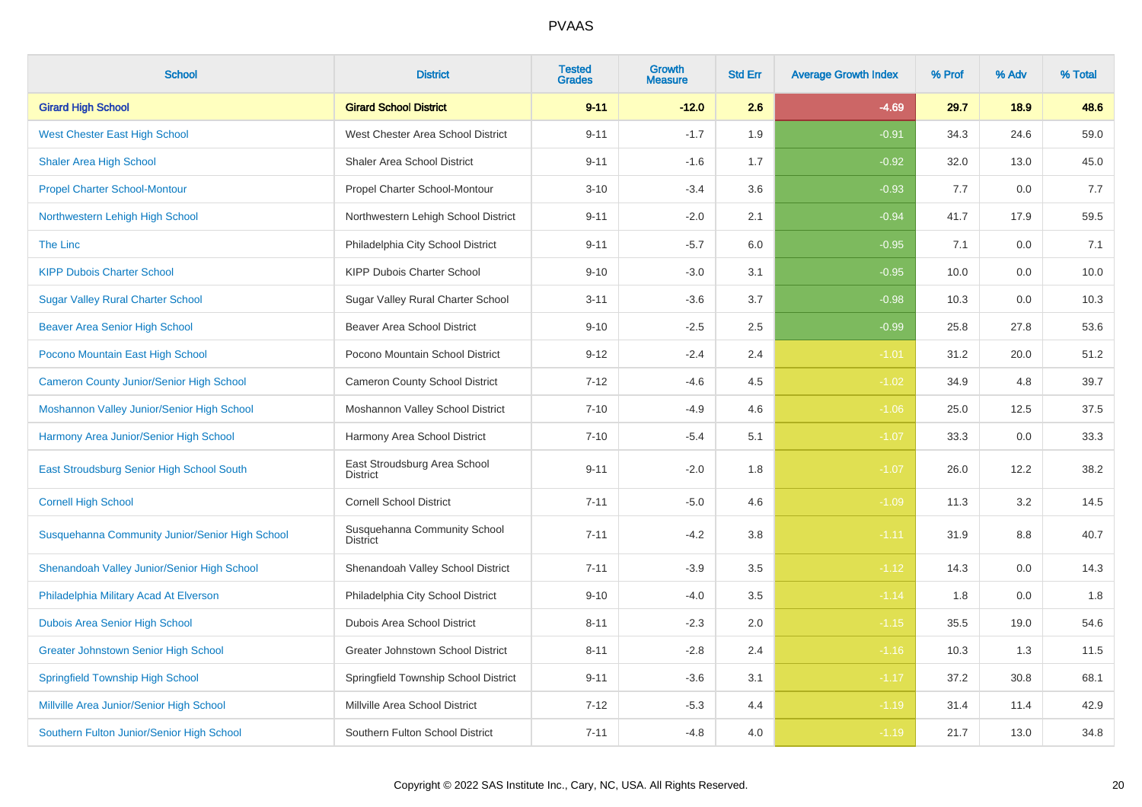| <b>School</b>                                   | <b>District</b>                                 | <b>Tested</b><br><b>Grades</b> | <b>Growth</b><br><b>Measure</b> | <b>Std Err</b> | <b>Average Growth Index</b> | % Prof | % Adv | % Total |
|-------------------------------------------------|-------------------------------------------------|--------------------------------|---------------------------------|----------------|-----------------------------|--------|-------|---------|
| <b>Girard High School</b>                       | <b>Girard School District</b>                   | $9 - 11$                       | $-12.0$                         | 2.6            | $-4.69$                     | 29.7   | 18.9  | 48.6    |
| <b>West Chester East High School</b>            | West Chester Area School District               | $9 - 11$                       | $-1.7$                          | 1.9            | $-0.91$                     | 34.3   | 24.6  | 59.0    |
| <b>Shaler Area High School</b>                  | Shaler Area School District                     | $9 - 11$                       | $-1.6$                          | 1.7            | $-0.92$                     | 32.0   | 13.0  | 45.0    |
| <b>Propel Charter School-Montour</b>            | Propel Charter School-Montour                   | $3 - 10$                       | $-3.4$                          | 3.6            | $-0.93$                     | 7.7    | 0.0   | 7.7     |
| Northwestern Lehigh High School                 | Northwestern Lehigh School District             | $9 - 11$                       | $-2.0$                          | 2.1            | $-0.94$                     | 41.7   | 17.9  | 59.5    |
| The Linc                                        | Philadelphia City School District               | $9 - 11$                       | $-5.7$                          | 6.0            | $-0.95$                     | 7.1    | 0.0   | 7.1     |
| <b>KIPP Dubois Charter School</b>               | KIPP Dubois Charter School                      | $9 - 10$                       | $-3.0$                          | 3.1            | $-0.95$                     | 10.0   | 0.0   | 10.0    |
| <b>Sugar Valley Rural Charter School</b>        | Sugar Valley Rural Charter School               | $3 - 11$                       | $-3.6$                          | 3.7            | $-0.98$                     | 10.3   | 0.0   | 10.3    |
| <b>Beaver Area Senior High School</b>           | <b>Beaver Area School District</b>              | $9 - 10$                       | $-2.5$                          | 2.5            | $-0.99$                     | 25.8   | 27.8  | 53.6    |
| Pocono Mountain East High School                | Pocono Mountain School District                 | $9 - 12$                       | $-2.4$                          | 2.4            | $-1.01$                     | 31.2   | 20.0  | 51.2    |
| <b>Cameron County Junior/Senior High School</b> | Cameron County School District                  | $7 - 12$                       | $-4.6$                          | 4.5            | $-1.02$                     | 34.9   | 4.8   | 39.7    |
| Moshannon Valley Junior/Senior High School      | Moshannon Valley School District                | $7 - 10$                       | $-4.9$                          | 4.6            | $-1.06$                     | 25.0   | 12.5  | 37.5    |
| Harmony Area Junior/Senior High School          | Harmony Area School District                    | $7 - 10$                       | $-5.4$                          | 5.1            | $-1.07$                     | 33.3   | 0.0   | 33.3    |
| East Stroudsburg Senior High School South       | East Stroudsburg Area School<br><b>District</b> | $9 - 11$                       | $-2.0$                          | 1.8            | $-1.07$                     | 26.0   | 12.2  | 38.2    |
| <b>Cornell High School</b>                      | <b>Cornell School District</b>                  | $7 - 11$                       | $-5.0$                          | 4.6            | $-1.09$                     | 11.3   | 3.2   | 14.5    |
| Susquehanna Community Junior/Senior High School | Susquehanna Community School<br><b>District</b> | $7 - 11$                       | $-4.2$                          | 3.8            | $-1.11$                     | 31.9   | 8.8   | 40.7    |
| Shenandoah Valley Junior/Senior High School     | Shenandoah Valley School District               | $7 - 11$                       | $-3.9$                          | 3.5            | $-1.12$                     | 14.3   | 0.0   | 14.3    |
| Philadelphia Military Acad At Elverson          | Philadelphia City School District               | $9 - 10$                       | $-4.0$                          | 3.5            | $-1.14$                     | 1.8    | 0.0   | 1.8     |
| Dubois Area Senior High School                  | Dubois Area School District                     | $8 - 11$                       | $-2.3$                          | 2.0            | $-1.15$                     | 35.5   | 19.0  | 54.6    |
| <b>Greater Johnstown Senior High School</b>     | Greater Johnstown School District               | $8 - 11$                       | $-2.8$                          | 2.4            | $-1.16$                     | 10.3   | 1.3   | 11.5    |
| <b>Springfield Township High School</b>         | Springfield Township School District            | $9 - 11$                       | $-3.6$                          | 3.1            | $-1.17$                     | 37.2   | 30.8  | 68.1    |
| Millville Area Junior/Senior High School        | Millville Area School District                  | $7 - 12$                       | $-5.3$                          | 4.4            | $-1.19$                     | 31.4   | 11.4  | 42.9    |
| Southern Fulton Junior/Senior High School       | Southern Fulton School District                 | $7 - 11$                       | $-4.8$                          | 4.0            | $-1.19$                     | 21.7   | 13.0  | 34.8    |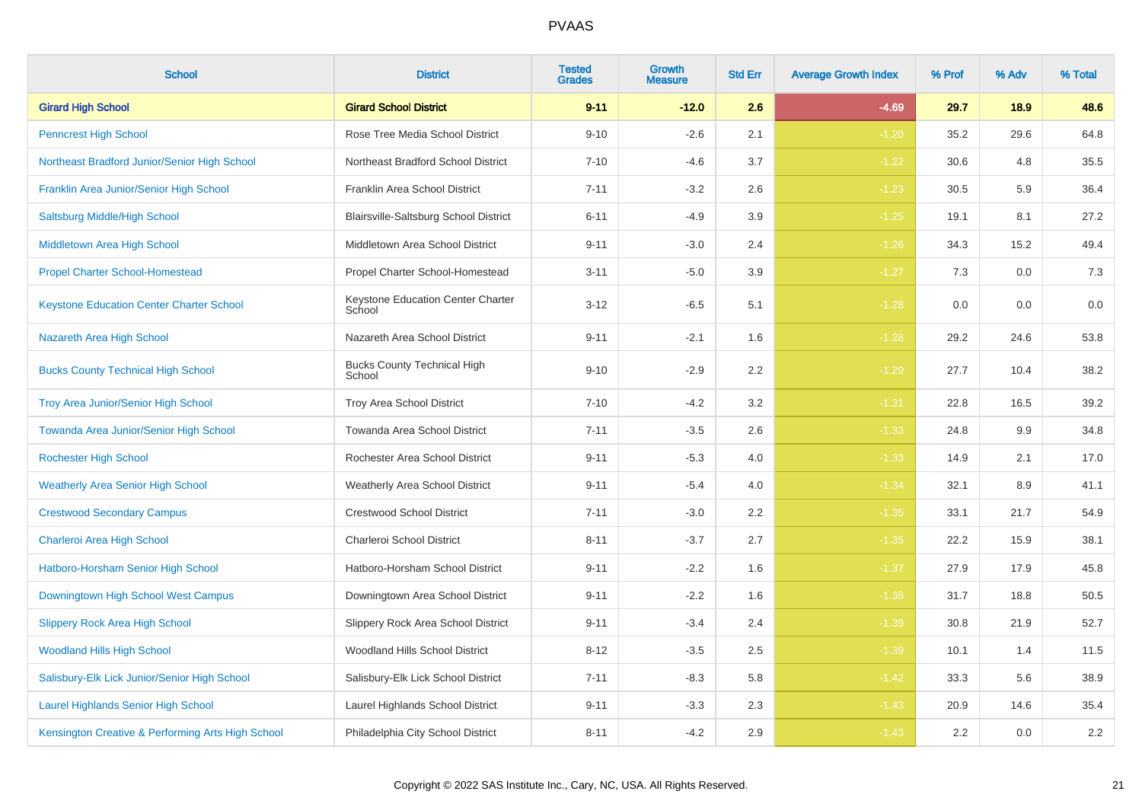| <b>School</b>                                     | <b>District</b>                              | <b>Tested</b><br><b>Grades</b> | Growth<br><b>Measure</b> | <b>Std Err</b> | <b>Average Growth Index</b> | % Prof | % Adv | % Total |
|---------------------------------------------------|----------------------------------------------|--------------------------------|--------------------------|----------------|-----------------------------|--------|-------|---------|
| <b>Girard High School</b>                         | <b>Girard School District</b>                | $9 - 11$                       | $-12.0$                  | 2.6            | $-4.69$                     | 29.7   | 18.9  | 48.6    |
| <b>Penncrest High School</b>                      | Rose Tree Media School District              | $9 - 10$                       | $-2.6$                   | 2.1            | $-1.20$                     | 35.2   | 29.6  | 64.8    |
| Northeast Bradford Junior/Senior High School      | Northeast Bradford School District           | $7 - 10$                       | $-4.6$                   | 3.7            | $-1.22$                     | 30.6   | 4.8   | 35.5    |
| Franklin Area Junior/Senior High School           | Franklin Area School District                | $7 - 11$                       | $-3.2$                   | 2.6            | $-1.23$                     | 30.5   | 5.9   | 36.4    |
| Saltsburg Middle/High School                      | Blairsville-Saltsburg School District        | $6 - 11$                       | $-4.9$                   | 3.9            | $-1.25$                     | 19.1   | 8.1   | 27.2    |
| Middletown Area High School                       | Middletown Area School District              | $9 - 11$                       | $-3.0$                   | 2.4            | $-1.26$                     | 34.3   | 15.2  | 49.4    |
| <b>Propel Charter School-Homestead</b>            | Propel Charter School-Homestead              | $3 - 11$                       | $-5.0$                   | 3.9            | $-1.27$                     | 7.3    | 0.0   | $7.3$   |
| <b>Keystone Education Center Charter School</b>   | Keystone Education Center Charter<br>School  | $3 - 12$                       | $-6.5$                   | 5.1            | $-1.28$                     | 0.0    | 0.0   | 0.0     |
| Nazareth Area High School                         | Nazareth Area School District                | $9 - 11$                       | $-2.1$                   | 1.6            | $-1.28$                     | 29.2   | 24.6  | 53.8    |
| <b>Bucks County Technical High School</b>         | <b>Bucks County Technical High</b><br>School | $9 - 10$                       | $-2.9$                   | 2.2            | $-1.29$                     | 27.7   | 10.4  | 38.2    |
| <b>Troy Area Junior/Senior High School</b>        | Troy Area School District                    | $7 - 10$                       | $-4.2$                   | 3.2            | $-1.31$                     | 22.8   | 16.5  | 39.2    |
| Towanda Area Junior/Senior High School            | Towanda Area School District                 | $7 - 11$                       | $-3.5$                   | 2.6            | $-1.33$                     | 24.8   | 9.9   | 34.8    |
| <b>Rochester High School</b>                      | Rochester Area School District               | $9 - 11$                       | $-5.3$                   | 4.0            | $-1.33$                     | 14.9   | 2.1   | 17.0    |
| <b>Weatherly Area Senior High School</b>          | <b>Weatherly Area School District</b>        | $9 - 11$                       | $-5.4$                   | 4.0            | $-1.34$                     | 32.1   | 8.9   | 41.1    |
| <b>Crestwood Secondary Campus</b>                 | <b>Crestwood School District</b>             | $7 - 11$                       | $-3.0$                   | 2.2            | $-1.35$                     | 33.1   | 21.7  | 54.9    |
| Charleroi Area High School                        | Charleroi School District                    | $8 - 11$                       | $-3.7$                   | 2.7            | $-1.35$                     | 22.2   | 15.9  | 38.1    |
| Hatboro-Horsham Senior High School                | Hatboro-Horsham School District              | $9 - 11$                       | $-2.2$                   | 1.6            | $-1.37$                     | 27.9   | 17.9  | 45.8    |
| Downingtown High School West Campus               | Downingtown Area School District             | $9 - 11$                       | $-2.2$                   | 1.6            | $-1.38$                     | 31.7   | 18.8  | 50.5    |
| <b>Slippery Rock Area High School</b>             | Slippery Rock Area School District           | $9 - 11$                       | $-3.4$                   | 2.4            | $-1.39$                     | 30.8   | 21.9  | 52.7    |
| <b>Woodland Hills High School</b>                 | Woodland Hills School District               | $8 - 12$                       | $-3.5$                   | 2.5            | $-1.39$                     | 10.1   | 1.4   | 11.5    |
| Salisbury-Elk Lick Junior/Senior High School      | Salisbury-Elk Lick School District           | $7 - 11$                       | $-8.3$                   | 5.8            | $-1.42$                     | 33.3   | 5.6   | 38.9    |
| <b>Laurel Highlands Senior High School</b>        | Laurel Highlands School District             | $9 - 11$                       | $-3.3$                   | 2.3            | $-1.43$                     | 20.9   | 14.6  | 35.4    |
| Kensington Creative & Performing Arts High School | Philadelphia City School District            | $8 - 11$                       | $-4.2$                   | 2.9            | $-1.43$                     | 2.2    | 0.0   | $2.2\,$ |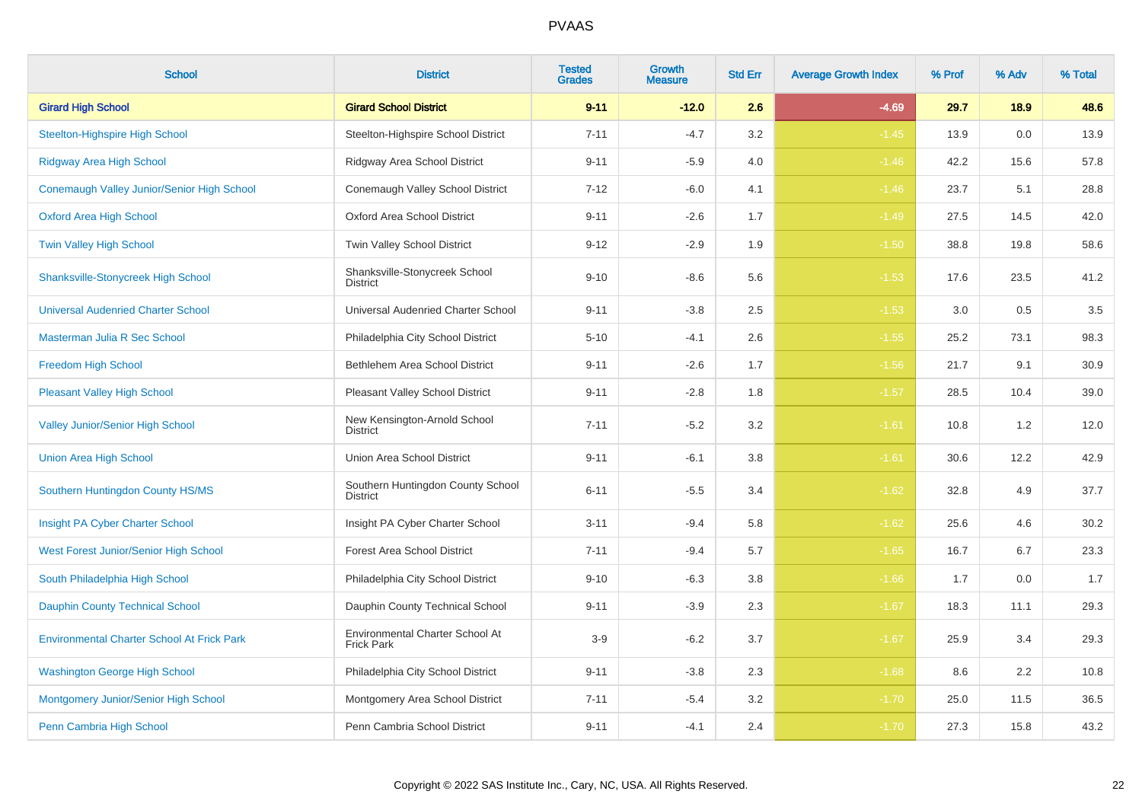| <b>School</b>                                     | <b>District</b>                                      | <b>Tested</b><br><b>Grades</b> | <b>Growth</b><br><b>Measure</b> | <b>Std Err</b> | <b>Average Growth Index</b> | % Prof | % Adv | % Total |
|---------------------------------------------------|------------------------------------------------------|--------------------------------|---------------------------------|----------------|-----------------------------|--------|-------|---------|
| <b>Girard High School</b>                         | <b>Girard School District</b>                        | $9 - 11$                       | $-12.0$                         | 2.6            | $-4.69$                     | 29.7   | 18.9  | 48.6    |
| <b>Steelton-Highspire High School</b>             | Steelton-Highspire School District                   | $7 - 11$                       | $-4.7$                          | 3.2            | $-1.45$                     | 13.9   | 0.0   | 13.9    |
| <b>Ridgway Area High School</b>                   | Ridgway Area School District                         | $9 - 11$                       | $-5.9$                          | 4.0            | $-1.46$                     | 42.2   | 15.6  | 57.8    |
| Conemaugh Valley Junior/Senior High School        | Conemaugh Valley School District                     | $7 - 12$                       | $-6.0$                          | 4.1            | $-1.46$                     | 23.7   | 5.1   | 28.8    |
| <b>Oxford Area High School</b>                    | <b>Oxford Area School District</b>                   | $9 - 11$                       | $-2.6$                          | 1.7            | $-1.49$                     | 27.5   | 14.5  | 42.0    |
| Twin Valley High School                           | Twin Valley School District                          | $9 - 12$                       | $-2.9$                          | 1.9            | $-1.50$                     | 38.8   | 19.8  | 58.6    |
| <b>Shanksville-Stonycreek High School</b>         | Shanksville-Stonycreek School<br><b>District</b>     | $9 - 10$                       | $-8.6$                          | 5.6            | $-1.53$                     | 17.6   | 23.5  | 41.2    |
| <b>Universal Audenried Charter School</b>         | Universal Audenried Charter School                   | $9 - 11$                       | $-3.8$                          | 2.5            | $-1.53$                     | 3.0    | 0.5   | 3.5     |
| Masterman Julia R Sec School                      | Philadelphia City School District                    | $5 - 10$                       | $-4.1$                          | 2.6            | $-1.55$                     | 25.2   | 73.1  | 98.3    |
| Freedom High School                               | Bethlehem Area School District                       | $9 - 11$                       | $-2.6$                          | 1.7            | $-1.56$                     | 21.7   | 9.1   | 30.9    |
| <b>Pleasant Valley High School</b>                | <b>Pleasant Valley School District</b>               | $9 - 11$                       | $-2.8$                          | 1.8            | $-1.57$                     | 28.5   | 10.4  | 39.0    |
| <b>Valley Junior/Senior High School</b>           | New Kensington-Arnold School<br><b>District</b>      | $7 - 11$                       | $-5.2$                          | 3.2            | $-1.61$                     | 10.8   | 1.2   | 12.0    |
| <b>Union Area High School</b>                     | Union Area School District                           | $9 - 11$                       | $-6.1$                          | 3.8            | $-1.61$                     | 30.6   | 12.2  | 42.9    |
| Southern Huntingdon County HS/MS                  | Southern Huntingdon County School<br><b>District</b> | $6 - 11$                       | $-5.5$                          | 3.4            | $-1.62$                     | 32.8   | 4.9   | 37.7    |
| Insight PA Cyber Charter School                   | Insight PA Cyber Charter School                      | $3 - 11$                       | $-9.4$                          | 5.8            | $-1.62$                     | 25.6   | 4.6   | 30.2    |
| West Forest Junior/Senior High School             | <b>Forest Area School District</b>                   | $7 - 11$                       | $-9.4$                          | 5.7            | $-1.65$                     | 16.7   | 6.7   | 23.3    |
| South Philadelphia High School                    | Philadelphia City School District                    | $9 - 10$                       | $-6.3$                          | 3.8            | $-1.66$                     | 1.7    | 0.0   | 1.7     |
| <b>Dauphin County Technical School</b>            | Dauphin County Technical School                      | $9 - 11$                       | $-3.9$                          | 2.3            | $-1.67$                     | 18.3   | 11.1  | 29.3    |
| <b>Environmental Charter School At Frick Park</b> | Environmental Charter School At<br><b>Frick Park</b> | $3-9$                          | $-6.2$                          | 3.7            | $-1.67$                     | 25.9   | 3.4   | 29.3    |
| <b>Washington George High School</b>              | Philadelphia City School District                    | $9 - 11$                       | $-3.8$                          | 2.3            | $-1.68$                     | 8.6    | 2.2   | 10.8    |
| Montgomery Junior/Senior High School              | Montgomery Area School District                      | $7 - 11$                       | $-5.4$                          | $3.2\,$        | $-1.70$                     | 25.0   | 11.5  | 36.5    |
| Penn Cambria High School                          | Penn Cambria School District                         | $9 - 11$                       | $-4.1$                          | 2.4            | $-1.70$                     | 27.3   | 15.8  | 43.2    |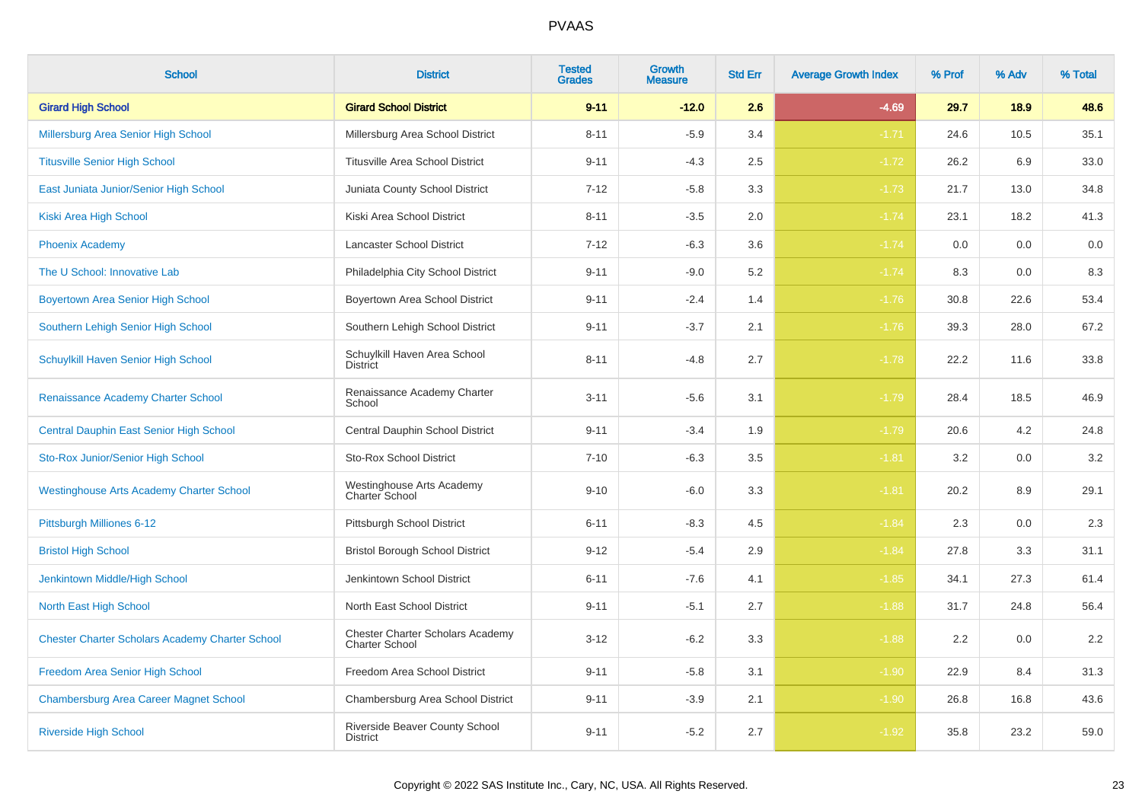| <b>School</b>                                          | <b>District</b>                                                  | <b>Tested</b><br><b>Grades</b> | Growth<br><b>Measure</b> | <b>Std Err</b> | <b>Average Growth Index</b> | % Prof | % Adv | % Total |
|--------------------------------------------------------|------------------------------------------------------------------|--------------------------------|--------------------------|----------------|-----------------------------|--------|-------|---------|
| <b>Girard High School</b>                              | <b>Girard School District</b>                                    | $9 - 11$                       | $-12.0$                  | 2.6            | $-4.69$                     | 29.7   | 18.9  | 48.6    |
| Millersburg Area Senior High School                    | Millersburg Area School District                                 | $8 - 11$                       | $-5.9$                   | 3.4            | $-1.71$                     | 24.6   | 10.5  | 35.1    |
| <b>Titusville Senior High School</b>                   | <b>Titusville Area School District</b>                           | $9 - 11$                       | $-4.3$                   | 2.5            | $-1.72$                     | 26.2   | 6.9   | 33.0    |
| East Juniata Junior/Senior High School                 | Juniata County School District                                   | $7 - 12$                       | $-5.8$                   | 3.3            | $-1.73$                     | 21.7   | 13.0  | 34.8    |
| Kiski Area High School                                 | Kiski Area School District                                       | $8 - 11$                       | $-3.5$                   | 2.0            | $-1.74$                     | 23.1   | 18.2  | 41.3    |
| <b>Phoenix Academy</b>                                 | Lancaster School District                                        | $7 - 12$                       | $-6.3$                   | 3.6            | $-1.74$                     | 0.0    | 0.0   | 0.0     |
| The U School: Innovative Lab                           | Philadelphia City School District                                | $9 - 11$                       | $-9.0$                   | 5.2            | $-1.74$                     | 8.3    | 0.0   | 8.3     |
| <b>Boyertown Area Senior High School</b>               | Boyertown Area School District                                   | $9 - 11$                       | $-2.4$                   | 1.4            | $-1.76$                     | 30.8   | 22.6  | 53.4    |
| Southern Lehigh Senior High School                     | Southern Lehigh School District                                  | $9 - 11$                       | $-3.7$                   | 2.1            | $-1.76$                     | 39.3   | 28.0  | 67.2    |
| Schuylkill Haven Senior High School                    | Schuylkill Haven Area School<br><b>District</b>                  | $8 - 11$                       | $-4.8$                   | 2.7            | $-1.78$                     | 22.2   | 11.6  | 33.8    |
| Renaissance Academy Charter School                     | Renaissance Academy Charter<br>School                            | $3 - 11$                       | $-5.6$                   | 3.1            | $-1.79$                     | 28.4   | 18.5  | 46.9    |
| Central Dauphin East Senior High School                | Central Dauphin School District                                  | $9 - 11$                       | $-3.4$                   | 1.9            | $-1.79$                     | 20.6   | 4.2   | 24.8    |
| Sto-Rox Junior/Senior High School                      | <b>Sto-Rox School District</b>                                   | $7 - 10$                       | $-6.3$                   | 3.5            | $-1.81$                     | 3.2    | 0.0   | 3.2     |
| <b>Westinghouse Arts Academy Charter School</b>        | Westinghouse Arts Academy<br>Charter School                      | $9 - 10$                       | $-6.0$                   | 3.3            | $-1.81$                     | 20.2   | 8.9   | 29.1    |
| Pittsburgh Milliones 6-12                              | Pittsburgh School District                                       | $6 - 11$                       | $-8.3$                   | 4.5            | $-1.84$                     | 2.3    | 0.0   | $2.3\,$ |
| <b>Bristol High School</b>                             | <b>Bristol Borough School District</b>                           | $9 - 12$                       | $-5.4$                   | 2.9            | $-1.84$                     | 27.8   | 3.3   | 31.1    |
| Jenkintown Middle/High School                          | Jenkintown School District                                       | $6 - 11$                       | $-7.6$                   | 4.1            | $-1.85$                     | 34.1   | 27.3  | 61.4    |
| North East High School                                 | North East School District                                       | $9 - 11$                       | $-5.1$                   | 2.7            | $-1.88$                     | 31.7   | 24.8  | 56.4    |
| <b>Chester Charter Scholars Academy Charter School</b> | <b>Chester Charter Scholars Academy</b><br><b>Charter School</b> | $3 - 12$                       | $-6.2$                   | 3.3            | $-1.88$                     | 2.2    | 0.0   | 2.2     |
| Freedom Area Senior High School                        | Freedom Area School District                                     | $9 - 11$                       | $-5.8$                   | 3.1            | $-1.90$                     | 22.9   | 8.4   | 31.3    |
| <b>Chambersburg Area Career Magnet School</b>          | Chambersburg Area School District                                | $9 - 11$                       | $-3.9$                   | 2.1            | $-1.90$                     | 26.8   | 16.8  | 43.6    |
| <b>Riverside High School</b>                           | Riverside Beaver County School<br><b>District</b>                | $9 - 11$                       | $-5.2$                   | 2.7            | $-1.92$                     | 35.8   | 23.2  | 59.0    |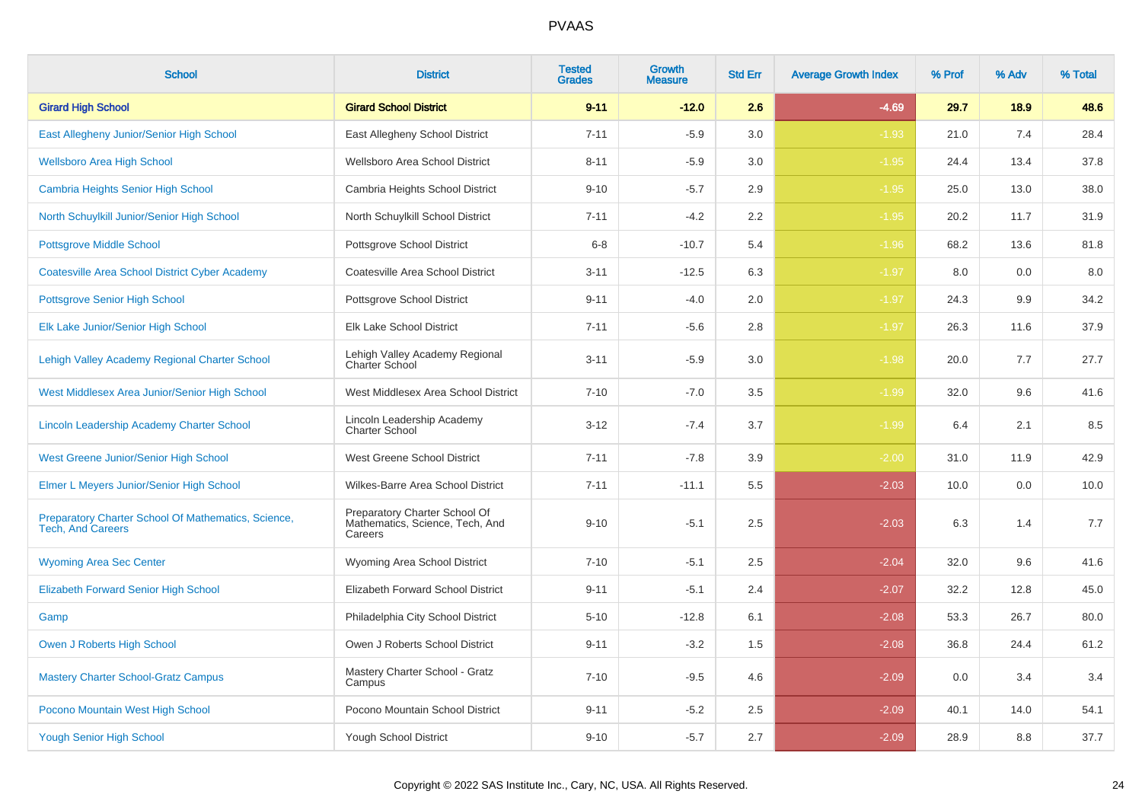| <b>School</b>                                                                   | <b>District</b>                                                             | <b>Tested</b><br><b>Grades</b> | <b>Growth</b><br><b>Measure</b> | <b>Std Err</b> | <b>Average Growth Index</b> | % Prof | % Adv | % Total |
|---------------------------------------------------------------------------------|-----------------------------------------------------------------------------|--------------------------------|---------------------------------|----------------|-----------------------------|--------|-------|---------|
| <b>Girard High School</b>                                                       | <b>Girard School District</b>                                               | $9 - 11$                       | $-12.0$                         | 2.6            | $-4.69$                     | 29.7   | 18.9  | 48.6    |
| East Allegheny Junior/Senior High School                                        | East Allegheny School District                                              | $7 - 11$                       | $-5.9$                          | 3.0            | $-1.93$                     | 21.0   | 7.4   | 28.4    |
| <b>Wellsboro Area High School</b>                                               | Wellsboro Area School District                                              | $8 - 11$                       | $-5.9$                          | 3.0            | $-1.95$                     | 24.4   | 13.4  | 37.8    |
| <b>Cambria Heights Senior High School</b>                                       | Cambria Heights School District                                             | $9 - 10$                       | $-5.7$                          | 2.9            | $-1.95$                     | 25.0   | 13.0  | 38.0    |
| North Schuylkill Junior/Senior High School                                      | North Schuylkill School District                                            | $7 - 11$                       | $-4.2$                          | 2.2            | $-1.95$                     | 20.2   | 11.7  | 31.9    |
| <b>Pottsgrove Middle School</b>                                                 | Pottsgrove School District                                                  | $6 - 8$                        | $-10.7$                         | 5.4            | $-1.96$                     | 68.2   | 13.6  | 81.8    |
| <b>Coatesville Area School District Cyber Academy</b>                           | Coatesville Area School District                                            | $3 - 11$                       | $-12.5$                         | 6.3            | $-1.97$                     | 8.0    | 0.0   | 8.0     |
| <b>Pottsgrove Senior High School</b>                                            | Pottsgrove School District                                                  | $9 - 11$                       | $-4.0$                          | 2.0            | $-1.97$                     | 24.3   | 9.9   | 34.2    |
| Elk Lake Junior/Senior High School                                              | Elk Lake School District                                                    | $7 - 11$                       | $-5.6$                          | 2.8            | $-1.97$                     | 26.3   | 11.6  | 37.9    |
| Lehigh Valley Academy Regional Charter School                                   | Lehigh Valley Academy Regional<br>Charter School                            | $3 - 11$                       | $-5.9$                          | 3.0            | $-1.98$                     | 20.0   | 7.7   | 27.7    |
| West Middlesex Area Junior/Senior High School                                   | West Middlesex Area School District                                         | $7 - 10$                       | $-7.0$                          | 3.5            | $-1.99$                     | 32.0   | 9.6   | 41.6    |
| Lincoln Leadership Academy Charter School                                       | Lincoln Leadership Academy<br><b>Charter School</b>                         | $3 - 12$                       | $-7.4$                          | 3.7            | $-1.99$                     | 6.4    | 2.1   | 8.5     |
| <b>West Greene Junior/Senior High School</b>                                    | West Greene School District                                                 | $7 - 11$                       | $-7.8$                          | 3.9            | $-2.00$                     | 31.0   | 11.9  | 42.9    |
| Elmer L Meyers Junior/Senior High School                                        | Wilkes-Barre Area School District                                           | $7 - 11$                       | $-11.1$                         | 5.5            | $-2.03$                     | 10.0   | 0.0   | 10.0    |
| Preparatory Charter School Of Mathematics, Science,<br><b>Tech. And Careers</b> | Preparatory Charter School Of<br>Mathematics, Science, Tech, And<br>Careers | $9 - 10$                       | $-5.1$                          | 2.5            | $-2.03$                     | 6.3    | 1.4   | 7.7     |
| <b>Wyoming Area Sec Center</b>                                                  | Wyoming Area School District                                                | $7 - 10$                       | $-5.1$                          | 2.5            | $-2.04$                     | 32.0   | 9.6   | 41.6    |
| <b>Elizabeth Forward Senior High School</b>                                     | Elizabeth Forward School District                                           | $9 - 11$                       | $-5.1$                          | 2.4            | $-2.07$                     | 32.2   | 12.8  | 45.0    |
| Gamp                                                                            | Philadelphia City School District                                           | $5 - 10$                       | $-12.8$                         | 6.1            | $-2.08$                     | 53.3   | 26.7  | 80.0    |
| <b>Owen J Roberts High School</b>                                               | Owen J Roberts School District                                              | $9 - 11$                       | $-3.2$                          | 1.5            | $-2.08$                     | 36.8   | 24.4  | 61.2    |
| <b>Mastery Charter School-Gratz Campus</b>                                      | Mastery Charter School - Gratz<br>Campus                                    | $7 - 10$                       | $-9.5$                          | 4.6            | $-2.09$                     | 0.0    | 3.4   | 3.4     |
| Pocono Mountain West High School                                                | Pocono Mountain School District                                             | $9 - 11$                       | $-5.2$                          | 2.5            | $-2.09$                     | 40.1   | 14.0  | 54.1    |
| <b>Yough Senior High School</b>                                                 | Yough School District                                                       | $9 - 10$                       | $-5.7$                          | 2.7            | $-2.09$                     | 28.9   | 8.8   | 37.7    |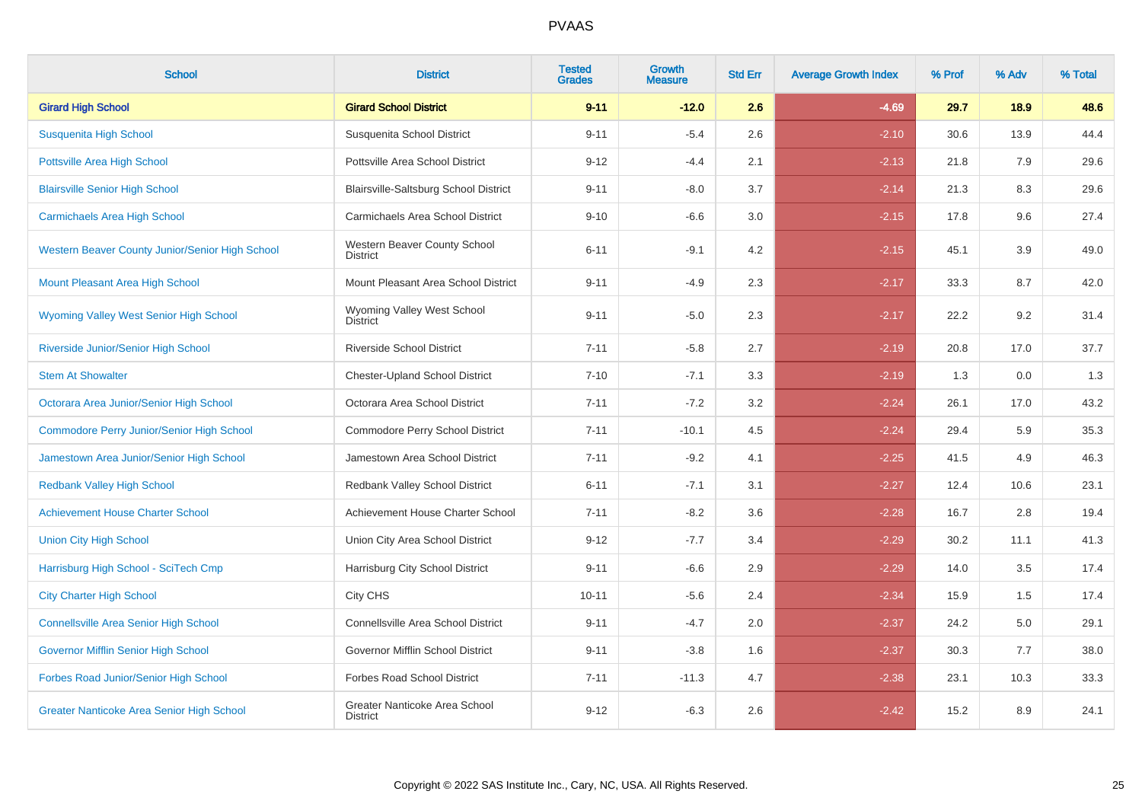| <b>School</b>                                    | <b>District</b>                                  | <b>Tested</b><br><b>Grades</b> | Growth<br><b>Measure</b> | <b>Std Err</b> | <b>Average Growth Index</b> | % Prof | % Adv | % Total |
|--------------------------------------------------|--------------------------------------------------|--------------------------------|--------------------------|----------------|-----------------------------|--------|-------|---------|
| <b>Girard High School</b>                        | <b>Girard School District</b>                    | $9 - 11$                       | $-12.0$                  | 2.6            | $-4.69$                     | 29.7   | 18.9  | 48.6    |
| Susquenita High School                           | Susquenita School District                       | $9 - 11$                       | $-5.4$                   | 2.6            | $-2.10$                     | 30.6   | 13.9  | 44.4    |
| <b>Pottsville Area High School</b>               | Pottsville Area School District                  | $9 - 12$                       | $-4.4$                   | 2.1            | $-2.13$                     | 21.8   | 7.9   | 29.6    |
| <b>Blairsville Senior High School</b>            | Blairsville-Saltsburg School District            | $9 - 11$                       | $-8.0$                   | 3.7            | $-2.14$                     | 21.3   | 8.3   | 29.6    |
| <b>Carmichaels Area High School</b>              | Carmichaels Area School District                 | $9 - 10$                       | $-6.6$                   | 3.0            | $-2.15$                     | 17.8   | 9.6   | 27.4    |
| Western Beaver County Junior/Senior High School  | Western Beaver County School<br><b>District</b>  | $6 - 11$                       | $-9.1$                   | 4.2            | $-2.15$                     | 45.1   | 3.9   | 49.0    |
| Mount Pleasant Area High School                  | Mount Pleasant Area School District              | $9 - 11$                       | $-4.9$                   | 2.3            | $-2.17$                     | 33.3   | 8.7   | 42.0    |
| <b>Wyoming Valley West Senior High School</b>    | Wyoming Valley West School<br><b>District</b>    | $9 - 11$                       | $-5.0$                   | 2.3            | $-2.17$                     | 22.2   | 9.2   | 31.4    |
| Riverside Junior/Senior High School              | <b>Riverside School District</b>                 | $7 - 11$                       | $-5.8$                   | 2.7            | $-2.19$                     | 20.8   | 17.0  | 37.7    |
| <b>Stem At Showalter</b>                         | <b>Chester-Upland School District</b>            | $7 - 10$                       | $-7.1$                   | 3.3            | $-2.19$                     | 1.3    | 0.0   | 1.3     |
| Octorara Area Junior/Senior High School          | Octorara Area School District                    | $7 - 11$                       | $-7.2$                   | 3.2            | $-2.24$                     | 26.1   | 17.0  | 43.2    |
| <b>Commodore Perry Junior/Senior High School</b> | Commodore Perry School District                  | $7 - 11$                       | $-10.1$                  | 4.5            | $-2.24$                     | 29.4   | 5.9   | 35.3    |
| Jamestown Area Junior/Senior High School         | Jamestown Area School District                   | $7 - 11$                       | $-9.2$                   | 4.1            | $-2.25$                     | 41.5   | 4.9   | 46.3    |
| <b>Redbank Valley High School</b>                | Redbank Valley School District                   | $6 - 11$                       | $-7.1$                   | 3.1            | $-2.27$                     | 12.4   | 10.6  | 23.1    |
| <b>Achievement House Charter School</b>          | Achievement House Charter School                 | $7 - 11$                       | $-8.2$                   | 3.6            | $-2.28$                     | 16.7   | 2.8   | 19.4    |
| <b>Union City High School</b>                    | Union City Area School District                  | $9 - 12$                       | $-7.7$                   | 3.4            | $-2.29$                     | 30.2   | 11.1  | 41.3    |
| Harrisburg High School - SciTech Cmp             | Harrisburg City School District                  | $9 - 11$                       | $-6.6$                   | 2.9            | $-2.29$                     | 14.0   | 3.5   | 17.4    |
| <b>City Charter High School</b>                  | City CHS                                         | $10 - 11$                      | $-5.6$                   | 2.4            | $-2.34$                     | 15.9   | 1.5   | 17.4    |
| <b>Connellsville Area Senior High School</b>     | Connellsville Area School District               | $9 - 11$                       | $-4.7$                   | 2.0            | $-2.37$                     | 24.2   | 5.0   | 29.1    |
| Governor Mifflin Senior High School              | Governor Mifflin School District                 | $9 - 11$                       | $-3.8$                   | 1.6            | $-2.37$                     | 30.3   | 7.7   | 38.0    |
| Forbes Road Junior/Senior High School            | <b>Forbes Road School District</b>               | $7 - 11$                       | $-11.3$                  | 4.7            | $-2.38$                     | 23.1   | 10.3  | 33.3    |
| <b>Greater Nanticoke Area Senior High School</b> | Greater Nanticoke Area School<br><b>District</b> | $9 - 12$                       | $-6.3$                   | 2.6            | $-2.42$                     | 15.2   | 8.9   | 24.1    |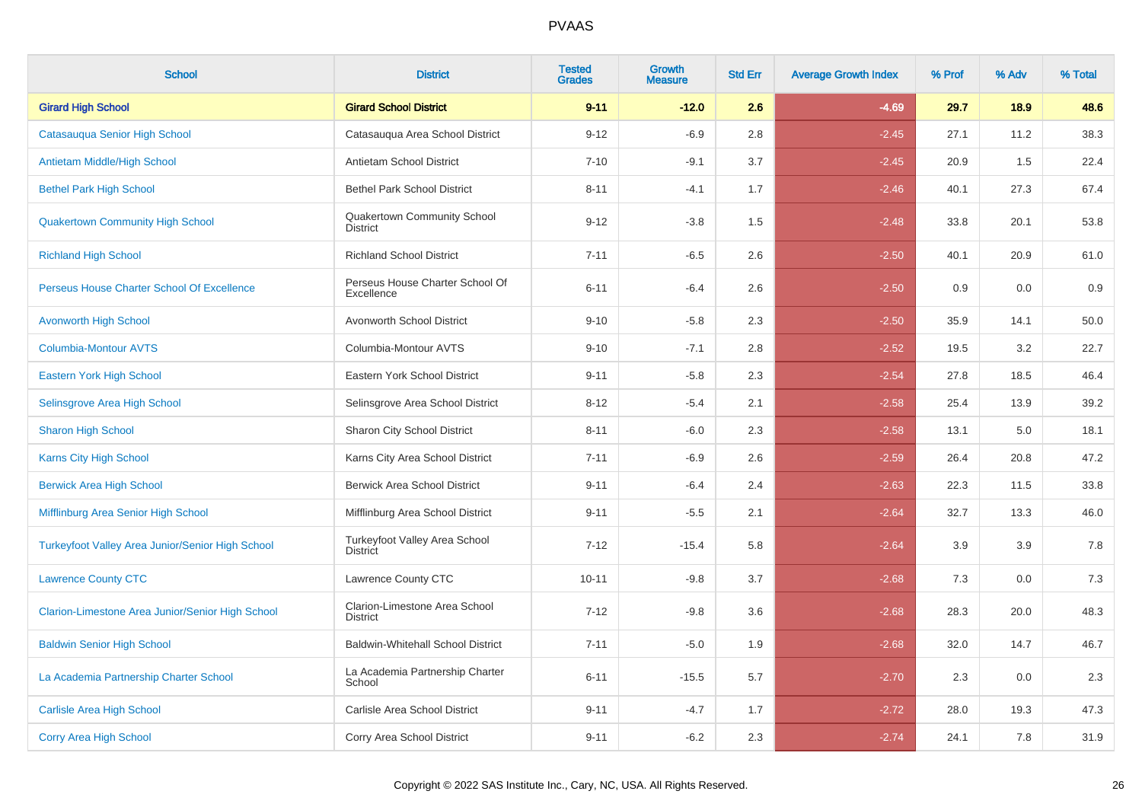| <b>School</b>                                           | <b>District</b>                                       | <b>Tested</b><br><b>Grades</b> | <b>Growth</b><br><b>Measure</b> | <b>Std Err</b> | <b>Average Growth Index</b> | % Prof | % Adv | % Total |
|---------------------------------------------------------|-------------------------------------------------------|--------------------------------|---------------------------------|----------------|-----------------------------|--------|-------|---------|
| <b>Girard High School</b>                               | <b>Girard School District</b>                         | $9 - 11$                       | $-12.0$                         | 2.6            | $-4.69$                     | 29.7   | 18.9  | 48.6    |
| Catasauqua Senior High School                           | Catasauqua Area School District                       | $9 - 12$                       | $-6.9$                          | 2.8            | $-2.45$                     | 27.1   | 11.2  | 38.3    |
| Antietam Middle/High School                             | Antietam School District                              | $7 - 10$                       | $-9.1$                          | 3.7            | $-2.45$                     | 20.9   | 1.5   | 22.4    |
| <b>Bethel Park High School</b>                          | <b>Bethel Park School District</b>                    | $8 - 11$                       | $-4.1$                          | 1.7            | $-2.46$                     | 40.1   | 27.3  | 67.4    |
| <b>Quakertown Community High School</b>                 | <b>Quakertown Community School</b><br><b>District</b> | $9 - 12$                       | $-3.8$                          | 1.5            | $-2.48$                     | 33.8   | 20.1  | 53.8    |
| <b>Richland High School</b>                             | <b>Richland School District</b>                       | $7 - 11$                       | $-6.5$                          | 2.6            | $-2.50$                     | 40.1   | 20.9  | 61.0    |
| Perseus House Charter School Of Excellence              | Perseus House Charter School Of<br>Excellence         | $6 - 11$                       | $-6.4$                          | 2.6            | $-2.50$                     | 0.9    | 0.0   | 0.9     |
| <b>Avonworth High School</b>                            | Avonworth School District                             | $9 - 10$                       | $-5.8$                          | 2.3            | $-2.50$                     | 35.9   | 14.1  | 50.0    |
| <b>Columbia-Montour AVTS</b>                            | Columbia-Montour AVTS                                 | $9 - 10$                       | $-7.1$                          | 2.8            | $-2.52$                     | 19.5   | 3.2   | 22.7    |
| Eastern York High School                                | Eastern York School District                          | $9 - 11$                       | $-5.8$                          | 2.3            | $-2.54$                     | 27.8   | 18.5  | 46.4    |
| Selinsgrove Area High School                            | Selinsgrove Area School District                      | $8 - 12$                       | $-5.4$                          | 2.1            | $-2.58$                     | 25.4   | 13.9  | 39.2    |
| <b>Sharon High School</b>                               | Sharon City School District                           | $8 - 11$                       | $-6.0$                          | 2.3            | $-2.58$                     | 13.1   | 5.0   | 18.1    |
| <b>Karns City High School</b>                           | Karns City Area School District                       | $7 - 11$                       | $-6.9$                          | 2.6            | $-2.59$                     | 26.4   | 20.8  | 47.2    |
| <b>Berwick Area High School</b>                         | <b>Berwick Area School District</b>                   | $9 - 11$                       | $-6.4$                          | 2.4            | $-2.63$                     | 22.3   | 11.5  | 33.8    |
| Mifflinburg Area Senior High School                     | Mifflinburg Area School District                      | $9 - 11$                       | $-5.5$                          | 2.1            | $-2.64$                     | 32.7   | 13.3  | 46.0    |
| <b>Turkeyfoot Valley Area Junior/Senior High School</b> | Turkeyfoot Valley Area School<br><b>District</b>      | $7 - 12$                       | $-15.4$                         | 5.8            | $-2.64$                     | 3.9    | 3.9   | 7.8     |
| <b>Lawrence County CTC</b>                              | Lawrence County CTC                                   | $10 - 11$                      | $-9.8$                          | 3.7            | $-2.68$                     | 7.3    | 0.0   | $7.3$   |
| Clarion-Limestone Area Junior/Senior High School        | Clarion-Limestone Area School<br><b>District</b>      | $7 - 12$                       | $-9.8$                          | 3.6            | $-2.68$                     | 28.3   | 20.0  | 48.3    |
| <b>Baldwin Senior High School</b>                       | <b>Baldwin-Whitehall School District</b>              | $7 - 11$                       | $-5.0$                          | 1.9            | $-2.68$                     | 32.0   | 14.7  | 46.7    |
| La Academia Partnership Charter School                  | La Academia Partnership Charter<br>School             | $6 - 11$                       | $-15.5$                         | 5.7            | $-2.70$                     | 2.3    | 0.0   | 2.3     |
| <b>Carlisle Area High School</b>                        | Carlisle Area School District                         | $9 - 11$                       | $-4.7$                          | 1.7            | $-2.72$                     | 28.0   | 19.3  | 47.3    |
| <b>Corry Area High School</b>                           | Corry Area School District                            | $9 - 11$                       | $-6.2$                          | 2.3            | $-2.74$                     | 24.1   | 7.8   | 31.9    |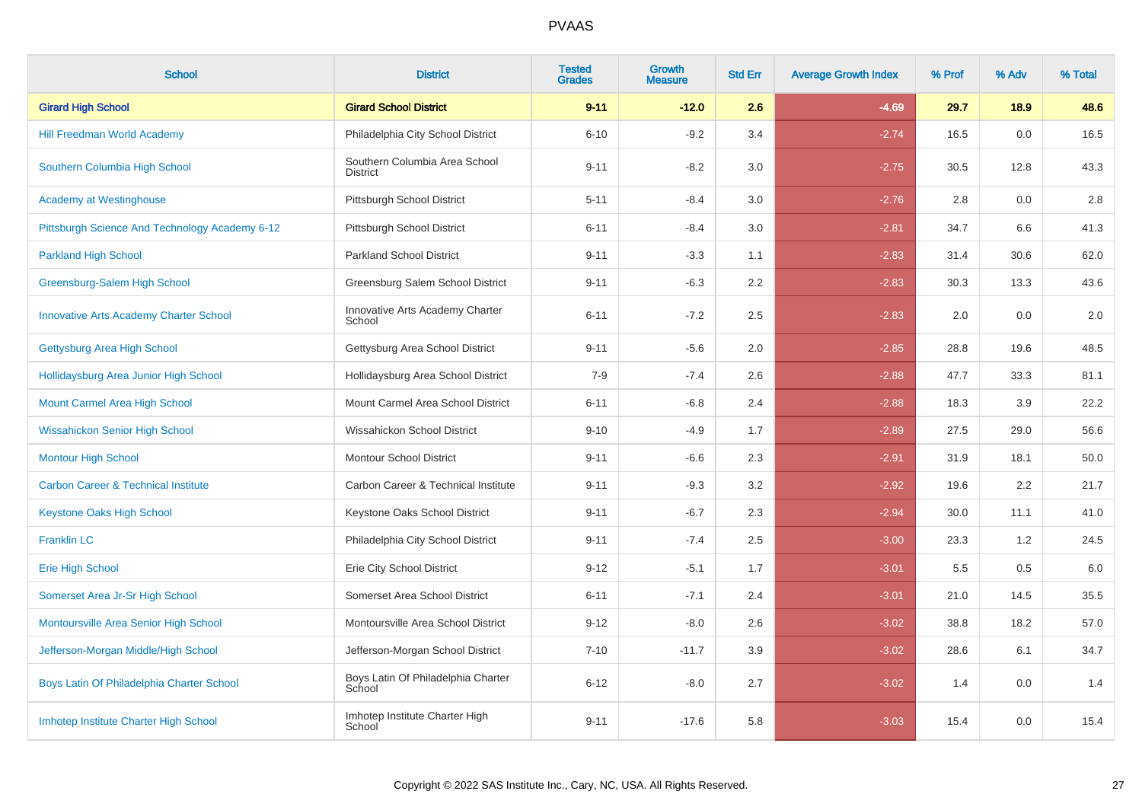| <b>School</b>                                  | <b>District</b>                                  | <b>Tested</b><br><b>Grades</b> | <b>Growth</b><br><b>Measure</b> | <b>Std Err</b> | <b>Average Growth Index</b> | % Prof | % Adv | % Total |
|------------------------------------------------|--------------------------------------------------|--------------------------------|---------------------------------|----------------|-----------------------------|--------|-------|---------|
| <b>Girard High School</b>                      | <b>Girard School District</b>                    | $9 - 11$                       | $-12.0$                         | 2.6            | $-4.69$                     | 29.7   | 18.9  | 48.6    |
| <b>Hill Freedman World Academy</b>             | Philadelphia City School District                | $6 - 10$                       | $-9.2$                          | 3.4            | $-2.74$                     | 16.5   | 0.0   | 16.5    |
| Southern Columbia High School                  | Southern Columbia Area School<br><b>District</b> | $9 - 11$                       | $-8.2$                          | 3.0            | $-2.75$                     | 30.5   | 12.8  | 43.3    |
| <b>Academy at Westinghouse</b>                 | Pittsburgh School District                       | $5 - 11$                       | $-8.4$                          | 3.0            | $-2.76$                     | 2.8    | 0.0   | 2.8     |
| Pittsburgh Science And Technology Academy 6-12 | Pittsburgh School District                       | $6 - 11$                       | $-8.4$                          | 3.0            | $-2.81$                     | 34.7   | 6.6   | 41.3    |
| <b>Parkland High School</b>                    | <b>Parkland School District</b>                  | $9 - 11$                       | $-3.3$                          | 1.1            | $-2.83$                     | 31.4   | 30.6  | 62.0    |
| Greensburg-Salem High School                   | Greensburg Salem School District                 | $9 - 11$                       | $-6.3$                          | 2.2            | $-2.83$                     | 30.3   | 13.3  | 43.6    |
| <b>Innovative Arts Academy Charter School</b>  | Innovative Arts Academy Charter<br>School        | $6 - 11$                       | $-7.2$                          | 2.5            | $-2.83$                     | 2.0    | 0.0   | $2.0\,$ |
| Gettysburg Area High School                    | Gettysburg Area School District                  | $9 - 11$                       | $-5.6$                          | 2.0            | $-2.85$                     | 28.8   | 19.6  | 48.5    |
| Hollidaysburg Area Junior High School          | Hollidaysburg Area School District               | $7 - 9$                        | $-7.4$                          | 2.6            | $-2.88$                     | 47.7   | 33.3  | 81.1    |
| <b>Mount Carmel Area High School</b>           | Mount Carmel Area School District                | $6 - 11$                       | $-6.8$                          | 2.4            | $-2.88$                     | 18.3   | 3.9   | 22.2    |
| <b>Wissahickon Senior High School</b>          | Wissahickon School District                      | $9 - 10$                       | $-4.9$                          | 1.7            | $-2.89$                     | 27.5   | 29.0  | 56.6    |
| <b>Montour High School</b>                     | <b>Montour School District</b>                   | $9 - 11$                       | $-6.6$                          | 2.3            | $-2.91$                     | 31.9   | 18.1  | 50.0    |
| <b>Carbon Career &amp; Technical Institute</b> | Carbon Career & Technical Institute              | $9 - 11$                       | $-9.3$                          | 3.2            | $-2.92$                     | 19.6   | 2.2   | 21.7    |
| <b>Keystone Oaks High School</b>               | Keystone Oaks School District                    | $9 - 11$                       | $-6.7$                          | 2.3            | $-2.94$                     | 30.0   | 11.1  | 41.0    |
| <b>Franklin LC</b>                             | Philadelphia City School District                | $9 - 11$                       | $-7.4$                          | 2.5            | $-3.00$                     | 23.3   | 1.2   | 24.5    |
| <b>Erie High School</b>                        | Erie City School District                        | $9 - 12$                       | $-5.1$                          | 1.7            | $-3.01$                     | 5.5    | 0.5   | $6.0\,$ |
| Somerset Area Jr-Sr High School                | Somerset Area School District                    | $6 - 11$                       | $-7.1$                          | 2.4            | $-3.01$                     | 21.0   | 14.5  | 35.5    |
| Montoursville Area Senior High School          | Montoursville Area School District               | $9 - 12$                       | $-8.0$                          | 2.6            | $-3.02$                     | 38.8   | 18.2  | 57.0    |
| Jefferson-Morgan Middle/High School            | Jefferson-Morgan School District                 | $7 - 10$                       | $-11.7$                         | 3.9            | $-3.02$                     | 28.6   | 6.1   | 34.7    |
| Boys Latin Of Philadelphia Charter School      | Boys Latin Of Philadelphia Charter<br>School     | $6 - 12$                       | $-8.0$                          | 2.7            | $-3.02$                     | 1.4    | 0.0   | 1.4     |
| Imhotep Institute Charter High School          | Imhotep Institute Charter High<br>School         | $9 - 11$                       | $-17.6$                         | 5.8            | $-3.03$                     | 15.4   | 0.0   | 15.4    |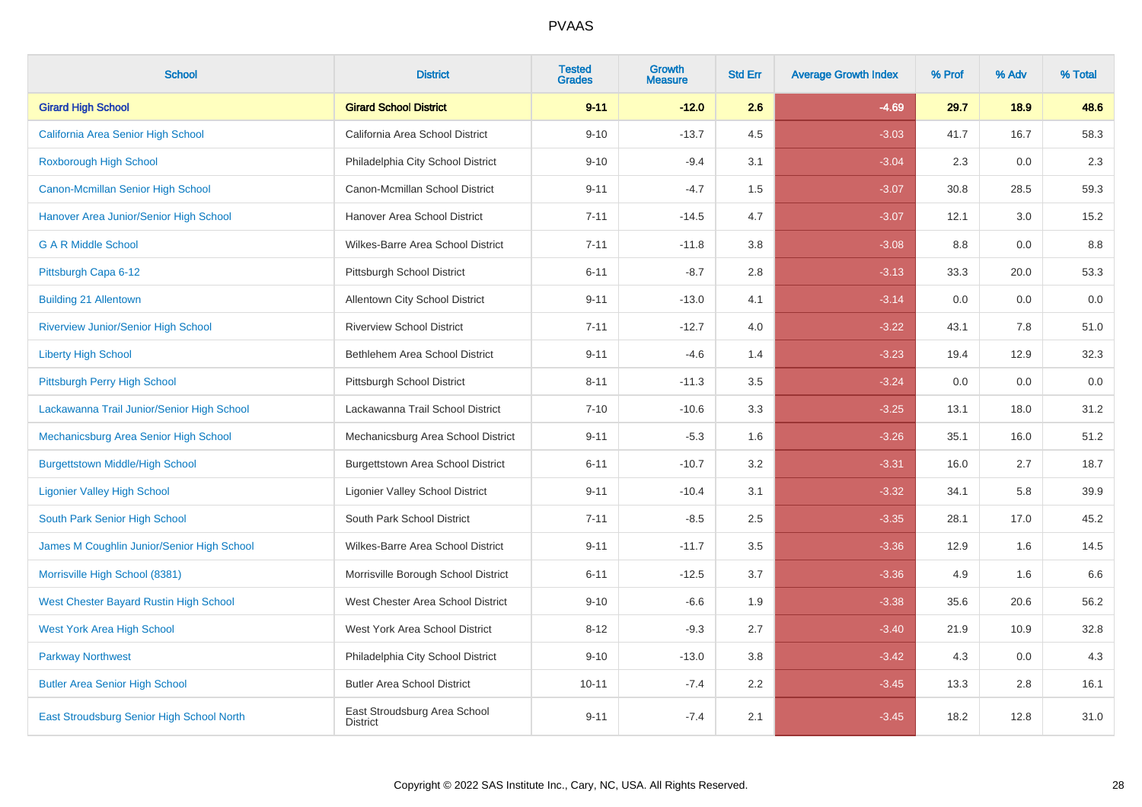| <b>School</b>                              | <b>District</b>                                 | <b>Tested</b><br><b>Grades</b> | <b>Growth</b><br><b>Measure</b> | <b>Std Err</b> | <b>Average Growth Index</b> | % Prof | % Adv | % Total |
|--------------------------------------------|-------------------------------------------------|--------------------------------|---------------------------------|----------------|-----------------------------|--------|-------|---------|
| <b>Girard High School</b>                  | <b>Girard School District</b>                   | $9 - 11$                       | $-12.0$                         | 2.6            | $-4.69$                     | 29.7   | 18.9  | 48.6    |
| California Area Senior High School         | California Area School District                 | $9 - 10$                       | $-13.7$                         | 4.5            | $-3.03$                     | 41.7   | 16.7  | 58.3    |
| <b>Roxborough High School</b>              | Philadelphia City School District               | $9 - 10$                       | $-9.4$                          | 3.1            | $-3.04$                     | 2.3    | 0.0   | 2.3     |
| <b>Canon-Mcmillan Senior High School</b>   | Canon-Mcmillan School District                  | $9 - 11$                       | $-4.7$                          | 1.5            | $-3.07$                     | 30.8   | 28.5  | 59.3    |
| Hanover Area Junior/Senior High School     | Hanover Area School District                    | $7 - 11$                       | $-14.5$                         | 4.7            | $-3.07$                     | 12.1   | 3.0   | 15.2    |
| <b>GAR Middle School</b>                   | Wilkes-Barre Area School District               | $7 - 11$                       | $-11.8$                         | 3.8            | $-3.08$                     | 8.8    | 0.0   | 8.8     |
| Pittsburgh Capa 6-12                       | Pittsburgh School District                      | $6 - 11$                       | $-8.7$                          | 2.8            | $-3.13$                     | 33.3   | 20.0  | 53.3    |
| <b>Building 21 Allentown</b>               | Allentown City School District                  | $9 - 11$                       | $-13.0$                         | 4.1            | $-3.14$                     | 0.0    | 0.0   | 0.0     |
| <b>Riverview Junior/Senior High School</b> | <b>Riverview School District</b>                | $7 - 11$                       | $-12.7$                         | 4.0            | $-3.22$                     | 43.1   | 7.8   | 51.0    |
| <b>Liberty High School</b>                 | Bethlehem Area School District                  | $9 - 11$                       | $-4.6$                          | 1.4            | $-3.23$                     | 19.4   | 12.9  | 32.3    |
| Pittsburgh Perry High School               | Pittsburgh School District                      | $8 - 11$                       | $-11.3$                         | 3.5            | $-3.24$                     | 0.0    | 0.0   | 0.0     |
| Lackawanna Trail Junior/Senior High School | Lackawanna Trail School District                | $7 - 10$                       | $-10.6$                         | 3.3            | $-3.25$                     | 13.1   | 18.0  | 31.2    |
| Mechanicsburg Area Senior High School      | Mechanicsburg Area School District              | $9 - 11$                       | $-5.3$                          | 1.6            | $-3.26$                     | 35.1   | 16.0  | 51.2    |
| <b>Burgettstown Middle/High School</b>     | <b>Burgettstown Area School District</b>        | $6 - 11$                       | $-10.7$                         | 3.2            | $-3.31$                     | 16.0   | 2.7   | 18.7    |
| <b>Ligonier Valley High School</b>         | <b>Ligonier Valley School District</b>          | $9 - 11$                       | $-10.4$                         | 3.1            | $-3.32$                     | 34.1   | 5.8   | 39.9    |
| South Park Senior High School              | South Park School District                      | $7 - 11$                       | $-8.5$                          | $2.5\,$        | $-3.35$                     | 28.1   | 17.0  | 45.2    |
| James M Coughlin Junior/Senior High School | Wilkes-Barre Area School District               | $9 - 11$                       | $-11.7$                         | 3.5            | $-3.36$                     | 12.9   | 1.6   | 14.5    |
| Morrisville High School (8381)             | Morrisville Borough School District             | $6 - 11$                       | $-12.5$                         | 3.7            | $-3.36$                     | 4.9    | 1.6   | 6.6     |
| West Chester Bayard Rustin High School     | West Chester Area School District               | $9 - 10$                       | $-6.6$                          | 1.9            | $-3.38$                     | 35.6   | 20.6  | 56.2    |
| <b>West York Area High School</b>          | West York Area School District                  | $8 - 12$                       | $-9.3$                          | 2.7            | $-3.40$                     | 21.9   | 10.9  | 32.8    |
| <b>Parkway Northwest</b>                   | Philadelphia City School District               | $9 - 10$                       | $-13.0$                         | 3.8            | $-3.42$                     | 4.3    | 0.0   | 4.3     |
| <b>Butler Area Senior High School</b>      | <b>Butler Area School District</b>              | $10 - 11$                      | $-7.4$                          | $2.2\,$        | $-3.45$                     | 13.3   | 2.8   | 16.1    |
| East Stroudsburg Senior High School North  | East Stroudsburg Area School<br><b>District</b> | $9 - 11$                       | $-7.4$                          | 2.1            | $-3.45$                     | 18.2   | 12.8  | 31.0    |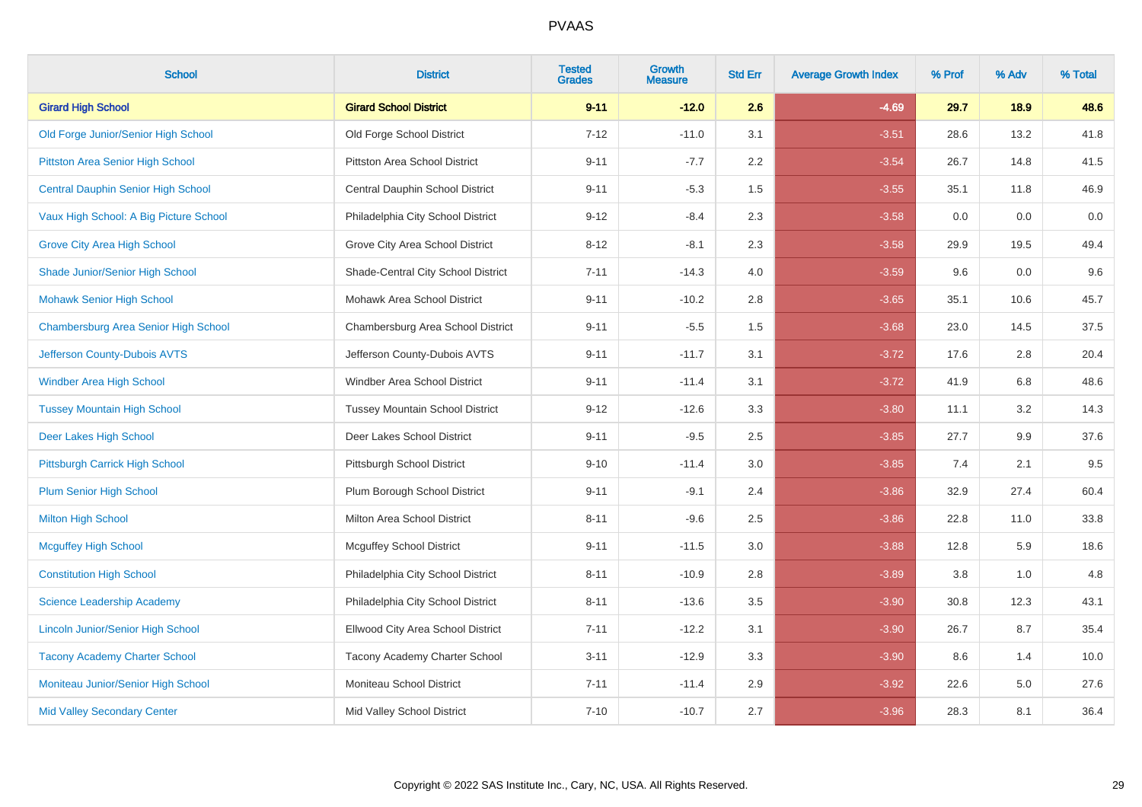| <b>School</b>                            | <b>District</b>                        | <b>Tested</b><br><b>Grades</b> | <b>Growth</b><br><b>Measure</b> | <b>Std Err</b> | <b>Average Growth Index</b> | % Prof | % Adv | % Total |
|------------------------------------------|----------------------------------------|--------------------------------|---------------------------------|----------------|-----------------------------|--------|-------|---------|
| <b>Girard High School</b>                | <b>Girard School District</b>          | $9 - 11$                       | $-12.0$                         | 2.6            | $-4.69$                     | 29.7   | 18.9  | 48.6    |
| Old Forge Junior/Senior High School      | Old Forge School District              | $7 - 12$                       | $-11.0$                         | 3.1            | $-3.51$                     | 28.6   | 13.2  | 41.8    |
| Pittston Area Senior High School         | <b>Pittston Area School District</b>   | $9 - 11$                       | $-7.7$                          | 2.2            | $-3.54$                     | 26.7   | 14.8  | 41.5    |
| Central Dauphin Senior High School       | Central Dauphin School District        | $9 - 11$                       | $-5.3$                          | 1.5            | $-3.55$                     | 35.1   | 11.8  | 46.9    |
| Vaux High School: A Big Picture School   | Philadelphia City School District      | $9 - 12$                       | $-8.4$                          | 2.3            | $-3.58$                     | 0.0    | 0.0   | $0.0\,$ |
| <b>Grove City Area High School</b>       | Grove City Area School District        | $8 - 12$                       | $-8.1$                          | 2.3            | $-3.58$                     | 29.9   | 19.5  | 49.4    |
| Shade Junior/Senior High School          | Shade-Central City School District     | $7 - 11$                       | $-14.3$                         | 4.0            | $-3.59$                     | 9.6    | 0.0   | 9.6     |
| <b>Mohawk Senior High School</b>         | Mohawk Area School District            | $9 - 11$                       | $-10.2$                         | 2.8            | $-3.65$                     | 35.1   | 10.6  | 45.7    |
| Chambersburg Area Senior High School     | Chambersburg Area School District      | $9 - 11$                       | $-5.5$                          | 1.5            | $-3.68$                     | 23.0   | 14.5  | 37.5    |
| Jefferson County-Dubois AVTS             | Jefferson County-Dubois AVTS           | $9 - 11$                       | $-11.7$                         | 3.1            | $-3.72$                     | 17.6   | 2.8   | 20.4    |
| Windber Area High School                 | Windber Area School District           | $9 - 11$                       | $-11.4$                         | 3.1            | $-3.72$                     | 41.9   | 6.8   | 48.6    |
| <b>Tussey Mountain High School</b>       | <b>Tussey Mountain School District</b> | $9 - 12$                       | $-12.6$                         | 3.3            | $-3.80$                     | 11.1   | 3.2   | 14.3    |
| Deer Lakes High School                   | Deer Lakes School District             | $9 - 11$                       | $-9.5$                          | 2.5            | $-3.85$                     | 27.7   | 9.9   | 37.6    |
| Pittsburgh Carrick High School           | Pittsburgh School District             | $9 - 10$                       | $-11.4$                         | 3.0            | $-3.85$                     | 7.4    | 2.1   | 9.5     |
| <b>Plum Senior High School</b>           | Plum Borough School District           | $9 - 11$                       | $-9.1$                          | 2.4            | $-3.86$                     | 32.9   | 27.4  | 60.4    |
| <b>Milton High School</b>                | Milton Area School District            | $8 - 11$                       | $-9.6$                          | 2.5            | $-3.86$                     | 22.8   | 11.0  | 33.8    |
| <b>Mcguffey High School</b>              | <b>Mcguffey School District</b>        | $9 - 11$                       | $-11.5$                         | 3.0            | $-3.88$                     | 12.8   | 5.9   | 18.6    |
| <b>Constitution High School</b>          | Philadelphia City School District      | $8 - 11$                       | $-10.9$                         | 2.8            | $-3.89$                     | 3.8    | 1.0   | 4.8     |
| Science Leadership Academy               | Philadelphia City School District      | $8 - 11$                       | $-13.6$                         | 3.5            | $-3.90$                     | 30.8   | 12.3  | 43.1    |
| <b>Lincoln Junior/Senior High School</b> | Ellwood City Area School District      | $7 - 11$                       | $-12.2$                         | 3.1            | $-3.90$                     | 26.7   | 8.7   | 35.4    |
| <b>Tacony Academy Charter School</b>     | Tacony Academy Charter School          | $3 - 11$                       | $-12.9$                         | 3.3            | $-3.90$                     | 8.6    | 1.4   | 10.0    |
| Moniteau Junior/Senior High School       | Moniteau School District               | $7 - 11$                       | $-11.4$                         | 2.9            | $-3.92$                     | 22.6   | 5.0   | 27.6    |
| <b>Mid Valley Secondary Center</b>       | Mid Valley School District             | $7 - 10$                       | $-10.7$                         | 2.7            | $-3.96$                     | 28.3   | 8.1   | 36.4    |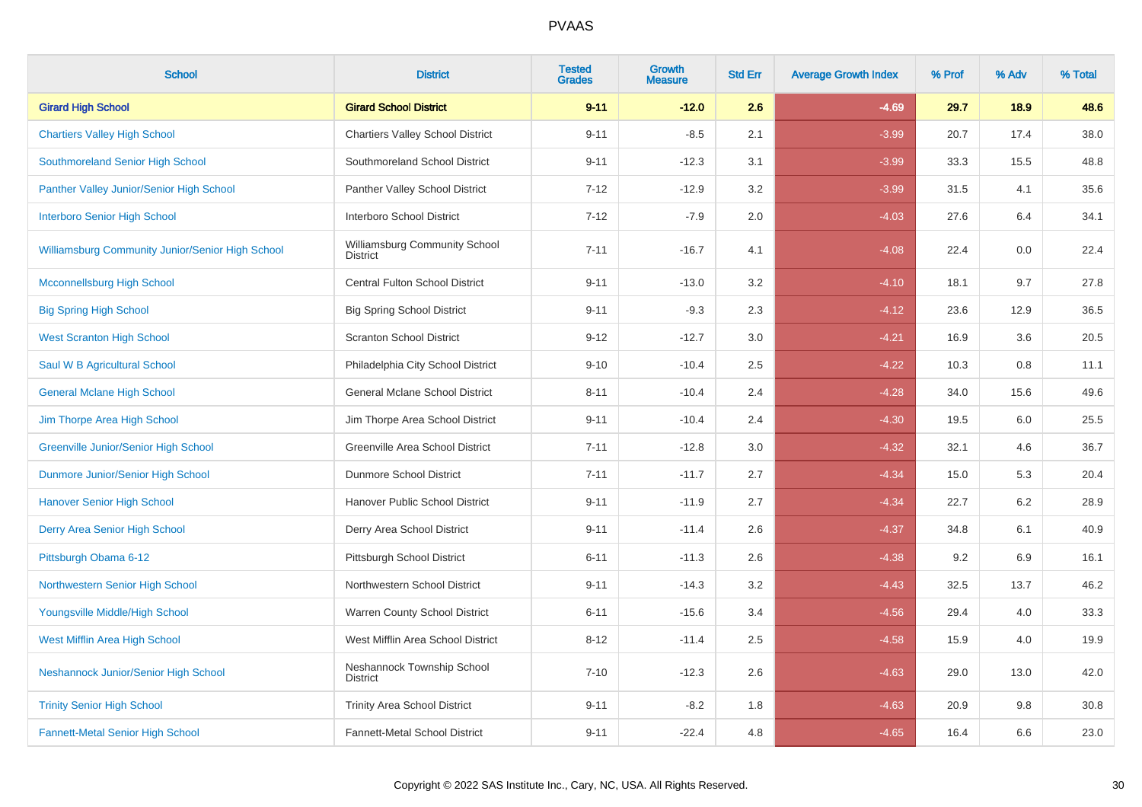| <b>School</b>                                    | <b>District</b>                                  | <b>Tested</b><br><b>Grades</b> | Growth<br><b>Measure</b> | <b>Std Err</b> | <b>Average Growth Index</b> | % Prof | % Adv | % Total |
|--------------------------------------------------|--------------------------------------------------|--------------------------------|--------------------------|----------------|-----------------------------|--------|-------|---------|
| <b>Girard High School</b>                        | <b>Girard School District</b>                    | $9 - 11$                       | $-12.0$                  | 2.6            | $-4.69$                     | 29.7   | 18.9  | 48.6    |
| <b>Chartiers Valley High School</b>              | <b>Chartiers Valley School District</b>          | $9 - 11$                       | $-8.5$                   | 2.1            | $-3.99$                     | 20.7   | 17.4  | 38.0    |
| Southmoreland Senior High School                 | Southmoreland School District                    | $9 - 11$                       | $-12.3$                  | 3.1            | $-3.99$                     | 33.3   | 15.5  | 48.8    |
| Panther Valley Junior/Senior High School         | Panther Valley School District                   | $7 - 12$                       | $-12.9$                  | 3.2            | $-3.99$                     | 31.5   | 4.1   | 35.6    |
| <b>Interboro Senior High School</b>              | Interboro School District                        | $7 - 12$                       | $-7.9$                   | 2.0            | $-4.03$                     | 27.6   | 6.4   | 34.1    |
| Williamsburg Community Junior/Senior High School | Williamsburg Community School<br><b>District</b> | $7 - 11$                       | $-16.7$                  | 4.1            | $-4.08$                     | 22.4   | 0.0   | 22.4    |
| <b>Mcconnellsburg High School</b>                | <b>Central Fulton School District</b>            | $9 - 11$                       | $-13.0$                  | 3.2            | $-4.10$                     | 18.1   | 9.7   | 27.8    |
| <b>Big Spring High School</b>                    | <b>Big Spring School District</b>                | $9 - 11$                       | $-9.3$                   | 2.3            | $-4.12$                     | 23.6   | 12.9  | 36.5    |
| <b>West Scranton High School</b>                 | <b>Scranton School District</b>                  | $9 - 12$                       | $-12.7$                  | 3.0            | $-4.21$                     | 16.9   | 3.6   | 20.5    |
| Saul W B Agricultural School                     | Philadelphia City School District                | $9 - 10$                       | $-10.4$                  | 2.5            | $-4.22$                     | 10.3   | 0.8   | 11.1    |
| <b>General Mclane High School</b>                | General Mclane School District                   | $8 - 11$                       | $-10.4$                  | 2.4            | $-4.28$                     | 34.0   | 15.6  | 49.6    |
| Jim Thorpe Area High School                      | Jim Thorpe Area School District                  | $9 - 11$                       | $-10.4$                  | 2.4            | $-4.30$                     | 19.5   | 6.0   | 25.5    |
| <b>Greenville Junior/Senior High School</b>      | Greenville Area School District                  | $7 - 11$                       | $-12.8$                  | 3.0            | $-4.32$                     | 32.1   | 4.6   | 36.7    |
| Dunmore Junior/Senior High School                | Dunmore School District                          | $7 - 11$                       | $-11.7$                  | 2.7            | $-4.34$                     | 15.0   | 5.3   | 20.4    |
| <b>Hanover Senior High School</b>                | Hanover Public School District                   | $9 - 11$                       | $-11.9$                  | 2.7            | $-4.34$                     | 22.7   | 6.2   | 28.9    |
| Derry Area Senior High School                    | Derry Area School District                       | $9 - 11$                       | $-11.4$                  | 2.6            | $-4.37$                     | 34.8   | 6.1   | 40.9    |
| Pittsburgh Obama 6-12                            | Pittsburgh School District                       | $6 - 11$                       | $-11.3$                  | 2.6            | $-4.38$                     | 9.2    | 6.9   | 16.1    |
| Northwestern Senior High School                  | Northwestern School District                     | $9 - 11$                       | $-14.3$                  | 3.2            | $-4.43$                     | 32.5   | 13.7  | 46.2    |
| Youngsville Middle/High School                   | Warren County School District                    | $6 - 11$                       | $-15.6$                  | 3.4            | $-4.56$                     | 29.4   | 4.0   | 33.3    |
| West Mifflin Area High School                    | West Mifflin Area School District                | $8 - 12$                       | $-11.4$                  | 2.5            | $-4.58$                     | 15.9   | 4.0   | 19.9    |
| Neshannock Junior/Senior High School             | Neshannock Township School<br><b>District</b>    | $7 - 10$                       | $-12.3$                  | 2.6            | $-4.63$                     | 29.0   | 13.0  | 42.0    |
| <b>Trinity Senior High School</b>                | <b>Trinity Area School District</b>              | $9 - 11$                       | $-8.2$                   | 1.8            | $-4.63$                     | 20.9   | 9.8   | 30.8    |
| <b>Fannett-Metal Senior High School</b>          | Fannett-Metal School District                    | $9 - 11$                       | $-22.4$                  | 4.8            | $-4.65$                     | 16.4   | 6.6   | 23.0    |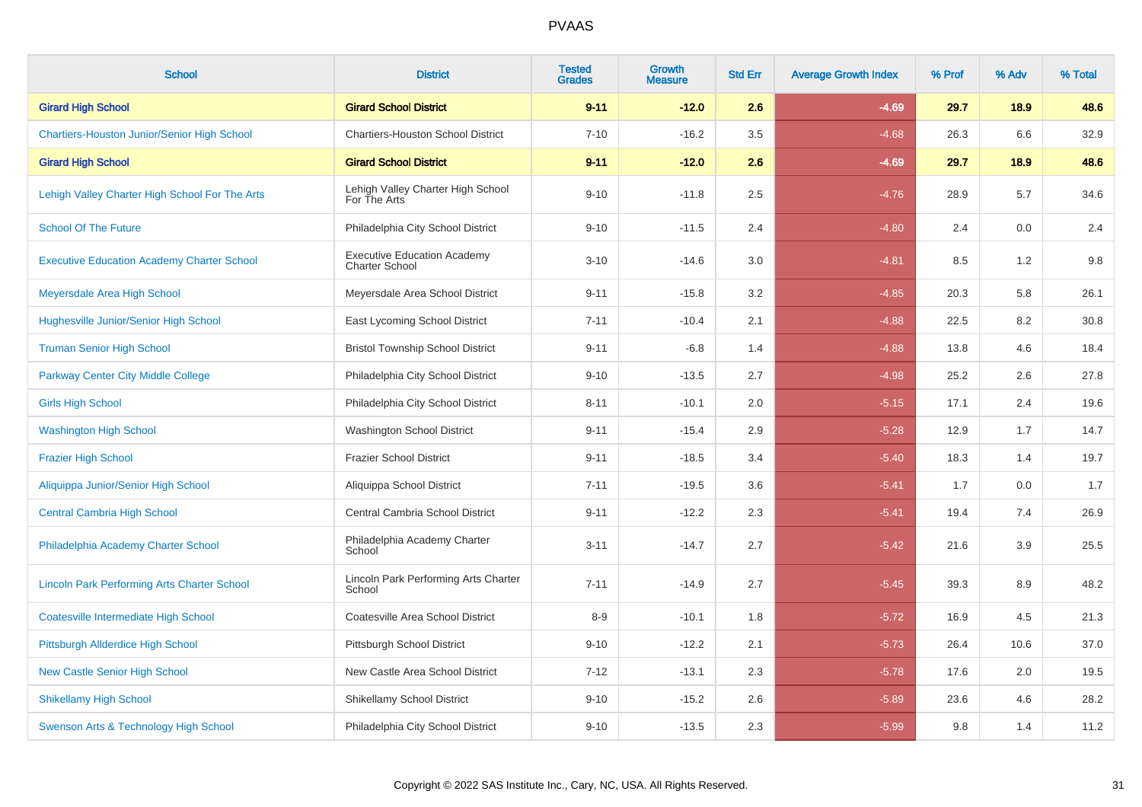| <b>School</b>                                      | <b>District</b>                                             | <b>Tested</b><br><b>Grades</b> | <b>Growth</b><br><b>Measure</b> | <b>Std Err</b> | <b>Average Growth Index</b> | % Prof | % Adv | % Total |
|----------------------------------------------------|-------------------------------------------------------------|--------------------------------|---------------------------------|----------------|-----------------------------|--------|-------|---------|
| <b>Girard High School</b>                          | <b>Girard School District</b>                               | $9 - 11$                       | $-12.0$                         | 2.6            | $-4.69$                     | 29.7   | 18.9  | 48.6    |
| <b>Chartiers-Houston Junior/Senior High School</b> | <b>Chartiers-Houston School District</b>                    | $7 - 10$                       | $-16.2$                         | 3.5            | $-4.68$                     | 26.3   | 6.6   | 32.9    |
| <b>Girard High School</b>                          | <b>Girard School District</b>                               | $9 - 11$                       | $-12.0$                         | 2.6            | $-4.69$                     | 29.7   | 18.9  | 48.6    |
| Lehigh Valley Charter High School For The Arts     | Lehigh Valley Charter High School<br>For The Arts           | $9 - 10$                       | $-11.8$                         | 2.5            | $-4.76$                     | 28.9   | 5.7   | 34.6    |
| <b>School Of The Future</b>                        | Philadelphia City School District                           | $9 - 10$                       | $-11.5$                         | 2.4            | $-4.80$                     | 2.4    | 0.0   | 2.4     |
| <b>Executive Education Academy Charter School</b>  | <b>Executive Education Academy</b><br><b>Charter School</b> | $3 - 10$                       | $-14.6$                         | 3.0            | $-4.81$                     | 8.5    | 1.2   | $9.8\,$ |
| Meyersdale Area High School                        | Meyersdale Area School District                             | $9 - 11$                       | $-15.8$                         | 3.2            | $-4.85$                     | 20.3   | 5.8   | 26.1    |
| <b>Hughesville Junior/Senior High School</b>       | East Lycoming School District                               | $7 - 11$                       | $-10.4$                         | 2.1            | $-4.88$                     | 22.5   | 8.2   | 30.8    |
| <b>Truman Senior High School</b>                   | <b>Bristol Township School District</b>                     | $9 - 11$                       | $-6.8$                          | 1.4            | $-4.88$                     | 13.8   | 4.6   | 18.4    |
| <b>Parkway Center City Middle College</b>          | Philadelphia City School District                           | $9 - 10$                       | $-13.5$                         | 2.7            | $-4.98$                     | 25.2   | 2.6   | 27.8    |
| <b>Girls High School</b>                           | Philadelphia City School District                           | $8 - 11$                       | $-10.1$                         | 2.0            | $-5.15$                     | 17.1   | 2.4   | 19.6    |
| <b>Washington High School</b>                      | Washington School District                                  | $9 - 11$                       | $-15.4$                         | 2.9            | $-5.28$                     | 12.9   | 1.7   | 14.7    |
| <b>Frazier High School</b>                         | <b>Frazier School District</b>                              | $9 - 11$                       | $-18.5$                         | 3.4            | $-5.40$                     | 18.3   | 1.4   | 19.7    |
| Aliquippa Junior/Senior High School                | Aliquippa School District                                   | $7 - 11$                       | $-19.5$                         | 3.6            | $-5.41$                     | 1.7    | 0.0   | 1.7     |
| <b>Central Cambria High School</b>                 | Central Cambria School District                             | $9 - 11$                       | $-12.2$                         | 2.3            | $-5.41$                     | 19.4   | 7.4   | 26.9    |
| Philadelphia Academy Charter School                | Philadelphia Academy Charter<br>School                      | $3 - 11$                       | $-14.7$                         | 2.7            | $-5.42$                     | 21.6   | 3.9   | 25.5    |
| <b>Lincoln Park Performing Arts Charter School</b> | Lincoln Park Performing Arts Charter<br>School              | $7 - 11$                       | $-14.9$                         | 2.7            | $-5.45$                     | 39.3   | 8.9   | 48.2    |
| <b>Coatesville Intermediate High School</b>        | Coatesville Area School District                            | $8-9$                          | $-10.1$                         | 1.8            | $-5.72$                     | 16.9   | 4.5   | 21.3    |
| Pittsburgh Allderdice High School                  | Pittsburgh School District                                  | $9 - 10$                       | $-12.2$                         | 2.1            | $-5.73$                     | 26.4   | 10.6  | 37.0    |
| <b>New Castle Senior High School</b>               | New Castle Area School District                             | $7 - 12$                       | $-13.1$                         | 2.3            | $-5.78$                     | 17.6   | 2.0   | 19.5    |
| <b>Shikellamy High School</b>                      | <b>Shikellamy School District</b>                           | $9 - 10$                       | $-15.2$                         | 2.6            | $-5.89$                     | 23.6   | 4.6   | 28.2    |
| Swenson Arts & Technology High School              | Philadelphia City School District                           | $9 - 10$                       | $-13.5$                         | 2.3            | $-5.99$                     | 9.8    | 1.4   | 11.2    |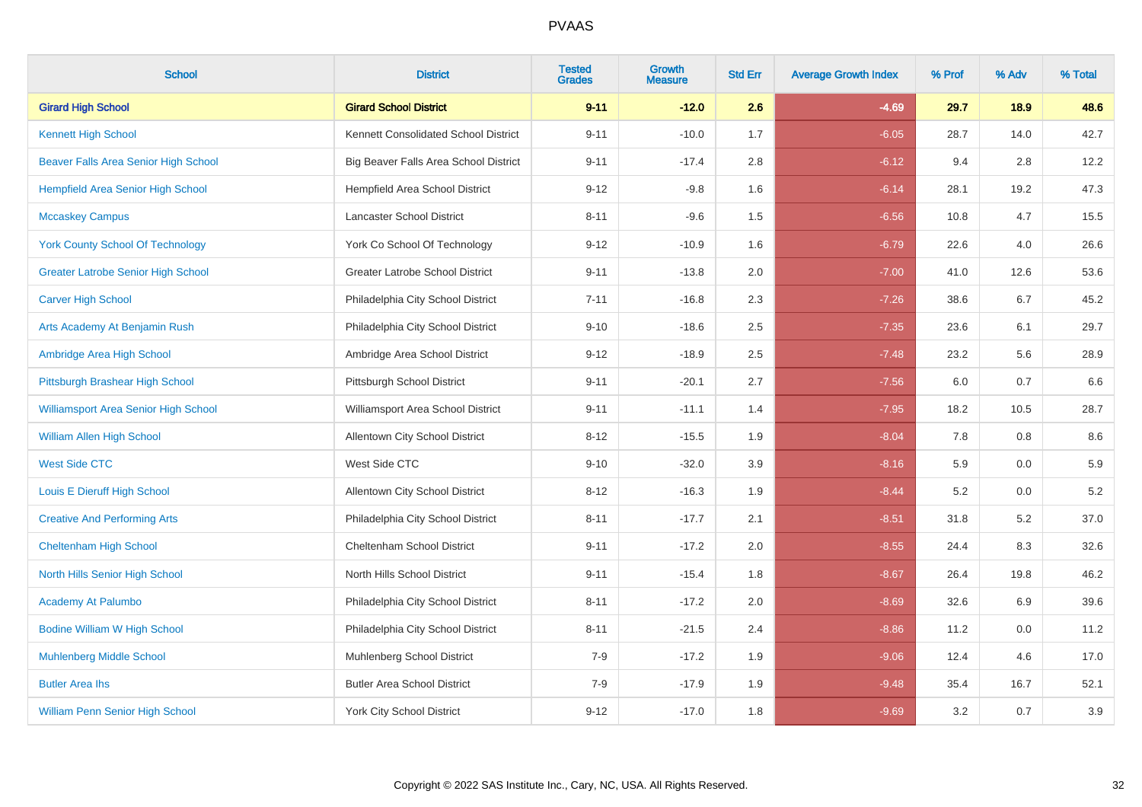| <b>School</b>                             | <b>District</b>                        | <b>Tested</b><br><b>Grades</b> | Growth<br><b>Measure</b> | <b>Std Err</b> | <b>Average Growth Index</b> | % Prof | % Adv | % Total |
|-------------------------------------------|----------------------------------------|--------------------------------|--------------------------|----------------|-----------------------------|--------|-------|---------|
| <b>Girard High School</b>                 | <b>Girard School District</b>          | $9 - 11$                       | $-12.0$                  | 2.6            | $-4.69$                     | 29.7   | 18.9  | 48.6    |
| <b>Kennett High School</b>                | Kennett Consolidated School District   | $9 - 11$                       | $-10.0$                  | 1.7            | $-6.05$                     | 28.7   | 14.0  | 42.7    |
| Beaver Falls Area Senior High School      | Big Beaver Falls Area School District  | $9 - 11$                       | $-17.4$                  | 2.8            | $-6.12$                     | 9.4    | 2.8   | 12.2    |
| Hempfield Area Senior High School         | Hempfield Area School District         | $9 - 12$                       | $-9.8$                   | 1.6            | $-6.14$                     | 28.1   | 19.2  | 47.3    |
| <b>Mccaskey Campus</b>                    | Lancaster School District              | $8 - 11$                       | $-9.6$                   | 1.5            | $-6.56$                     | 10.8   | 4.7   | 15.5    |
| <b>York County School Of Technology</b>   | York Co School Of Technology           | $9 - 12$                       | $-10.9$                  | 1.6            | $-6.79$                     | 22.6   | 4.0   | 26.6    |
| <b>Greater Latrobe Senior High School</b> | <b>Greater Latrobe School District</b> | $9 - 11$                       | $-13.8$                  | 2.0            | $-7.00$                     | 41.0   | 12.6  | 53.6    |
| <b>Carver High School</b>                 | Philadelphia City School District      | $7 - 11$                       | $-16.8$                  | 2.3            | $-7.26$                     | 38.6   | 6.7   | 45.2    |
| Arts Academy At Benjamin Rush             | Philadelphia City School District      | $9 - 10$                       | $-18.6$                  | 2.5            | $-7.35$                     | 23.6   | 6.1   | 29.7    |
| Ambridge Area High School                 | Ambridge Area School District          | $9 - 12$                       | $-18.9$                  | $2.5\,$        | $-7.48$                     | 23.2   | 5.6   | 28.9    |
| Pittsburgh Brashear High School           | Pittsburgh School District             | $9 - 11$                       | $-20.1$                  | 2.7            | $-7.56$                     | 6.0    | 0.7   | 6.6     |
| Williamsport Area Senior High School      | Williamsport Area School District      | $9 - 11$                       | $-11.1$                  | 1.4            | $-7.95$                     | 18.2   | 10.5  | 28.7    |
| <b>William Allen High School</b>          | Allentown City School District         | $8 - 12$                       | $-15.5$                  | 1.9            | $-8.04$                     | 7.8    | 0.8   | 8.6     |
| <b>West Side CTC</b>                      | West Side CTC                          | $9 - 10$                       | $-32.0$                  | 3.9            | $-8.16$                     | 5.9    | 0.0   | 5.9     |
| Louis E Dieruff High School               | Allentown City School District         | $8 - 12$                       | $-16.3$                  | 1.9            | $-8.44$                     | 5.2    | 0.0   | $5.2\,$ |
| <b>Creative And Performing Arts</b>       | Philadelphia City School District      | $8 - 11$                       | $-17.7$                  | 2.1            | $-8.51$                     | 31.8   | 5.2   | 37.0    |
| <b>Cheltenham High School</b>             | Cheltenham School District             | $9 - 11$                       | $-17.2$                  | 2.0            | $-8.55$                     | 24.4   | 8.3   | 32.6    |
| North Hills Senior High School            | North Hills School District            | $9 - 11$                       | $-15.4$                  | 1.8            | $-8.67$                     | 26.4   | 19.8  | 46.2    |
| <b>Academy At Palumbo</b>                 | Philadelphia City School District      | $8 - 11$                       | $-17.2$                  | 2.0            | $-8.69$                     | 32.6   | 6.9   | 39.6    |
| <b>Bodine William W High School</b>       | Philadelphia City School District      | $8 - 11$                       | $-21.5$                  | 2.4            | $-8.86$                     | 11.2   | 0.0   | 11.2    |
| <b>Muhlenberg Middle School</b>           | <b>Muhlenberg School District</b>      | $7-9$                          | $-17.2$                  | 1.9            | $-9.06$                     | 12.4   | 4.6   | 17.0    |
| <b>Butler Area lhs</b>                    | <b>Butler Area School District</b>     | $7 - 9$                        | $-17.9$                  | 1.9            | $-9.48$                     | 35.4   | 16.7  | 52.1    |
| <b>William Penn Senior High School</b>    | <b>York City School District</b>       | $9 - 12$                       | $-17.0$                  | 1.8            | $-9.69$                     | 3.2    | 0.7   | 3.9     |